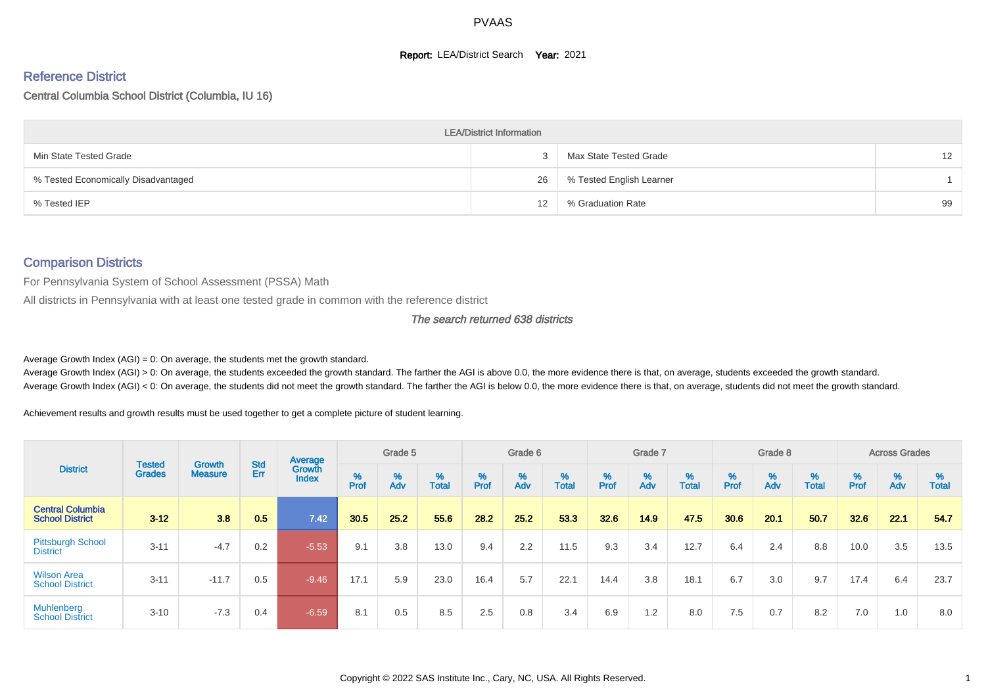#### **Report: LEA/District Search Year: 2021**

# Reference District

#### Central Columbia School District (Columbia, IU 16)

|                                     | <b>LEA/District Information</b> |                          |                 |
|-------------------------------------|---------------------------------|--------------------------|-----------------|
| Min State Tested Grade              |                                 | Max State Tested Grade   | 12 <sup>2</sup> |
| % Tested Economically Disadvantaged | 26                              | % Tested English Learner |                 |
| % Tested IEP                        | 12                              | % Graduation Rate        | 99              |

#### Comparison Districts

For Pennsylvania System of School Assessment (PSSA) Math

All districts in Pennsylvania with at least one tested grade in common with the reference district

#### The search returned 638 districts

Average Growth Index  $(AGI) = 0$ : On average, the students met the growth standard.

Average Growth Index (AGI) > 0: On average, the students exceeded the growth standard. The farther the AGI is above 0.0, the more evidence there is that, on average, students exceeded the growth standard. Average Growth Index (AGI) < 0: On average, the students did not meet the growth standard. The farther the AGI is below 0.0, the more evidence there is that, on average, students did not meet the growth standard.

Achievement results and growth results must be used together to get a complete picture of student learning.

|                                                   |                                |                          |                   | Average                |           | Grade 5  |                   |          | Grade 6  |                   |          | Grade 7  |                   |           | Grade 8  |                   |        | <b>Across Grades</b> |                   |
|---------------------------------------------------|--------------------------------|--------------------------|-------------------|------------------------|-----------|----------|-------------------|----------|----------|-------------------|----------|----------|-------------------|-----------|----------|-------------------|--------|----------------------|-------------------|
| <b>District</b>                                   | <b>Tested</b><br><b>Grades</b> | Growth<br><b>Measure</b> | <b>Std</b><br>Err | Growth<br><b>Index</b> | %<br>Prof | %<br>Adv | %<br><b>Total</b> | $%$ Prof | %<br>Adv | %<br><b>Total</b> | $%$ Prof | %<br>Adv | %<br><b>Total</b> | %<br>Prof | %<br>Adv | %<br><b>Total</b> | % Pref | %<br>Adv             | %<br><b>Total</b> |
| <b>Central Columbia</b><br><b>School District</b> | $3 - 12$                       | 3.8                      | 0.5               | 7.42                   | 30.5      | 25.2     | 55.6              | 28.2     | 25.2     | 53.3              | 32.6     | 14.9     | 47.5              | 30.6      | 20.1     | 50.7              | 32.6   | 22.1                 | 54.7              |
| <b>Pittsburgh School</b><br><b>District</b>       | $3 - 11$                       | $-4.7$                   | 0.2               | $-5.53$                | 9.1       | 3.8      | 13.0              | 9.4      | 2.2      | 11.5              | 9.3      | 3.4      | 12.7              | 6.4       | 2.4      | 8.8               | 10.0   | 3.5                  | 13.5              |
| <b>Wilson Area</b><br><b>School District</b>      | $3 - 11$                       | $-11.7$                  | 0.5               | $-9.46$                | 17.1      | 5.9      | 23.0              | 16.4     | 5.7      | 22.1              | 14.4     | 3.8      | 18.1              | 6.7       | 3.0      | 9.7               | 17.4   | 6.4                  | 23.7              |
| <b>Muhlenberg</b><br><b>School District</b>       | $3 - 10$                       | $-7.3$                   | 0.4               | $-6.59$                | 8.1       | 0.5      | 8.5               | 2.5      | 0.8      | 3.4               | 6.9      | 1.2      | 8.0               | 7.5       | 0.7      | 8.2               | 7.0    | 1.0                  | 8.0               |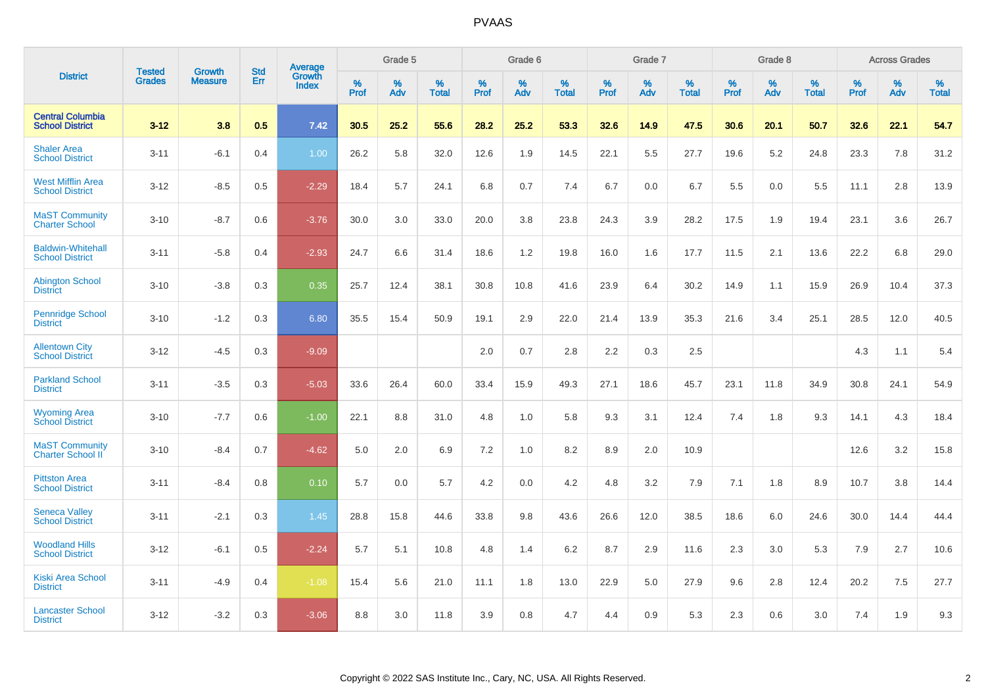|                                                    |                                |                                 | <b>Std</b> | <b>Average</b>         |           | Grade 5  |                   |           | Grade 6  |                   |              | Grade 7  |                   |           | Grade 8  |                   |           | <b>Across Grades</b> |            |
|----------------------------------------------------|--------------------------------|---------------------------------|------------|------------------------|-----------|----------|-------------------|-----------|----------|-------------------|--------------|----------|-------------------|-----------|----------|-------------------|-----------|----------------------|------------|
| <b>District</b>                                    | <b>Tested</b><br><b>Grades</b> | <b>Growth</b><br><b>Measure</b> | Err        | Growth<br><b>Index</b> | %<br>Prof | %<br>Adv | %<br><b>Total</b> | %<br>Prof | %<br>Adv | %<br><b>Total</b> | $\%$<br>Prof | %<br>Adv | %<br><b>Total</b> | %<br>Prof | %<br>Adv | %<br><b>Total</b> | %<br>Prof | %<br>Adv             | %<br>Total |
| <b>Central Columbia</b><br><b>School District</b>  | $3 - 12$                       | 3.8                             | 0.5        | 7.42                   | 30.5      | 25.2     | 55.6              | 28.2      | 25.2     | 53.3              | 32.6         | 14.9     | 47.5              | 30.6      | 20.1     | 50.7              | 32.6      | 22.1                 | 54.7       |
| <b>Shaler Area</b><br><b>School District</b>       | $3 - 11$                       | $-6.1$                          | 0.4        | 1.00                   | 26.2      | 5.8      | 32.0              | 12.6      | 1.9      | 14.5              | 22.1         | 5.5      | 27.7              | 19.6      | 5.2      | 24.8              | 23.3      | 7.8                  | 31.2       |
| <b>West Mifflin Area</b><br><b>School District</b> | $3 - 12$                       | $-8.5$                          | 0.5        | $-2.29$                | 18.4      | 5.7      | 24.1              | 6.8       | 0.7      | 7.4               | 6.7          | 0.0      | 6.7               | 5.5       | 0.0      | 5.5               | 11.1      | 2.8                  | 13.9       |
| <b>MaST Community</b><br><b>Charter School</b>     | $3 - 10$                       | $-8.7$                          | 0.6        | $-3.76$                | 30.0      | 3.0      | 33.0              | 20.0      | 3.8      | 23.8              | 24.3         | 3.9      | 28.2              | 17.5      | 1.9      | 19.4              | 23.1      | 3.6                  | 26.7       |
| <b>Baldwin-Whitehall</b><br><b>School District</b> | $3 - 11$                       | $-5.8$                          | 0.4        | $-2.93$                | 24.7      | 6.6      | 31.4              | 18.6      | 1.2      | 19.8              | 16.0         | 1.6      | 17.7              | 11.5      | 2.1      | 13.6              | 22.2      | 6.8                  | 29.0       |
| <b>Abington School</b><br><b>District</b>          | $3 - 10$                       | $-3.8$                          | 0.3        | 0.35                   | 25.7      | 12.4     | 38.1              | 30.8      | 10.8     | 41.6              | 23.9         | 6.4      | 30.2              | 14.9      | 1.1      | 15.9              | 26.9      | 10.4                 | 37.3       |
| <b>Pennridge School</b><br><b>District</b>         | $3 - 10$                       | $-1.2$                          | 0.3        | 6.80                   | 35.5      | 15.4     | 50.9              | 19.1      | 2.9      | 22.0              | 21.4         | 13.9     | 35.3              | 21.6      | 3.4      | 25.1              | 28.5      | 12.0                 | 40.5       |
| <b>Allentown City</b><br><b>School District</b>    | $3 - 12$                       | $-4.5$                          | 0.3        | $-9.09$                |           |          |                   | 2.0       | 0.7      | 2.8               | 2.2          | 0.3      | 2.5               |           |          |                   | 4.3       | 1.1                  | 5.4        |
| <b>Parkland School</b><br><b>District</b>          | $3 - 11$                       | $-3.5$                          | 0.3        | $-5.03$                | 33.6      | 26.4     | 60.0              | 33.4      | 15.9     | 49.3              | 27.1         | 18.6     | 45.7              | 23.1      | 11.8     | 34.9              | 30.8      | 24.1                 | 54.9       |
| <b>Wyoming Area</b><br><b>School District</b>      | $3 - 10$                       | $-7.7$                          | 0.6        | $-1.00$                | 22.1      | 8.8      | 31.0              | 4.8       | 1.0      | 5.8               | 9.3          | 3.1      | 12.4              | 7.4       | 1.8      | 9.3               | 14.1      | 4.3                  | 18.4       |
| <b>MaST Community</b><br><b>Charter School II</b>  | $3 - 10$                       | $-8.4$                          | 0.7        | $-4.62$                | 5.0       | 2.0      | 6.9               | 7.2       | 1.0      | 8.2               | 8.9          | 2.0      | 10.9              |           |          |                   | 12.6      | 3.2                  | 15.8       |
| <b>Pittston Area</b><br><b>School District</b>     | $3 - 11$                       | $-8.4$                          | 0.8        | 0.10                   | 5.7       | 0.0      | 5.7               | 4.2       | 0.0      | 4.2               | 4.8          | 3.2      | 7.9               | 7.1       | 1.8      | 8.9               | 10.7      | 3.8                  | 14.4       |
| <b>Seneca Valley</b><br><b>School District</b>     | $3 - 11$                       | $-2.1$                          | 0.3        | 1.45                   | 28.8      | 15.8     | 44.6              | 33.8      | 9.8      | 43.6              | 26.6         | 12.0     | 38.5              | 18.6      | 6.0      | 24.6              | 30.0      | 14.4                 | 44.4       |
| <b>Woodland Hills</b><br><b>School District</b>    | $3 - 12$                       | $-6.1$                          | 0.5        | $-2.24$                | 5.7       | 5.1      | 10.8              | 4.8       | 1.4      | 6.2               | 8.7          | 2.9      | 11.6              | 2.3       | 3.0      | 5.3               | 7.9       | 2.7                  | 10.6       |
| <b>Kiski Area School</b><br><b>District</b>        | $3 - 11$                       | $-4.9$                          | 0.4        | $-1.08$                | 15.4      | 5.6      | 21.0              | 11.1      | 1.8      | 13.0              | 22.9         | 5.0      | 27.9              | 9.6       | 2.8      | 12.4              | 20.2      | 7.5                  | 27.7       |
| <b>Lancaster School</b><br><b>District</b>         | $3 - 12$                       | $-3.2$                          | 0.3        | $-3.06$                | 8.8       | 3.0      | 11.8              | 3.9       | 0.8      | 4.7               | 4.4          | 0.9      | 5.3               | 2.3       | 0.6      | 3.0               | 7.4       | 1.9                  | 9.3        |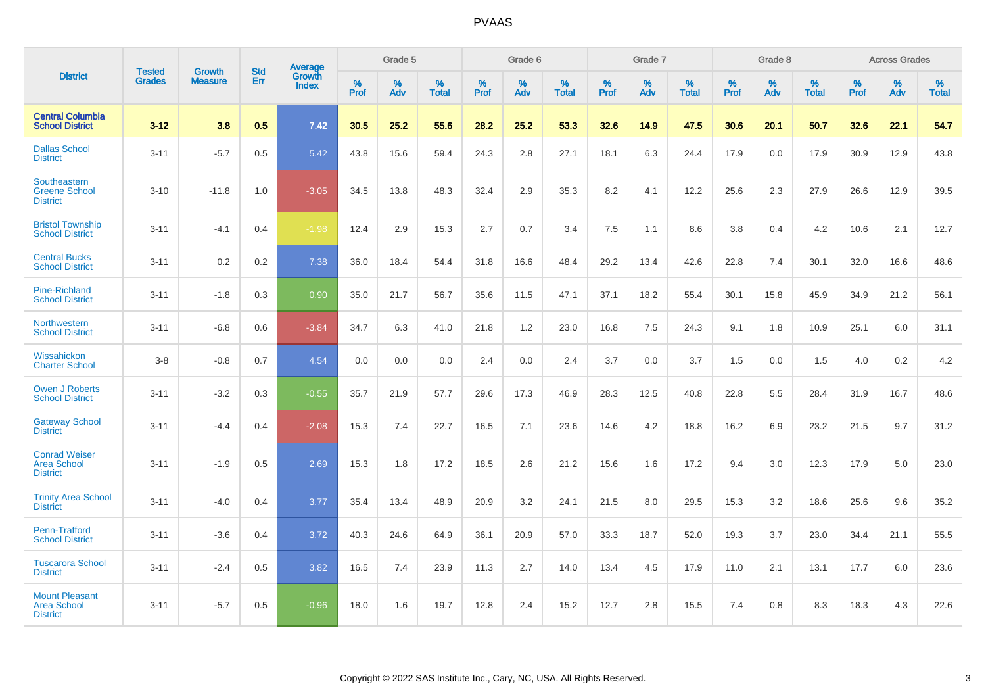|                                                                |                                | <b>Growth</b>  | <b>Std</b> | Average                |           | Grade 5  |                   |           | Grade 6  |                   |           | Grade 7  |                   |           | Grade 8  |                   |           | <b>Across Grades</b> |                   |
|----------------------------------------------------------------|--------------------------------|----------------|------------|------------------------|-----------|----------|-------------------|-----------|----------|-------------------|-----------|----------|-------------------|-----------|----------|-------------------|-----------|----------------------|-------------------|
| <b>District</b>                                                | <b>Tested</b><br><b>Grades</b> | <b>Measure</b> | Err        | Growth<br><b>Index</b> | %<br>Prof | %<br>Adv | %<br><b>Total</b> | %<br>Prof | %<br>Adv | %<br><b>Total</b> | %<br>Prof | %<br>Adv | %<br><b>Total</b> | %<br>Prof | %<br>Adv | %<br><b>Total</b> | %<br>Prof | %<br>Adv             | %<br><b>Total</b> |
| <b>Central Columbia</b><br><b>School District</b>              | $3 - 12$                       | 3.8            | 0.5        | 7.42                   | 30.5      | 25.2     | 55.6              | 28.2      | 25.2     | 53.3              | 32.6      | 14.9     | 47.5              | 30.6      | 20.1     | 50.7              | 32.6      | 22.1                 | 54.7              |
| <b>Dallas School</b><br><b>District</b>                        | $3 - 11$                       | $-5.7$         | 0.5        | 5.42                   | 43.8      | 15.6     | 59.4              | 24.3      | 2.8      | 27.1              | 18.1      | 6.3      | 24.4              | 17.9      | 0.0      | 17.9              | 30.9      | 12.9                 | 43.8              |
| Southeastern<br><b>Greene School</b><br><b>District</b>        | $3 - 10$                       | $-11.8$        | 1.0        | $-3.05$                | 34.5      | 13.8     | 48.3              | 32.4      | 2.9      | 35.3              | 8.2       | 4.1      | 12.2              | 25.6      | 2.3      | 27.9              | 26.6      | 12.9                 | 39.5              |
| <b>Bristol Township</b><br><b>School District</b>              | $3 - 11$                       | $-4.1$         | 0.4        | $-1.98$                | 12.4      | 2.9      | 15.3              | 2.7       | 0.7      | 3.4               | 7.5       | 1.1      | 8.6               | 3.8       | 0.4      | 4.2               | 10.6      | 2.1                  | 12.7              |
| <b>Central Bucks</b><br><b>School District</b>                 | $3 - 11$                       | 0.2            | 0.2        | 7.38                   | 36.0      | 18.4     | 54.4              | 31.8      | 16.6     | 48.4              | 29.2      | 13.4     | 42.6              | 22.8      | 7.4      | 30.1              | 32.0      | 16.6                 | 48.6              |
| <b>Pine-Richland</b><br><b>School District</b>                 | $3 - 11$                       | $-1.8$         | 0.3        | 0.90                   | 35.0      | 21.7     | 56.7              | 35.6      | 11.5     | 47.1              | 37.1      | 18.2     | 55.4              | 30.1      | 15.8     | 45.9              | 34.9      | 21.2                 | 56.1              |
| Northwestern<br><b>School District</b>                         | $3 - 11$                       | $-6.8$         | 0.6        | $-3.84$                | 34.7      | 6.3      | 41.0              | 21.8      | 1.2      | 23.0              | 16.8      | 7.5      | 24.3              | 9.1       | 1.8      | 10.9              | 25.1      | 6.0                  | 31.1              |
| Wissahickon<br><b>Charter School</b>                           | $3 - 8$                        | $-0.8$         | 0.7        | 4.54                   | 0.0       | 0.0      | 0.0               | 2.4       | $0.0\,$  | 2.4               | 3.7       | 0.0      | 3.7               | 1.5       | 0.0      | 1.5               | 4.0       | $0.2\,$              | 4.2               |
| <b>Owen J Roberts</b><br><b>School District</b>                | $3 - 11$                       | $-3.2$         | 0.3        | $-0.55$                | 35.7      | 21.9     | 57.7              | 29.6      | 17.3     | 46.9              | 28.3      | 12.5     | 40.8              | 22.8      | 5.5      | 28.4              | 31.9      | 16.7                 | 48.6              |
| <b>Gateway School</b><br><b>District</b>                       | $3 - 11$                       | $-4.4$         | 0.4        | $-2.08$                | 15.3      | 7.4      | 22.7              | 16.5      | 7.1      | 23.6              | 14.6      | 4.2      | 18.8              | 16.2      | 6.9      | 23.2              | 21.5      | 9.7                  | 31.2              |
| <b>Conrad Weiser</b><br><b>Area School</b><br><b>District</b>  | $3 - 11$                       | $-1.9$         | 0.5        | 2.69                   | 15.3      | 1.8      | 17.2              | 18.5      | 2.6      | 21.2              | 15.6      | 1.6      | 17.2              | 9.4       | 3.0      | 12.3              | 17.9      | 5.0                  | 23.0              |
| <b>Trinity Area School</b><br><b>District</b>                  | $3 - 11$                       | $-4.0$         | 0.4        | 3.77                   | 35.4      | 13.4     | 48.9              | 20.9      | 3.2      | 24.1              | 21.5      | 8.0      | 29.5              | 15.3      | 3.2      | 18.6              | 25.6      | 9.6                  | 35.2              |
| <b>Penn-Trafford</b><br><b>School District</b>                 | $3 - 11$                       | $-3.6$         | 0.4        | 3.72                   | 40.3      | 24.6     | 64.9              | 36.1      | 20.9     | 57.0              | 33.3      | 18.7     | 52.0              | 19.3      | 3.7      | 23.0              | 34.4      | 21.1                 | 55.5              |
| <b>Tuscarora School</b><br><b>District</b>                     | $3 - 11$                       | $-2.4$         | 0.5        | 3.82                   | 16.5      | 7.4      | 23.9              | 11.3      | 2.7      | 14.0              | 13.4      | 4.5      | 17.9              | 11.0      | 2.1      | 13.1              | 17.7      | 6.0                  | 23.6              |
| <b>Mount Pleasant</b><br><b>Area School</b><br><b>District</b> | $3 - 11$                       | $-5.7$         | 0.5        | $-0.96$                | 18.0      | 1.6      | 19.7              | 12.8      | 2.4      | 15.2              | 12.7      | 2.8      | 15.5              | 7.4       | 0.8      | 8.3               | 18.3      | 4.3                  | 22.6              |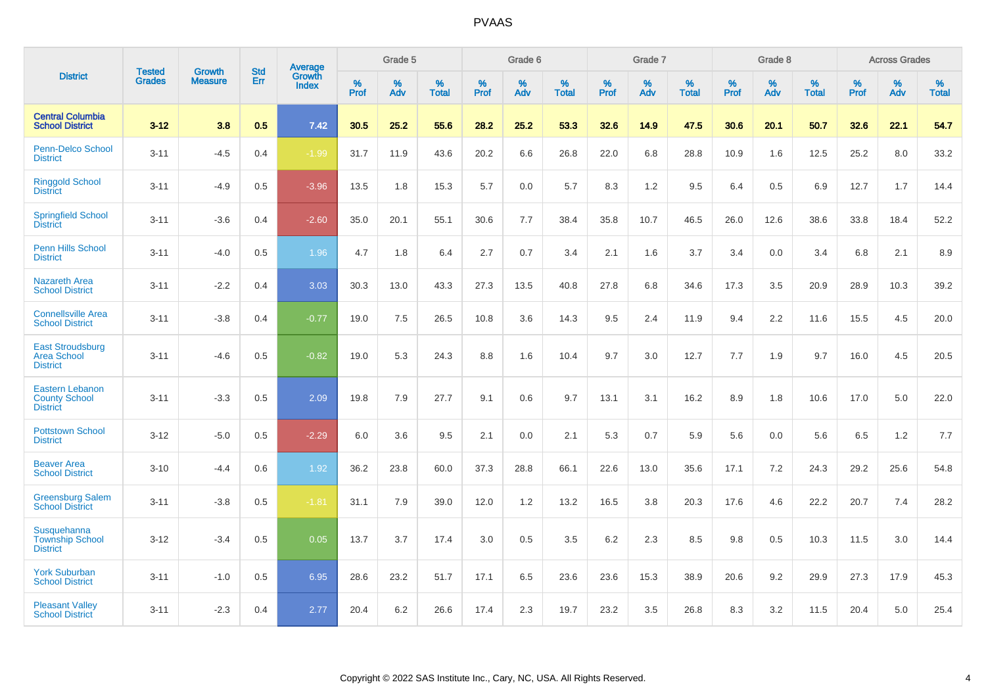|                                                                   |                                |                                 | <b>Std</b> | Average                       |           | Grade 5  |                   |           | Grade 6  |                   |           | Grade 7  |                   |           | Grade 8  |                   |           | <b>Across Grades</b> |                   |
|-------------------------------------------------------------------|--------------------------------|---------------------------------|------------|-------------------------------|-----------|----------|-------------------|-----------|----------|-------------------|-----------|----------|-------------------|-----------|----------|-------------------|-----------|----------------------|-------------------|
| <b>District</b>                                                   | <b>Tested</b><br><b>Grades</b> | <b>Growth</b><br><b>Measure</b> | Err        | <b>Growth</b><br><b>Index</b> | %<br>Prof | %<br>Adv | %<br><b>Total</b> | %<br>Prof | %<br>Adv | %<br><b>Total</b> | %<br>Prof | %<br>Adv | %<br><b>Total</b> | %<br>Prof | %<br>Adv | %<br><b>Total</b> | %<br>Prof | %<br>Adv             | %<br><b>Total</b> |
| <b>Central Columbia</b><br><b>School District</b>                 | $3 - 12$                       | 3.8                             | 0.5        | 7.42                          | 30.5      | 25.2     | 55.6              | 28.2      | 25.2     | 53.3              | 32.6      | 14.9     | 47.5              | 30.6      | 20.1     | 50.7              | 32.6      | 22.1                 | 54.7              |
| Penn-Delco School<br><b>District</b>                              | $3 - 11$                       | $-4.5$                          | 0.4        | $-1.99$                       | 31.7      | 11.9     | 43.6              | 20.2      | 6.6      | 26.8              | 22.0      | 6.8      | 28.8              | 10.9      | 1.6      | 12.5              | 25.2      | 8.0                  | 33.2              |
| <b>Ringgold School</b><br><b>District</b>                         | $3 - 11$                       | $-4.9$                          | 0.5        | $-3.96$                       | 13.5      | 1.8      | 15.3              | 5.7       | 0.0      | 5.7               | 8.3       | 1.2      | 9.5               | 6.4       | 0.5      | 6.9               | 12.7      | 1.7                  | 14.4              |
| <b>Springfield School</b><br><b>District</b>                      | $3 - 11$                       | $-3.6$                          | 0.4        | $-2.60$                       | 35.0      | 20.1     | 55.1              | 30.6      | 7.7      | 38.4              | 35.8      | 10.7     | 46.5              | 26.0      | 12.6     | 38.6              | 33.8      | 18.4                 | 52.2              |
| Penn Hills School<br><b>District</b>                              | $3 - 11$                       | $-4.0$                          | 0.5        | 1.96                          | 4.7       | 1.8      | 6.4               | 2.7       | 0.7      | 3.4               | 2.1       | 1.6      | 3.7               | 3.4       | 0.0      | 3.4               | 6.8       | 2.1                  | 8.9               |
| <b>Nazareth Area</b><br><b>School District</b>                    | $3 - 11$                       | $-2.2$                          | 0.4        | 3.03                          | 30.3      | 13.0     | 43.3              | 27.3      | 13.5     | 40.8              | 27.8      | 6.8      | 34.6              | 17.3      | 3.5      | 20.9              | 28.9      | 10.3                 | 39.2              |
| <b>Connellsville Area</b><br><b>School District</b>               | $3 - 11$                       | $-3.8$                          | 0.4        | $-0.77$                       | 19.0      | 7.5      | 26.5              | 10.8      | 3.6      | 14.3              | 9.5       | 2.4      | 11.9              | 9.4       | 2.2      | 11.6              | 15.5      | 4.5                  | 20.0              |
| <b>East Stroudsburg</b><br><b>Area School</b><br><b>District</b>  | $3 - 11$                       | $-4.6$                          | 0.5        | $-0.82$                       | 19.0      | 5.3      | 24.3              | 8.8       | 1.6      | 10.4              | 9.7       | 3.0      | 12.7              | 7.7       | 1.9      | 9.7               | 16.0      | 4.5                  | 20.5              |
| <b>Eastern Lebanon</b><br><b>County School</b><br><b>District</b> | $3 - 11$                       | $-3.3$                          | 0.5        | 2.09                          | 19.8      | 7.9      | 27.7              | 9.1       | 0.6      | 9.7               | 13.1      | 3.1      | 16.2              | 8.9       | 1.8      | 10.6              | 17.0      | 5.0                  | 22.0              |
| <b>Pottstown School</b><br><b>District</b>                        | $3 - 12$                       | $-5.0$                          | 0.5        | $-2.29$                       | 6.0       | 3.6      | 9.5               | 2.1       | 0.0      | 2.1               | 5.3       | 0.7      | 5.9               | 5.6       | 0.0      | 5.6               | 6.5       | 1.2                  | 7.7               |
| <b>Beaver Area</b><br><b>School District</b>                      | $3 - 10$                       | $-4.4$                          | 0.6        | 1.92                          | 36.2      | 23.8     | 60.0              | 37.3      | 28.8     | 66.1              | 22.6      | 13.0     | 35.6              | 17.1      | 7.2      | 24.3              | 29.2      | 25.6                 | 54.8              |
| <b>Greensburg Salem</b><br><b>School District</b>                 | $3 - 11$                       | $-3.8$                          | 0.5        | $-1.81$                       | 31.1      | 7.9      | 39.0              | 12.0      | 1.2      | 13.2              | 16.5      | 3.8      | 20.3              | 17.6      | 4.6      | 22.2              | 20.7      | 7.4                  | 28.2              |
| Susquehanna<br><b>Township School</b><br><b>District</b>          | $3 - 12$                       | $-3.4$                          | 0.5        | 0.05                          | 13.7      | 3.7      | 17.4              | 3.0       | 0.5      | 3.5               | 6.2       | 2.3      | 8.5               | 9.8       | 0.5      | 10.3              | 11.5      | 3.0                  | 14.4              |
| <b>York Suburban</b><br><b>School District</b>                    | $3 - 11$                       | $-1.0$                          | 0.5        | 6.95                          | 28.6      | 23.2     | 51.7              | 17.1      | 6.5      | 23.6              | 23.6      | 15.3     | 38.9              | 20.6      | 9.2      | 29.9              | 27.3      | 17.9                 | 45.3              |
| <b>Pleasant Valley</b><br><b>School District</b>                  | $3 - 11$                       | $-2.3$                          | 0.4        | 2.77                          | 20.4      | 6.2      | 26.6              | 17.4      | 2.3      | 19.7              | 23.2      | 3.5      | 26.8              | 8.3       | 3.2      | 11.5              | 20.4      | 5.0                  | 25.4              |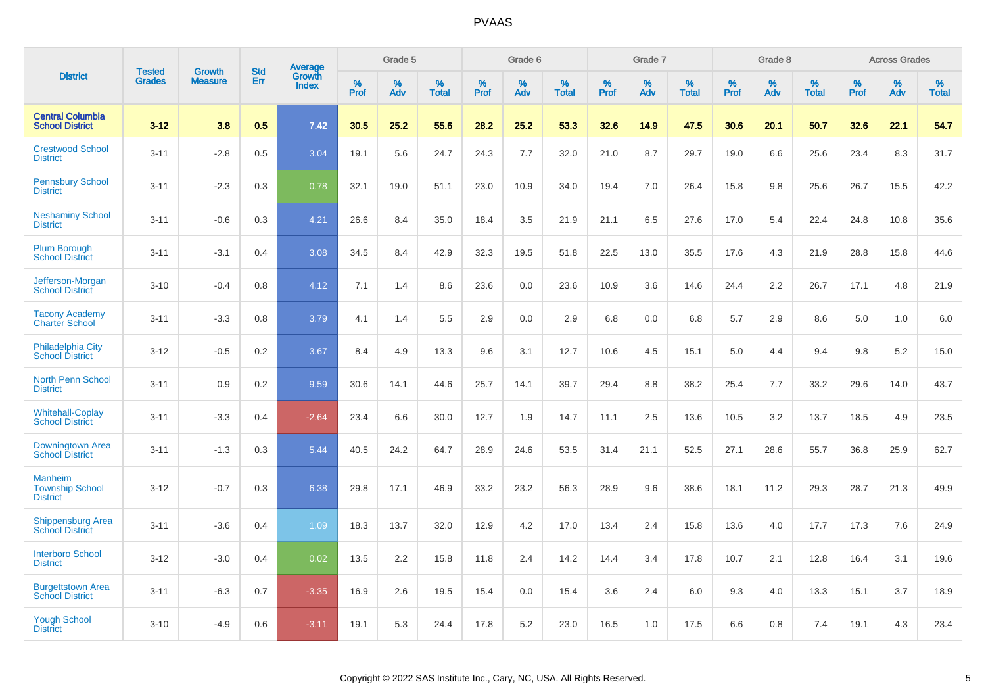|                                                             | <b>Tested</b> | <b>Growth</b>  | <b>Std</b> | Average                |              | Grade 5  |                   |              | Grade 6  |                   |              | Grade 7  |                   |              | Grade 8  |                   |              | <b>Across Grades</b> |                   |
|-------------------------------------------------------------|---------------|----------------|------------|------------------------|--------------|----------|-------------------|--------------|----------|-------------------|--------------|----------|-------------------|--------------|----------|-------------------|--------------|----------------------|-------------------|
| <b>District</b>                                             | <b>Grades</b> | <b>Measure</b> | Err        | Growth<br><b>Index</b> | $\%$<br>Prof | %<br>Adv | %<br><b>Total</b> | $\%$<br>Prof | %<br>Adv | %<br><b>Total</b> | $\%$<br>Prof | %<br>Adv | %<br><b>Total</b> | $\%$<br>Prof | %<br>Adv | %<br><b>Total</b> | $\%$<br>Prof | %<br>Adv             | %<br><b>Total</b> |
| <b>Central Columbia</b><br><b>School District</b>           | $3 - 12$      | 3.8            | 0.5        | 7.42                   | 30.5         | 25.2     | 55.6              | 28.2         | 25.2     | 53.3              | 32.6         | 14.9     | 47.5              | 30.6         | 20.1     | 50.7              | 32.6         | 22.1                 | 54.7              |
| <b>Crestwood School</b><br><b>District</b>                  | $3 - 11$      | $-2.8$         | 0.5        | 3.04                   | 19.1         | 5.6      | 24.7              | 24.3         | 7.7      | 32.0              | 21.0         | 8.7      | 29.7              | 19.0         | 6.6      | 25.6              | 23.4         | 8.3                  | 31.7              |
| <b>Pennsbury School</b><br><b>District</b>                  | $3 - 11$      | $-2.3$         | 0.3        | 0.78                   | 32.1         | 19.0     | 51.1              | 23.0         | 10.9     | 34.0              | 19.4         | 7.0      | 26.4              | 15.8         | 9.8      | 25.6              | 26.7         | 15.5                 | 42.2              |
| <b>Neshaminy School</b><br><b>District</b>                  | $3 - 11$      | $-0.6$         | 0.3        | 4.21                   | 26.6         | 8.4      | 35.0              | 18.4         | 3.5      | 21.9              | 21.1         | 6.5      | 27.6              | 17.0         | 5.4      | 22.4              | 24.8         | 10.8                 | 35.6              |
| <b>Plum Borough</b><br><b>School District</b>               | $3 - 11$      | $-3.1$         | 0.4        | 3.08                   | 34.5         | 8.4      | 42.9              | 32.3         | 19.5     | 51.8              | 22.5         | 13.0     | 35.5              | 17.6         | 4.3      | 21.9              | 28.8         | 15.8                 | 44.6              |
| Jefferson-Morgan<br><b>School District</b>                  | $3 - 10$      | $-0.4$         | 0.8        | 4.12                   | 7.1          | 1.4      | 8.6               | 23.6         | 0.0      | 23.6              | 10.9         | 3.6      | 14.6              | 24.4         | 2.2      | 26.7              | 17.1         | 4.8                  | 21.9              |
| <b>Tacony Academy</b><br><b>Charter School</b>              | $3 - 11$      | $-3.3$         | 0.8        | 3.79                   | 4.1          | 1.4      | 5.5               | 2.9          | 0.0      | 2.9               | 6.8          | 0.0      | 6.8               | 5.7          | 2.9      | 8.6               | 5.0          | 1.0                  | 6.0               |
| <b>Philadelphia City</b><br><b>School District</b>          | $3 - 12$      | $-0.5$         | 0.2        | 3.67                   | 8.4          | 4.9      | 13.3              | 9.6          | 3.1      | 12.7              | 10.6         | 4.5      | 15.1              | 5.0          | 4.4      | 9.4               | 9.8          | 5.2                  | 15.0              |
| <b>North Penn School</b><br><b>District</b>                 | $3 - 11$      | 0.9            | 0.2        | 9.59                   | 30.6         | 14.1     | 44.6              | 25.7         | 14.1     | 39.7              | 29.4         | 8.8      | 38.2              | 25.4         | 7.7      | 33.2              | 29.6         | 14.0                 | 43.7              |
| <b>Whitehall-Coplay</b><br><b>School District</b>           | $3 - 11$      | $-3.3$         | 0.4        | $-2.64$                | 23.4         | 6.6      | 30.0              | 12.7         | 1.9      | 14.7              | 11.1         | 2.5      | 13.6              | 10.5         | 3.2      | 13.7              | 18.5         | 4.9                  | 23.5              |
| Downingtown Area<br><b>School District</b>                  | $3 - 11$      | $-1.3$         | 0.3        | 5.44                   | 40.5         | 24.2     | 64.7              | 28.9         | 24.6     | 53.5              | 31.4         | 21.1     | 52.5              | 27.1         | 28.6     | 55.7              | 36.8         | 25.9                 | 62.7              |
| <b>Manheim</b><br><b>Township School</b><br><b>District</b> | $3 - 12$      | $-0.7$         | 0.3        | 6.38                   | 29.8         | 17.1     | 46.9              | 33.2         | 23.2     | 56.3              | 28.9         | 9.6      | 38.6              | 18.1         | 11.2     | 29.3              | 28.7         | 21.3                 | 49.9              |
| <b>Shippensburg Area</b><br><b>School District</b>          | $3 - 11$      | $-3.6$         | 0.4        | 1.09                   | 18.3         | 13.7     | 32.0              | 12.9         | 4.2      | 17.0              | 13.4         | 2.4      | 15.8              | 13.6         | 4.0      | 17.7              | 17.3         | 7.6                  | 24.9              |
| <b>Interboro School</b><br><b>District</b>                  | $3 - 12$      | $-3.0$         | 0.4        | 0.02                   | 13.5         | 2.2      | 15.8              | 11.8         | 2.4      | 14.2              | 14.4         | 3.4      | 17.8              | 10.7         | 2.1      | 12.8              | 16.4         | 3.1                  | 19.6              |
| <b>Burgettstown Area</b><br><b>School District</b>          | $3 - 11$      | $-6.3$         | 0.7        | $-3.35$                | 16.9         | 2.6      | 19.5              | 15.4         | 0.0      | 15.4              | 3.6          | 2.4      | 6.0               | 9.3          | 4.0      | 13.3              | 15.1         | 3.7                  | 18.9              |
| <b>Yough School</b><br><b>District</b>                      | $3 - 10$      | $-4.9$         | 0.6        | $-3.11$                | 19.1         | 5.3      | 24.4              | 17.8         | 5.2      | 23.0              | 16.5         | 1.0      | 17.5              | 6.6          | 0.8      | 7.4               | 19.1         | 4.3                  | 23.4              |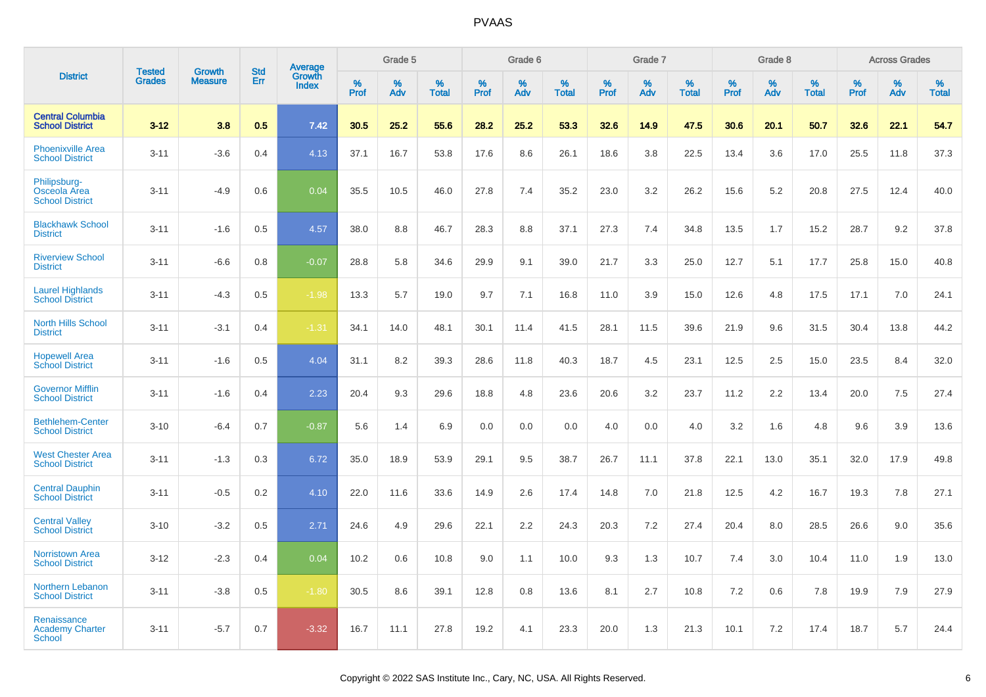|                                                        |                                |                                 | <b>Std</b> | Average                |                     | Grade 5  |                      |                     | Grade 6  |                      |              | Grade 7  |                      |                     | Grade 8  |                      |                     | <b>Across Grades</b> |                      |
|--------------------------------------------------------|--------------------------------|---------------------------------|------------|------------------------|---------------------|----------|----------------------|---------------------|----------|----------------------|--------------|----------|----------------------|---------------------|----------|----------------------|---------------------|----------------------|----------------------|
| <b>District</b>                                        | <b>Tested</b><br><b>Grades</b> | <b>Growth</b><br><b>Measure</b> | <b>Err</b> | Growth<br><b>Index</b> | $\%$<br><b>Prof</b> | %<br>Adv | $\%$<br><b>Total</b> | $\%$<br><b>Prof</b> | %<br>Adv | $\%$<br><b>Total</b> | $\%$<br>Prof | %<br>Adv | $\%$<br><b>Total</b> | $\%$<br><b>Prof</b> | %<br>Adv | $\%$<br><b>Total</b> | $\%$<br><b>Prof</b> | $\%$<br>Adv          | $\%$<br><b>Total</b> |
| <b>Central Columbia</b><br><b>School District</b>      | $3 - 12$                       | 3.8                             | 0.5        | 7.42                   | 30.5                | 25.2     | 55.6                 | 28.2                | 25.2     | 53.3                 | 32.6         | 14.9     | 47.5                 | 30.6                | 20.1     | 50.7                 | 32.6                | 22.1                 | 54.7                 |
| Phoenixville Area<br><b>School District</b>            | $3 - 11$                       | $-3.6$                          | 0.4        | 4.13                   | 37.1                | 16.7     | 53.8                 | 17.6                | 8.6      | 26.1                 | 18.6         | 3.8      | 22.5                 | 13.4                | 3.6      | 17.0                 | 25.5                | 11.8                 | 37.3                 |
| Philipsburg-<br>Osceola Area<br><b>School District</b> | $3 - 11$                       | $-4.9$                          | 0.6        | 0.04                   | 35.5                | 10.5     | 46.0                 | 27.8                | 7.4      | 35.2                 | 23.0         | 3.2      | 26.2                 | 15.6                | 5.2      | 20.8                 | 27.5                | 12.4                 | 40.0                 |
| <b>Blackhawk School</b><br><b>District</b>             | $3 - 11$                       | $-1.6$                          | 0.5        | 4.57                   | 38.0                | 8.8      | 46.7                 | 28.3                | 8.8      | 37.1                 | 27.3         | 7.4      | 34.8                 | 13.5                | 1.7      | 15.2                 | 28.7                | 9.2                  | 37.8                 |
| <b>Riverview School</b><br><b>District</b>             | $3 - 11$                       | $-6.6$                          | 0.8        | $-0.07$                | 28.8                | 5.8      | 34.6                 | 29.9                | 9.1      | 39.0                 | 21.7         | 3.3      | 25.0                 | 12.7                | 5.1      | 17.7                 | 25.8                | 15.0                 | 40.8                 |
| <b>Laurel Highlands</b><br><b>School District</b>      | $3 - 11$                       | $-4.3$                          | 0.5        | $-1.98$                | 13.3                | 5.7      | 19.0                 | 9.7                 | 7.1      | 16.8                 | 11.0         | 3.9      | 15.0                 | 12.6                | 4.8      | 17.5                 | 17.1                | 7.0                  | 24.1                 |
| <b>North Hills School</b><br><b>District</b>           | $3 - 11$                       | $-3.1$                          | 0.4        | $-1.31$                | 34.1                | 14.0     | 48.1                 | 30.1                | 11.4     | 41.5                 | 28.1         | 11.5     | 39.6                 | 21.9                | 9.6      | 31.5                 | 30.4                | 13.8                 | 44.2                 |
| <b>Hopewell Area</b><br><b>School District</b>         | $3 - 11$                       | $-1.6$                          | 0.5        | 4.04                   | 31.1                | 8.2      | 39.3                 | 28.6                | 11.8     | 40.3                 | 18.7         | 4.5      | 23.1                 | 12.5                | 2.5      | 15.0                 | 23.5                | 8.4                  | 32.0                 |
| <b>Governor Mifflin</b><br><b>School District</b>      | $3 - 11$                       | $-1.6$                          | 0.4        | 2.23                   | 20.4                | 9.3      | 29.6                 | 18.8                | 4.8      | 23.6                 | 20.6         | 3.2      | 23.7                 | 11.2                | 2.2      | 13.4                 | 20.0                | 7.5                  | 27.4                 |
| <b>Bethlehem-Center</b><br><b>School District</b>      | $3 - 10$                       | $-6.4$                          | 0.7        | $-0.87$                | 5.6                 | 1.4      | 6.9                  | 0.0                 | 0.0      | 0.0                  | 4.0          | 0.0      | 4.0                  | 3.2                 | 1.6      | 4.8                  | 9.6                 | 3.9                  | 13.6                 |
| <b>West Chester Area</b><br><b>School District</b>     | $3 - 11$                       | $-1.3$                          | 0.3        | 6.72                   | 35.0                | 18.9     | 53.9                 | 29.1                | 9.5      | 38.7                 | 26.7         | 11.1     | 37.8                 | 22.1                | 13.0     | 35.1                 | 32.0                | 17.9                 | 49.8                 |
| <b>Central Dauphin</b><br><b>School District</b>       | $3 - 11$                       | $-0.5$                          | 0.2        | 4.10                   | 22.0                | 11.6     | 33.6                 | 14.9                | 2.6      | 17.4                 | 14.8         | 7.0      | 21.8                 | 12.5                | 4.2      | 16.7                 | 19.3                | 7.8                  | 27.1                 |
| <b>Central Valley</b><br><b>School District</b>        | $3 - 10$                       | $-3.2$                          | 0.5        | 2.71                   | 24.6                | 4.9      | 29.6                 | 22.1                | 2.2      | 24.3                 | 20.3         | 7.2      | 27.4                 | 20.4                | 8.0      | 28.5                 | 26.6                | 9.0                  | 35.6                 |
| <b>Norristown Area</b><br><b>School District</b>       | $3 - 12$                       | $-2.3$                          | 0.4        | 0.04                   | 10.2                | 0.6      | 10.8                 | 9.0                 | 1.1      | 10.0                 | 9.3          | 1.3      | 10.7                 | 7.4                 | 3.0      | 10.4                 | 11.0                | 1.9                  | 13.0                 |
| Northern Lebanon<br><b>School District</b>             | $3 - 11$                       | $-3.8$                          | 0.5        | $-1.80$                | 30.5                | 8.6      | 39.1                 | 12.8                | 0.8      | 13.6                 | 8.1          | 2.7      | 10.8                 | 7.2                 | 0.6      | 7.8                  | 19.9                | 7.9                  | 27.9                 |
| Renaissance<br><b>Academy Charter</b><br>School        | $3 - 11$                       | $-5.7$                          | 0.7        | $-3.32$                | 16.7                | 11.1     | 27.8                 | 19.2                | 4.1      | 23.3                 | 20.0         | 1.3      | 21.3                 | 10.1                | 7.2      | 17.4                 | 18.7                | 5.7                  | 24.4                 |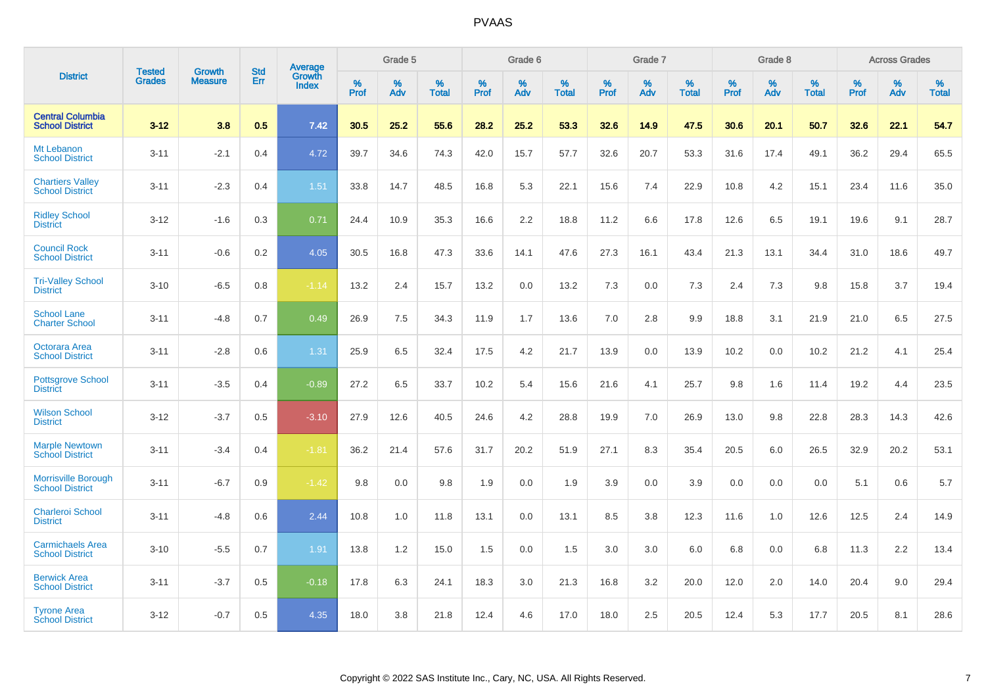|                                                      |                                |                                 | <b>Std</b> | Average                |           | Grade 5  |                   |           | Grade 6  |                   |              | Grade 7  |                   |           | Grade 8  |                   |           | <b>Across Grades</b> |            |
|------------------------------------------------------|--------------------------------|---------------------------------|------------|------------------------|-----------|----------|-------------------|-----------|----------|-------------------|--------------|----------|-------------------|-----------|----------|-------------------|-----------|----------------------|------------|
| <b>District</b>                                      | <b>Tested</b><br><b>Grades</b> | <b>Growth</b><br><b>Measure</b> | Err        | Growth<br><b>Index</b> | %<br>Prof | %<br>Adv | %<br><b>Total</b> | %<br>Prof | %<br>Adv | %<br><b>Total</b> | $\%$<br>Prof | %<br>Adv | %<br><b>Total</b> | %<br>Prof | %<br>Adv | %<br><b>Total</b> | %<br>Prof | %<br>Adv             | %<br>Total |
| <b>Central Columbia</b><br><b>School District</b>    | $3 - 12$                       | 3.8                             | 0.5        | 7.42                   | 30.5      | 25.2     | 55.6              | 28.2      | 25.2     | 53.3              | 32.6         | 14.9     | 47.5              | 30.6      | 20.1     | 50.7              | 32.6      | 22.1                 | 54.7       |
| Mt Lebanon<br><b>School District</b>                 | $3 - 11$                       | $-2.1$                          | 0.4        | 4.72                   | 39.7      | 34.6     | 74.3              | 42.0      | 15.7     | 57.7              | 32.6         | 20.7     | 53.3              | 31.6      | 17.4     | 49.1              | 36.2      | 29.4                 | 65.5       |
| <b>Chartiers Valley</b><br><b>School District</b>    | $3 - 11$                       | $-2.3$                          | 0.4        | 1.51                   | 33.8      | 14.7     | 48.5              | 16.8      | 5.3      | 22.1              | 15.6         | 7.4      | 22.9              | 10.8      | 4.2      | 15.1              | 23.4      | 11.6                 | 35.0       |
| <b>Ridley School</b><br><b>District</b>              | $3 - 12$                       | $-1.6$                          | 0.3        | 0.71                   | 24.4      | 10.9     | 35.3              | 16.6      | 2.2      | 18.8              | 11.2         | 6.6      | 17.8              | 12.6      | 6.5      | 19.1              | 19.6      | 9.1                  | 28.7       |
| <b>Council Rock</b><br><b>School District</b>        | $3 - 11$                       | $-0.6$                          | 0.2        | 4.05                   | 30.5      | 16.8     | 47.3              | 33.6      | 14.1     | 47.6              | 27.3         | 16.1     | 43.4              | 21.3      | 13.1     | 34.4              | 31.0      | 18.6                 | 49.7       |
| <b>Tri-Valley School</b><br><b>District</b>          | $3 - 10$                       | $-6.5$                          | 0.8        | $-1.14$                | 13.2      | 2.4      | 15.7              | 13.2      | 0.0      | 13.2              | 7.3          | 0.0      | 7.3               | 2.4       | 7.3      | 9.8               | 15.8      | 3.7                  | 19.4       |
| <b>School Lane</b><br><b>Charter School</b>          | $3 - 11$                       | $-4.8$                          | 0.7        | 0.49                   | 26.9      | 7.5      | 34.3              | 11.9      | 1.7      | 13.6              | 7.0          | 2.8      | 9.9               | 18.8      | 3.1      | 21.9              | 21.0      | 6.5                  | 27.5       |
| Octorara Area<br><b>School District</b>              | $3 - 11$                       | $-2.8$                          | 0.6        | 1.31                   | 25.9      | 6.5      | 32.4              | 17.5      | 4.2      | 21.7              | 13.9         | 0.0      | 13.9              | 10.2      | 0.0      | 10.2              | 21.2      | 4.1                  | 25.4       |
| <b>Pottsgrove School</b><br><b>District</b>          | $3 - 11$                       | $-3.5$                          | 0.4        | $-0.89$                | 27.2      | 6.5      | 33.7              | 10.2      | 5.4      | 15.6              | 21.6         | 4.1      | 25.7              | 9.8       | 1.6      | 11.4              | 19.2      | 4.4                  | 23.5       |
| <b>Wilson School</b><br><b>District</b>              | $3 - 12$                       | $-3.7$                          | 0.5        | $-3.10$                | 27.9      | 12.6     | 40.5              | 24.6      | 4.2      | 28.8              | 19.9         | 7.0      | 26.9              | 13.0      | 9.8      | 22.8              | 28.3      | 14.3                 | 42.6       |
| <b>Marple Newtown</b><br><b>School District</b>      | $3 - 11$                       | $-3.4$                          | 0.4        | $-1.81$                | 36.2      | 21.4     | 57.6              | 31.7      | 20.2     | 51.9              | 27.1         | 8.3      | 35.4              | 20.5      | 6.0      | 26.5              | 32.9      | 20.2                 | 53.1       |
| <b>Morrisville Borough</b><br><b>School District</b> | $3 - 11$                       | $-6.7$                          | 0.9        | $-1.42$                | 9.8       | 0.0      | 9.8               | 1.9       | 0.0      | 1.9               | 3.9          | 0.0      | 3.9               | 0.0       | 0.0      | 0.0               | 5.1       | 0.6                  | 5.7        |
| <b>Charleroi School</b><br><b>District</b>           | $3 - 11$                       | $-4.8$                          | 0.6        | 2.44                   | 10.8      | 1.0      | 11.8              | 13.1      | 0.0      | 13.1              | 8.5          | 3.8      | 12.3              | 11.6      | 1.0      | 12.6              | 12.5      | 2.4                  | 14.9       |
| <b>Carmichaels Area</b><br><b>School District</b>    | $3 - 10$                       | $-5.5$                          | 0.7        | 1.91                   | 13.8      | 1.2      | 15.0              | 1.5       | 0.0      | 1.5               | 3.0          | 3.0      | 6.0               | 6.8       | 0.0      | 6.8               | 11.3      | 2.2                  | 13.4       |
| <b>Berwick Area</b><br><b>School District</b>        | $3 - 11$                       | $-3.7$                          | 0.5        | $-0.18$                | 17.8      | 6.3      | 24.1              | 18.3      | 3.0      | 21.3              | 16.8         | 3.2      | 20.0              | 12.0      | 2.0      | 14.0              | 20.4      | 9.0                  | 29.4       |
| <b>Tyrone Area</b><br><b>School District</b>         | $3 - 12$                       | $-0.7$                          | 0.5        | 4.35                   | 18.0      | 3.8      | 21.8              | 12.4      | 4.6      | 17.0              | 18.0         | 2.5      | 20.5              | 12.4      | 5.3      | 17.7              | 20.5      | 8.1                  | 28.6       |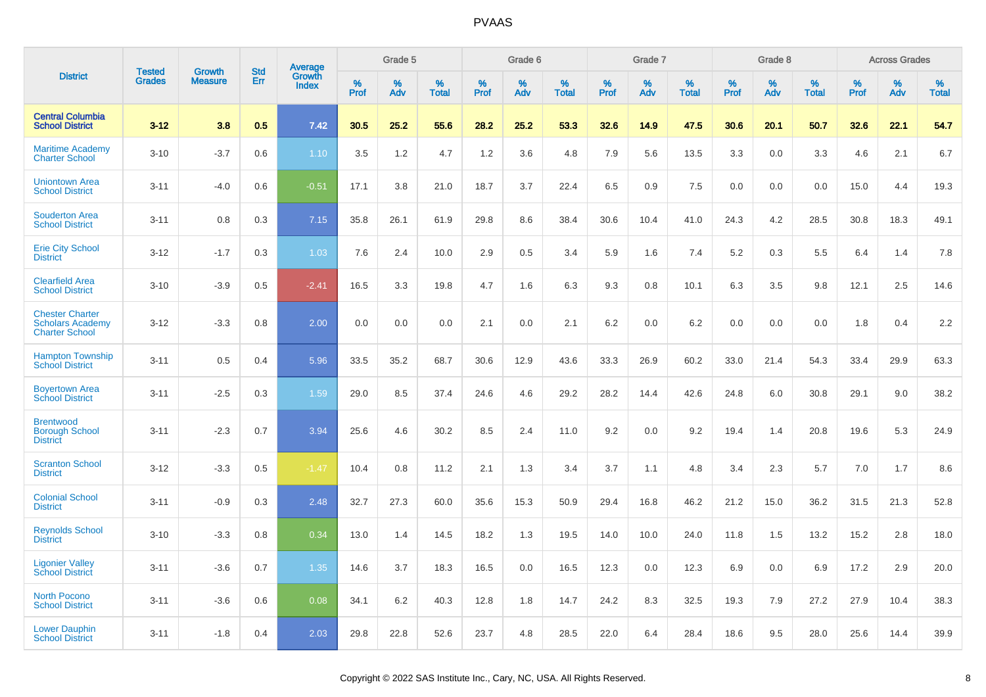|                                                                            | <b>Tested</b> |                                 | <b>Std</b> | Average                |              | Grade 5  |                   |              | Grade 6  |                   |              | Grade 7  |                   |              | Grade 8  |                   |              | <b>Across Grades</b> |                   |
|----------------------------------------------------------------------------|---------------|---------------------------------|------------|------------------------|--------------|----------|-------------------|--------------|----------|-------------------|--------------|----------|-------------------|--------------|----------|-------------------|--------------|----------------------|-------------------|
| <b>District</b>                                                            | <b>Grades</b> | <b>Growth</b><br><b>Measure</b> | Err        | Growth<br><b>Index</b> | $\%$<br>Prof | %<br>Adv | %<br><b>Total</b> | $\%$<br>Prof | %<br>Adv | %<br><b>Total</b> | $\%$<br>Prof | %<br>Adv | %<br><b>Total</b> | $\%$<br>Prof | %<br>Adv | %<br><b>Total</b> | $\%$<br>Prof | %<br>Adv             | %<br><b>Total</b> |
| <b>Central Columbia</b><br><b>School District</b>                          | $3 - 12$      | 3.8                             | 0.5        | 7.42                   | 30.5         | 25.2     | 55.6              | 28.2         | 25.2     | 53.3              | 32.6         | 14.9     | 47.5              | 30.6         | 20.1     | 50.7              | 32.6         | 22.1                 | 54.7              |
| <b>Maritime Academy</b><br><b>Charter School</b>                           | $3 - 10$      | $-3.7$                          | 0.6        | 1.10                   | 3.5          | 1.2      | 4.7               | 1.2          | 3.6      | 4.8               | 7.9          | 5.6      | 13.5              | 3.3          | 0.0      | 3.3               | 4.6          | 2.1                  | 6.7               |
| <b>Uniontown Area</b><br><b>School District</b>                            | $3 - 11$      | $-4.0$                          | 0.6        | $-0.51$                | 17.1         | 3.8      | 21.0              | 18.7         | 3.7      | 22.4              | 6.5          | 0.9      | 7.5               | 0.0          | 0.0      | 0.0               | 15.0         | 4.4                  | 19.3              |
| <b>Souderton Area</b><br><b>School District</b>                            | $3 - 11$      | 0.8                             | 0.3        | 7.15                   | 35.8         | 26.1     | 61.9              | 29.8         | 8.6      | 38.4              | 30.6         | 10.4     | 41.0              | 24.3         | 4.2      | 28.5              | 30.8         | 18.3                 | 49.1              |
| <b>Erie City School</b><br><b>District</b>                                 | $3 - 12$      | $-1.7$                          | 0.3        | 1.03                   | 7.6          | 2.4      | 10.0              | 2.9          | 0.5      | 3.4               | 5.9          | 1.6      | 7.4               | 5.2          | 0.3      | 5.5               | 6.4          | 1.4                  | 7.8               |
| <b>Clearfield Area</b><br><b>School District</b>                           | $3 - 10$      | $-3.9$                          | 0.5        | $-2.41$                | 16.5         | 3.3      | 19.8              | 4.7          | 1.6      | 6.3               | 9.3          | 0.8      | 10.1              | 6.3          | 3.5      | 9.8               | 12.1         | 2.5                  | 14.6              |
| <b>Chester Charter</b><br><b>Scholars Academy</b><br><b>Charter School</b> | $3 - 12$      | $-3.3$                          | 0.8        | 2.00                   | 0.0          | 0.0      | 0.0               | 2.1          | 0.0      | 2.1               | 6.2          | 0.0      | 6.2               | 0.0          | 0.0      | 0.0               | 1.8          | 0.4                  | 2.2               |
| <b>Hampton Township</b><br><b>School District</b>                          | $3 - 11$      | 0.5                             | 0.4        | 5.96                   | 33.5         | 35.2     | 68.7              | 30.6         | 12.9     | 43.6              | 33.3         | 26.9     | 60.2              | 33.0         | 21.4     | 54.3              | 33.4         | 29.9                 | 63.3              |
| <b>Boyertown Area</b><br><b>School District</b>                            | $3 - 11$      | $-2.5$                          | 0.3        | 1.59                   | 29.0         | 8.5      | 37.4              | 24.6         | 4.6      | 29.2              | 28.2         | 14.4     | 42.6              | 24.8         | 6.0      | 30.8              | 29.1         | 9.0                  | 38.2              |
| <b>Brentwood</b><br><b>Borough School</b><br><b>District</b>               | $3 - 11$      | $-2.3$                          | 0.7        | 3.94                   | 25.6         | 4.6      | 30.2              | 8.5          | 2.4      | 11.0              | 9.2          | 0.0      | 9.2               | 19.4         | 1.4      | 20.8              | 19.6         | 5.3                  | 24.9              |
| <b>Scranton School</b><br><b>District</b>                                  | $3 - 12$      | $-3.3$                          | 0.5        | $-1.47$                | 10.4         | 0.8      | 11.2              | 2.1          | 1.3      | 3.4               | 3.7          | 1.1      | 4.8               | 3.4          | 2.3      | 5.7               | 7.0          | 1.7                  | 8.6               |
| <b>Colonial School</b><br><b>District</b>                                  | $3 - 11$      | $-0.9$                          | 0.3        | 2.48                   | 32.7         | 27.3     | 60.0              | 35.6         | 15.3     | 50.9              | 29.4         | 16.8     | 46.2              | 21.2         | 15.0     | 36.2              | 31.5         | 21.3                 | 52.8              |
| <b>Reynolds School</b><br><b>District</b>                                  | $3 - 10$      | $-3.3$                          | 0.8        | 0.34                   | 13.0         | 1.4      | 14.5              | 18.2         | 1.3      | 19.5              | 14.0         | 10.0     | 24.0              | 11.8         | 1.5      | 13.2              | 15.2         | 2.8                  | 18.0              |
| <b>Ligonier Valley</b><br><b>School District</b>                           | $3 - 11$      | $-3.6$                          | 0.7        | 1.35                   | 14.6         | 3.7      | 18.3              | 16.5         | 0.0      | 16.5              | 12.3         | 0.0      | 12.3              | 6.9          | 0.0      | 6.9               | 17.2         | 2.9                  | 20.0              |
| <b>North Pocono</b><br><b>School District</b>                              | $3 - 11$      | $-3.6$                          | 0.6        | 0.08                   | 34.1         | 6.2      | 40.3              | 12.8         | 1.8      | 14.7              | 24.2         | 8.3      | 32.5              | 19.3         | 7.9      | 27.2              | 27.9         | 10.4                 | 38.3              |
| <b>Lower Dauphin</b><br><b>School District</b>                             | $3 - 11$      | $-1.8$                          | 0.4        | 2.03                   | 29.8         | 22.8     | 52.6              | 23.7         | 4.8      | 28.5              | 22.0         | 6.4      | 28.4              | 18.6         | 9.5      | 28.0              | 25.6         | 14.4                 | 39.9              |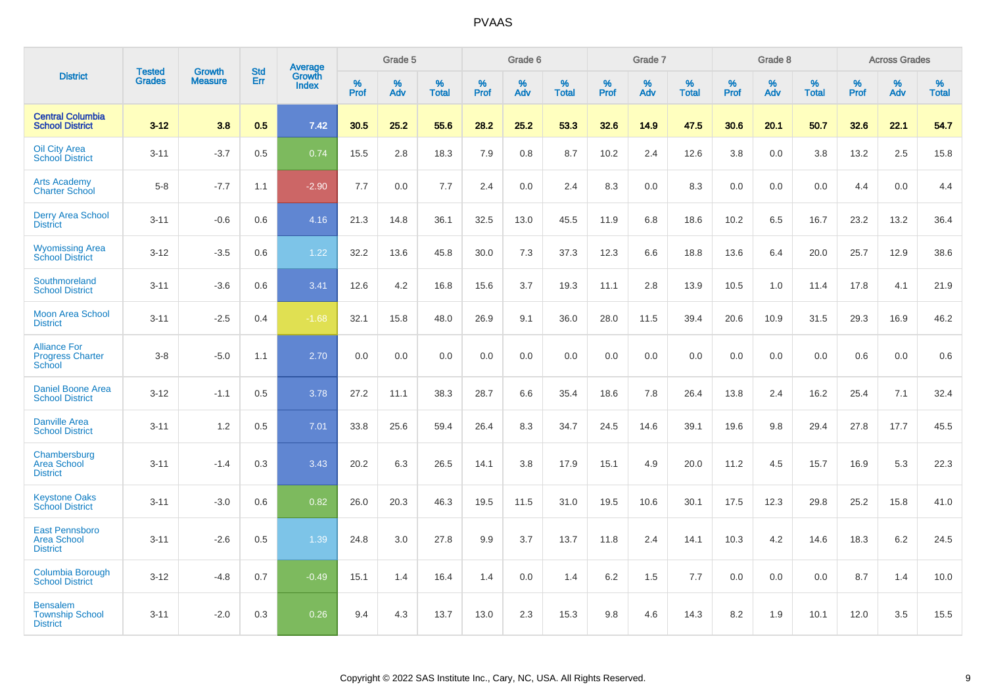|                                                              |                                |                                 | <b>Std</b> | Average         |           | Grade 5  |                   |           | Grade 6  |                   |           | Grade 7  |                      |           | Grade 8  |                   |           | <b>Across Grades</b> |                   |
|--------------------------------------------------------------|--------------------------------|---------------------------------|------------|-----------------|-----------|----------|-------------------|-----------|----------|-------------------|-----------|----------|----------------------|-----------|----------|-------------------|-----------|----------------------|-------------------|
| <b>District</b>                                              | <b>Tested</b><br><b>Grades</b> | <b>Growth</b><br><b>Measure</b> | Err        | Growth<br>Index | %<br>Prof | %<br>Adv | %<br><b>Total</b> | %<br>Prof | %<br>Adv | %<br><b>Total</b> | %<br>Prof | %<br>Adv | $\%$<br><b>Total</b> | %<br>Prof | %<br>Adv | %<br><b>Total</b> | %<br>Prof | %<br>Adv             | %<br><b>Total</b> |
| <b>Central Columbia</b><br><b>School District</b>            | $3 - 12$                       | 3.8                             | 0.5        | 7.42            | 30.5      | 25.2     | 55.6              | 28.2      | 25.2     | 53.3              | 32.6      | 14.9     | 47.5                 | 30.6      | 20.1     | 50.7              | 32.6      | 22.1                 | 54.7              |
| <b>Oil City Area</b><br><b>School District</b>               | $3 - 11$                       | $-3.7$                          | 0.5        | 0.74            | 15.5      | 2.8      | 18.3              | 7.9       | 0.8      | 8.7               | 10.2      | 2.4      | 12.6                 | 3.8       | 0.0      | 3.8               | 13.2      | 2.5                  | 15.8              |
| <b>Arts Academy</b><br><b>Charter School</b>                 | $5 - 8$                        | $-7.7$                          | 1.1        | $-2.90$         | 7.7       | 0.0      | 7.7               | 2.4       | 0.0      | 2.4               | 8.3       | 0.0      | 8.3                  | 0.0       | 0.0      | 0.0               | 4.4       | 0.0                  | 4.4               |
| <b>Derry Area School</b><br><b>District</b>                  | $3 - 11$                       | $-0.6$                          | 0.6        | 4.16            | 21.3      | 14.8     | 36.1              | 32.5      | 13.0     | 45.5              | 11.9      | 6.8      | 18.6                 | 10.2      | 6.5      | 16.7              | 23.2      | 13.2                 | 36.4              |
| <b>Wyomissing Area</b><br><b>School District</b>             | $3 - 12$                       | $-3.5$                          | 0.6        | 1.22            | 32.2      | 13.6     | 45.8              | 30.0      | 7.3      | 37.3              | 12.3      | 6.6      | 18.8                 | 13.6      | 6.4      | 20.0              | 25.7      | 12.9                 | 38.6              |
| Southmoreland<br><b>School District</b>                      | $3 - 11$                       | $-3.6$                          | 0.6        | 3.41            | 12.6      | 4.2      | 16.8              | 15.6      | 3.7      | 19.3              | 11.1      | 2.8      | 13.9                 | 10.5      | 1.0      | 11.4              | 17.8      | 4.1                  | 21.9              |
| <b>Moon Area School</b><br><b>District</b>                   | $3 - 11$                       | $-2.5$                          | 0.4        | $-1.68$         | 32.1      | 15.8     | 48.0              | 26.9      | 9.1      | 36.0              | 28.0      | 11.5     | 39.4                 | 20.6      | 10.9     | 31.5              | 29.3      | 16.9                 | 46.2              |
| <b>Alliance For</b><br><b>Progress Charter</b><br>School     | $3 - 8$                        | $-5.0$                          | 1.1        | 2.70            | 0.0       | 0.0      | 0.0               | 0.0       | 0.0      | 0.0               | 0.0       | 0.0      | 0.0                  | 0.0       | 0.0      | 0.0               | 0.6       | 0.0                  | 0.6               |
| <b>Daniel Boone Area</b><br><b>School District</b>           | $3 - 12$                       | $-1.1$                          | 0.5        | 3.78            | 27.2      | 11.1     | 38.3              | 28.7      | 6.6      | 35.4              | 18.6      | 7.8      | 26.4                 | 13.8      | 2.4      | 16.2              | 25.4      | 7.1                  | 32.4              |
| <b>Danville Area</b><br><b>School District</b>               | $3 - 11$                       | 1.2                             | 0.5        | 7.01            | 33.8      | 25.6     | 59.4              | 26.4      | 8.3      | 34.7              | 24.5      | 14.6     | 39.1                 | 19.6      | 9.8      | 29.4              | 27.8      | 17.7                 | 45.5              |
| Chambersburg<br><b>Area School</b><br><b>District</b>        | $3 - 11$                       | $-1.4$                          | 0.3        | 3.43            | 20.2      | 6.3      | 26.5              | 14.1      | 3.8      | 17.9              | 15.1      | 4.9      | 20.0                 | 11.2      | 4.5      | 15.7              | 16.9      | 5.3                  | 22.3              |
| <b>Keystone Oaks</b><br><b>School District</b>               | $3 - 11$                       | $-3.0$                          | 0.6        | 0.82            | 26.0      | 20.3     | 46.3              | 19.5      | 11.5     | 31.0              | 19.5      | 10.6     | 30.1                 | 17.5      | 12.3     | 29.8              | 25.2      | 15.8                 | 41.0              |
| East Pennsboro<br><b>Area School</b><br><b>District</b>      | $3 - 11$                       | $-2.6$                          | 0.5        | 1.39            | 24.8      | 3.0      | 27.8              | 9.9       | 3.7      | 13.7              | 11.8      | 2.4      | 14.1                 | 10.3      | 4.2      | 14.6              | 18.3      | 6.2                  | 24.5              |
| Columbia Borough<br><b>School District</b>                   | $3 - 12$                       | $-4.8$                          | 0.7        | $-0.49$         | 15.1      | 1.4      | 16.4              | 1.4       | 0.0      | 1.4               | 6.2       | 1.5      | 7.7                  | 0.0       | 0.0      | 0.0               | 8.7       | 1.4                  | 10.0              |
| <b>Bensalem</b><br><b>Township School</b><br><b>District</b> | $3 - 11$                       | $-2.0$                          | 0.3        | 0.26            | 9.4       | 4.3      | 13.7              | 13.0      | 2.3      | 15.3              | 9.8       | 4.6      | 14.3                 | 8.2       | 1.9      | 10.1              | 12.0      | 3.5                  | 15.5              |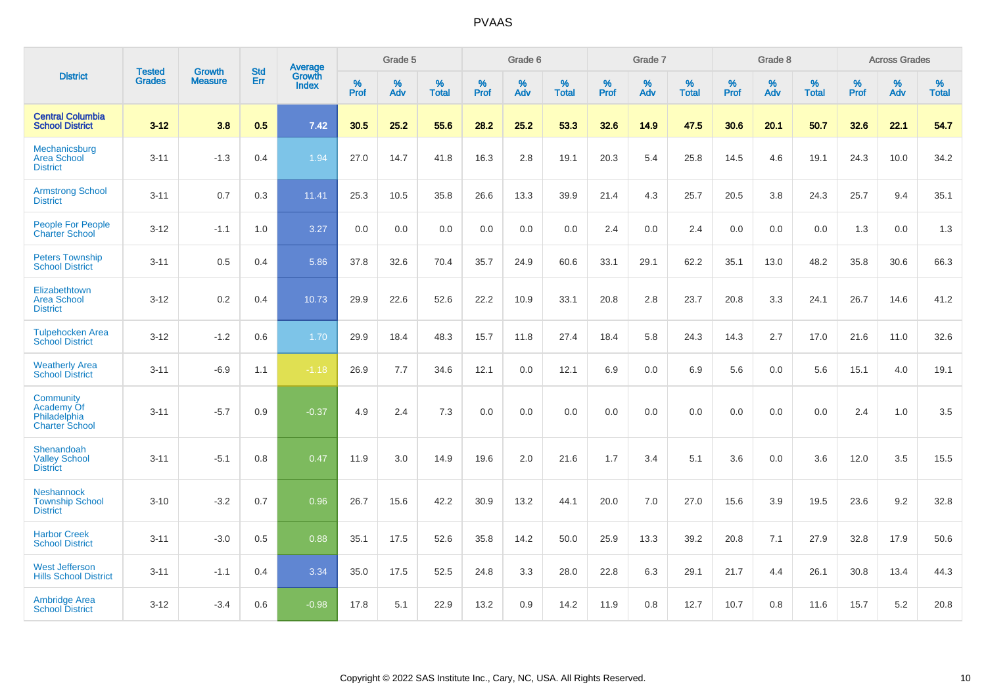|                                                                  | <b>Tested</b> |                          | <b>Std</b> | Average                |           | Grade 5  |                   |           | Grade 6  |                   |           | Grade 7  |                   |           | Grade 8  |                   |           | <b>Across Grades</b> |                   |
|------------------------------------------------------------------|---------------|--------------------------|------------|------------------------|-----------|----------|-------------------|-----------|----------|-------------------|-----------|----------|-------------------|-----------|----------|-------------------|-----------|----------------------|-------------------|
| <b>District</b>                                                  | <b>Grades</b> | Growth<br><b>Measure</b> | Err        | Growth<br><b>Index</b> | %<br>Prof | %<br>Adv | %<br><b>Total</b> | %<br>Prof | %<br>Adv | %<br><b>Total</b> | %<br>Prof | %<br>Adv | %<br><b>Total</b> | %<br>Prof | %<br>Adv | %<br><b>Total</b> | %<br>Prof | %<br>Adv             | %<br><b>Total</b> |
| <b>Central Columbia</b><br><b>School District</b>                | $3 - 12$      | 3.8                      | 0.5        | 7.42                   | 30.5      | 25.2     | 55.6              | 28.2      | 25.2     | 53.3              | 32.6      | 14.9     | 47.5              | 30.6      | 20.1     | 50.7              | 32.6      | 22.1                 | 54.7              |
| Mechanicsburg<br><b>Area School</b><br><b>District</b>           | $3 - 11$      | $-1.3$                   | 0.4        | 1.94                   | 27.0      | 14.7     | 41.8              | 16.3      | 2.8      | 19.1              | 20.3      | 5.4      | 25.8              | 14.5      | 4.6      | 19.1              | 24.3      | 10.0                 | 34.2              |
| <b>Armstrong School</b><br><b>District</b>                       | $3 - 11$      | 0.7                      | 0.3        | 11.41                  | 25.3      | 10.5     | 35.8              | 26.6      | 13.3     | 39.9              | 21.4      | 4.3      | 25.7              | 20.5      | 3.8      | 24.3              | 25.7      | 9.4                  | 35.1              |
| People For People<br><b>Charter School</b>                       | $3 - 12$      | $-1.1$                   | 1.0        | 3.27                   | 0.0       | 0.0      | 0.0               | 0.0       | 0.0      | 0.0               | 2.4       | 0.0      | 2.4               | 0.0       | 0.0      | 0.0               | 1.3       | 0.0                  | 1.3               |
| <b>Peters Township</b><br><b>School District</b>                 | $3 - 11$      | 0.5                      | 0.4        | 5.86                   | 37.8      | 32.6     | 70.4              | 35.7      | 24.9     | 60.6              | 33.1      | 29.1     | 62.2              | 35.1      | 13.0     | 48.2              | 35.8      | 30.6                 | 66.3              |
| Elizabethtown<br><b>Area School</b><br><b>District</b>           | $3 - 12$      | 0.2                      | 0.4        | 10.73                  | 29.9      | 22.6     | 52.6              | 22.2      | 10.9     | 33.1              | 20.8      | 2.8      | 23.7              | 20.8      | 3.3      | 24.1              | 26.7      | 14.6                 | 41.2              |
| <b>Tulpehocken Area</b><br><b>School District</b>                | $3 - 12$      | $-1.2$                   | 0.6        | 1.70                   | 29.9      | 18.4     | 48.3              | 15.7      | 11.8     | 27.4              | 18.4      | 5.8      | 24.3              | 14.3      | 2.7      | 17.0              | 21.6      | 11.0                 | 32.6              |
| <b>Weatherly Area</b><br><b>School District</b>                  | $3 - 11$      | $-6.9$                   | 1.1        | $-1.18$                | 26.9      | 7.7      | 34.6              | 12.1      | 0.0      | 12.1              | 6.9       | 0.0      | 6.9               | 5.6       | 0.0      | 5.6               | 15.1      | 4.0                  | 19.1              |
| Community<br>Academy Of<br>Philadelphia<br><b>Charter School</b> | $3 - 11$      | $-5.7$                   | 0.9        | $-0.37$                | 4.9       | 2.4      | 7.3               | 0.0       | 0.0      | 0.0               | 0.0       | 0.0      | 0.0               | 0.0       | 0.0      | 0.0               | 2.4       | 1.0                  | 3.5               |
| Shenandoah<br><b>Valley School</b><br><b>District</b>            | $3 - 11$      | $-5.1$                   | 0.8        | 0.47                   | 11.9      | 3.0      | 14.9              | 19.6      | 2.0      | 21.6              | 1.7       | 3.4      | 5.1               | 3.6       | 0.0      | 3.6               | 12.0      | 3.5                  | 15.5              |
| <b>Neshannock</b><br><b>Township School</b><br><b>District</b>   | $3 - 10$      | $-3.2$                   | 0.7        | 0.96                   | 26.7      | 15.6     | 42.2              | 30.9      | 13.2     | 44.1              | 20.0      | 7.0      | 27.0              | 15.6      | 3.9      | 19.5              | 23.6      | 9.2                  | 32.8              |
| <b>Harbor Creek</b><br><b>School District</b>                    | $3 - 11$      | $-3.0$                   | 0.5        | 0.88                   | 35.1      | 17.5     | 52.6              | 35.8      | 14.2     | 50.0              | 25.9      | 13.3     | 39.2              | 20.8      | 7.1      | 27.9              | 32.8      | 17.9                 | 50.6              |
| <b>West Jefferson</b><br><b>Hills School District</b>            | $3 - 11$      | $-1.1$                   | 0.4        | 3.34                   | 35.0      | 17.5     | 52.5              | 24.8      | 3.3      | 28.0              | 22.8      | 6.3      | 29.1              | 21.7      | 4.4      | 26.1              | 30.8      | 13.4                 | 44.3              |
| <b>Ambridge Area</b><br><b>School District</b>                   | $3 - 12$      | $-3.4$                   | 0.6        | $-0.98$                | 17.8      | 5.1      | 22.9              | 13.2      | 0.9      | 14.2              | 11.9      | 0.8      | 12.7              | 10.7      | 0.8      | 11.6              | 15.7      | 5.2                  | 20.8              |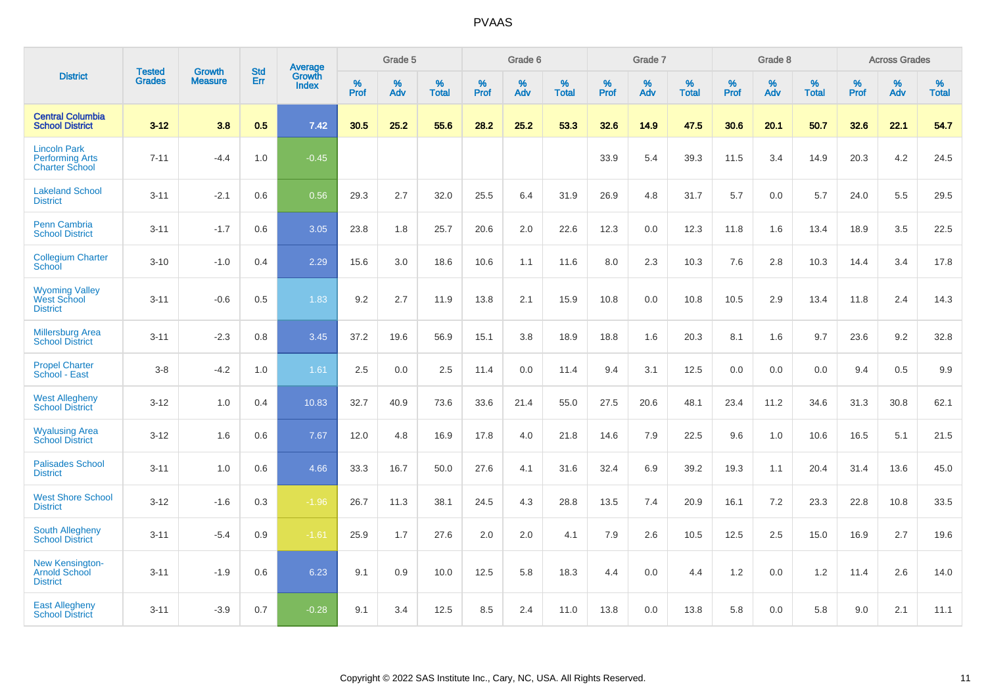|                                                                        |                                | <b>Growth</b>  | <b>Std</b> | Average                       |           | Grade 5  |                   |           | Grade 6  |                   |           | Grade 7  |                   |           | Grade 8  |                   |           | <b>Across Grades</b> |                   |
|------------------------------------------------------------------------|--------------------------------|----------------|------------|-------------------------------|-----------|----------|-------------------|-----------|----------|-------------------|-----------|----------|-------------------|-----------|----------|-------------------|-----------|----------------------|-------------------|
| <b>District</b>                                                        | <b>Tested</b><br><b>Grades</b> | <b>Measure</b> | Err        | <b>Growth</b><br><b>Index</b> | %<br>Prof | %<br>Adv | %<br><b>Total</b> | %<br>Prof | %<br>Adv | %<br><b>Total</b> | %<br>Prof | %<br>Adv | %<br><b>Total</b> | %<br>Prof | %<br>Adv | %<br><b>Total</b> | %<br>Prof | %<br>Adv             | %<br><b>Total</b> |
| <b>Central Columbia</b><br><b>School District</b>                      | $3 - 12$                       | 3.8            | 0.5        | 7.42                          | 30.5      | 25.2     | 55.6              | 28.2      | 25.2     | 53.3              | 32.6      | 14.9     | 47.5              | 30.6      | 20.1     | 50.7              | 32.6      | 22.1                 | 54.7              |
| <b>Lincoln Park</b><br><b>Performing Arts</b><br><b>Charter School</b> | $7 - 11$                       | $-4.4$         | 1.0        | $-0.45$                       |           |          |                   |           |          |                   | 33.9      | 5.4      | 39.3              | 11.5      | 3.4      | 14.9              | 20.3      | 4.2                  | 24.5              |
| <b>Lakeland School</b><br><b>District</b>                              | $3 - 11$                       | $-2.1$         | 0.6        | 0.56                          | 29.3      | 2.7      | 32.0              | 25.5      | 6.4      | 31.9              | 26.9      | 4.8      | 31.7              | 5.7       | 0.0      | 5.7               | 24.0      | 5.5                  | 29.5              |
| <b>Penn Cambria</b><br><b>School District</b>                          | $3 - 11$                       | $-1.7$         | 0.6        | 3.05                          | 23.8      | 1.8      | 25.7              | 20.6      | 2.0      | 22.6              | 12.3      | 0.0      | 12.3              | 11.8      | 1.6      | 13.4              | 18.9      | 3.5                  | 22.5              |
| <b>Collegium Charter</b><br>School                                     | $3 - 10$                       | $-1.0$         | 0.4        | 2.29                          | 15.6      | 3.0      | 18.6              | 10.6      | 1.1      | 11.6              | 8.0       | 2.3      | 10.3              | 7.6       | 2.8      | 10.3              | 14.4      | 3.4                  | 17.8              |
| <b>Wyoming Valley</b><br>West School<br><b>District</b>                | $3 - 11$                       | $-0.6$         | 0.5        | 1.83                          | 9.2       | 2.7      | 11.9              | 13.8      | 2.1      | 15.9              | 10.8      | 0.0      | 10.8              | 10.5      | 2.9      | 13.4              | 11.8      | 2.4                  | 14.3              |
| <b>Millersburg Area</b><br><b>School District</b>                      | $3 - 11$                       | $-2.3$         | 0.8        | 3.45                          | 37.2      | 19.6     | 56.9              | 15.1      | 3.8      | 18.9              | 18.8      | 1.6      | 20.3              | 8.1       | 1.6      | 9.7               | 23.6      | 9.2                  | 32.8              |
| <b>Propel Charter</b><br>School - East                                 | $3 - 8$                        | $-4.2$         | 1.0        | 1.61                          | 2.5       | 0.0      | 2.5               | 11.4      | 0.0      | 11.4              | 9.4       | 3.1      | 12.5              | 0.0       | 0.0      | 0.0               | 9.4       | 0.5                  | 9.9               |
| <b>West Allegheny</b><br><b>School District</b>                        | $3 - 12$                       | 1.0            | 0.4        | 10.83                         | 32.7      | 40.9     | 73.6              | 33.6      | 21.4     | 55.0              | 27.5      | 20.6     | 48.1              | 23.4      | 11.2     | 34.6              | 31.3      | 30.8                 | 62.1              |
| <b>Wyalusing Area</b><br><b>School District</b>                        | $3 - 12$                       | 1.6            | 0.6        | 7.67                          | 12.0      | 4.8      | 16.9              | 17.8      | 4.0      | 21.8              | 14.6      | 7.9      | 22.5              | 9.6       | 1.0      | 10.6              | 16.5      | 5.1                  | 21.5              |
| <b>Palisades School</b><br><b>District</b>                             | $3 - 11$                       | 1.0            | 0.6        | 4.66                          | 33.3      | 16.7     | 50.0              | 27.6      | 4.1      | 31.6              | 32.4      | 6.9      | 39.2              | 19.3      | 1.1      | 20.4              | 31.4      | 13.6                 | 45.0              |
| <b>West Shore School</b><br><b>District</b>                            | $3 - 12$                       | $-1.6$         | 0.3        | $-1.96$                       | 26.7      | 11.3     | 38.1              | 24.5      | 4.3      | 28.8              | 13.5      | 7.4      | 20.9              | 16.1      | 7.2      | 23.3              | 22.8      | 10.8                 | 33.5              |
| <b>South Allegheny</b><br><b>School District</b>                       | $3 - 11$                       | $-5.4$         | 0.9        | $-1.61$                       | 25.9      | 1.7      | 27.6              | 2.0       | 2.0      | 4.1               | 7.9       | 2.6      | 10.5              | 12.5      | 2.5      | 15.0              | 16.9      | 2.7                  | 19.6              |
| <b>New Kensington-</b><br><b>Arnold School</b><br><b>District</b>      | $3 - 11$                       | $-1.9$         | 0.6        | 6.23                          | 9.1       | 0.9      | 10.0              | 12.5      | 5.8      | 18.3              | 4.4       | $0.0\,$  | 4.4               | 1.2       | 0.0      | 1.2               | 11.4      | 2.6                  | 14.0              |
| <b>East Allegheny</b><br><b>School District</b>                        | $3 - 11$                       | $-3.9$         | 0.7        | $-0.28$                       | 9.1       | 3.4      | 12.5              | 8.5       | 2.4      | 11.0              | 13.8      | 0.0      | 13.8              | 5.8       | 0.0      | 5.8               | 9.0       | 2.1                  | 11.1              |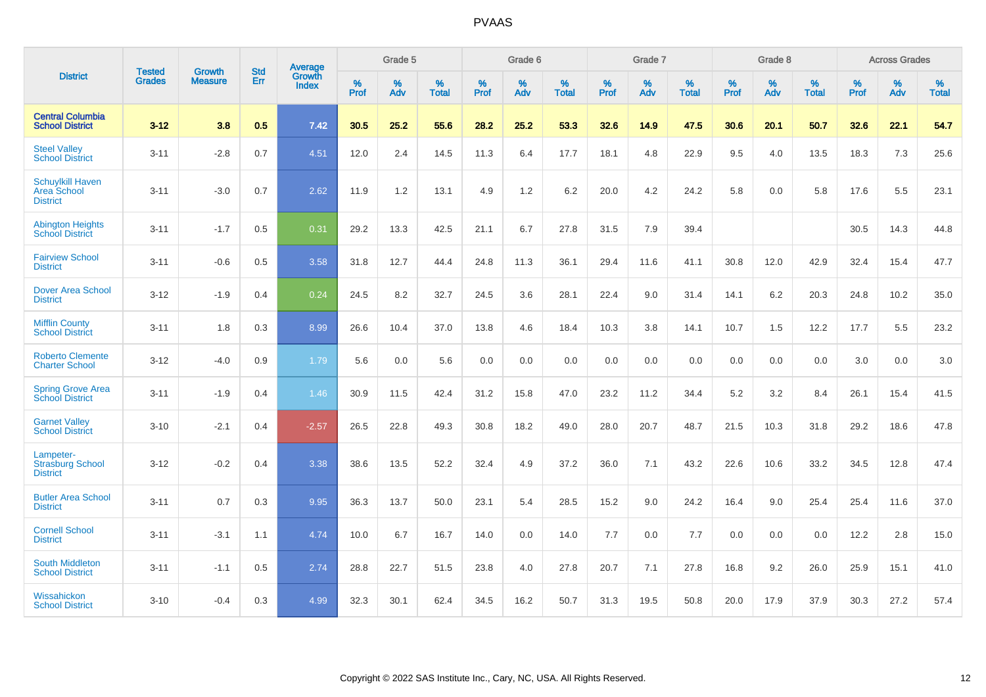|                                                                  | <b>Tested</b> | <b>Growth</b>  | <b>Std</b> | Average                |                  | Grade 5  |                   |                  | Grade 6  |                   |           | Grade 7  |                   |           | Grade 8  |                   |           | <b>Across Grades</b> |                   |
|------------------------------------------------------------------|---------------|----------------|------------|------------------------|------------------|----------|-------------------|------------------|----------|-------------------|-----------|----------|-------------------|-----------|----------|-------------------|-----------|----------------------|-------------------|
| <b>District</b>                                                  | <b>Grades</b> | <b>Measure</b> | Err        | Growth<br><b>Index</b> | %<br><b>Prof</b> | %<br>Adv | %<br><b>Total</b> | %<br><b>Prof</b> | %<br>Adv | %<br><b>Total</b> | %<br>Prof | %<br>Adv | %<br><b>Total</b> | %<br>Prof | %<br>Adv | %<br><b>Total</b> | %<br>Prof | %<br>Adv             | %<br><b>Total</b> |
| <b>Central Columbia</b><br><b>School District</b>                | $3 - 12$      | 3.8            | 0.5        | 7.42                   | 30.5             | 25.2     | 55.6              | 28.2             | 25.2     | 53.3              | 32.6      | 14.9     | 47.5              | 30.6      | 20.1     | 50.7              | 32.6      | 22.1                 | 54.7              |
| <b>Steel Valley</b><br><b>School District</b>                    | $3 - 11$      | $-2.8$         | 0.7        | 4.51                   | 12.0             | 2.4      | 14.5              | 11.3             | 6.4      | 17.7              | 18.1      | 4.8      | 22.9              | 9.5       | 4.0      | 13.5              | 18.3      | 7.3                  | 25.6              |
| <b>Schuylkill Haven</b><br><b>Area School</b><br><b>District</b> | $3 - 11$      | $-3.0$         | 0.7        | 2.62                   | 11.9             | 1.2      | 13.1              | 4.9              | 1.2      | 6.2               | 20.0      | 4.2      | 24.2              | 5.8       | 0.0      | 5.8               | 17.6      | 5.5                  | 23.1              |
| <b>Abington Heights</b><br><b>School District</b>                | $3 - 11$      | $-1.7$         | 0.5        | 0.31                   | 29.2             | 13.3     | 42.5              | 21.1             | 6.7      | 27.8              | 31.5      | 7.9      | 39.4              |           |          |                   | 30.5      | 14.3                 | 44.8              |
| <b>Fairview School</b><br><b>District</b>                        | $3 - 11$      | $-0.6$         | 0.5        | 3.58                   | 31.8             | 12.7     | 44.4              | 24.8             | 11.3     | 36.1              | 29.4      | 11.6     | 41.1              | 30.8      | 12.0     | 42.9              | 32.4      | 15.4                 | 47.7              |
| <b>Dover Area School</b><br><b>District</b>                      | $3 - 12$      | $-1.9$         | 0.4        | 0.24                   | 24.5             | 8.2      | 32.7              | 24.5             | 3.6      | 28.1              | 22.4      | 9.0      | 31.4              | 14.1      | $6.2\,$  | 20.3              | 24.8      | 10.2                 | 35.0              |
| <b>Mifflin County</b><br><b>School District</b>                  | $3 - 11$      | 1.8            | 0.3        | 8.99                   | 26.6             | 10.4     | 37.0              | 13.8             | 4.6      | 18.4              | 10.3      | 3.8      | 14.1              | 10.7      | 1.5      | 12.2              | 17.7      | 5.5                  | 23.2              |
| <b>Roberto Clemente</b><br><b>Charter School</b>                 | $3 - 12$      | $-4.0$         | 0.9        | 1.79                   | 5.6              | 0.0      | 5.6               | 0.0              | 0.0      | 0.0               | 0.0       | 0.0      | 0.0               | 0.0       | 0.0      | 0.0               | 3.0       | 0.0                  | 3.0               |
| <b>Spring Grove Area</b><br><b>School District</b>               | $3 - 11$      | $-1.9$         | 0.4        | 1.46                   | 30.9             | 11.5     | 42.4              | 31.2             | 15.8     | 47.0              | 23.2      | 11.2     | 34.4              | 5.2       | 3.2      | 8.4               | 26.1      | 15.4                 | 41.5              |
| <b>Garnet Valley</b><br><b>School District</b>                   | $3 - 10$      | $-2.1$         | 0.4        | $-2.57$                | 26.5             | 22.8     | 49.3              | 30.8             | 18.2     | 49.0              | 28.0      | 20.7     | 48.7              | 21.5      | 10.3     | 31.8              | 29.2      | 18.6                 | 47.8              |
| Lampeter-<br><b>Strasburg School</b><br><b>District</b>          | $3 - 12$      | $-0.2$         | 0.4        | 3.38                   | 38.6             | 13.5     | 52.2              | 32.4             | 4.9      | 37.2              | 36.0      | 7.1      | 43.2              | 22.6      | 10.6     | 33.2              | 34.5      | 12.8                 | 47.4              |
| <b>Butler Area School</b><br><b>District</b>                     | $3 - 11$      | 0.7            | 0.3        | 9.95                   | 36.3             | 13.7     | 50.0              | 23.1             | 5.4      | 28.5              | 15.2      | 9.0      | 24.2              | 16.4      | 9.0      | 25.4              | 25.4      | 11.6                 | 37.0              |
| <b>Cornell School</b><br><b>District</b>                         | $3 - 11$      | $-3.1$         | 1.1        | 4.74                   | 10.0             | 6.7      | 16.7              | 14.0             | 0.0      | 14.0              | $7.7$     | 0.0      | 7.7               | 0.0       | 0.0      | 0.0               | 12.2      | $2.8\,$              | 15.0              |
| <b>South Middleton</b><br><b>School District</b>                 | $3 - 11$      | $-1.1$         | 0.5        | 2.74                   | 28.8             | 22.7     | 51.5              | 23.8             | 4.0      | 27.8              | 20.7      | 7.1      | 27.8              | 16.8      | 9.2      | 26.0              | 25.9      | 15.1                 | 41.0              |
| Wissahickon<br><b>School District</b>                            | $3 - 10$      | $-0.4$         | 0.3        | 4.99                   | 32.3             | 30.1     | 62.4              | 34.5             | 16.2     | 50.7              | 31.3      | 19.5     | 50.8              | 20.0      | 17.9     | 37.9              | 30.3      | 27.2                 | 57.4              |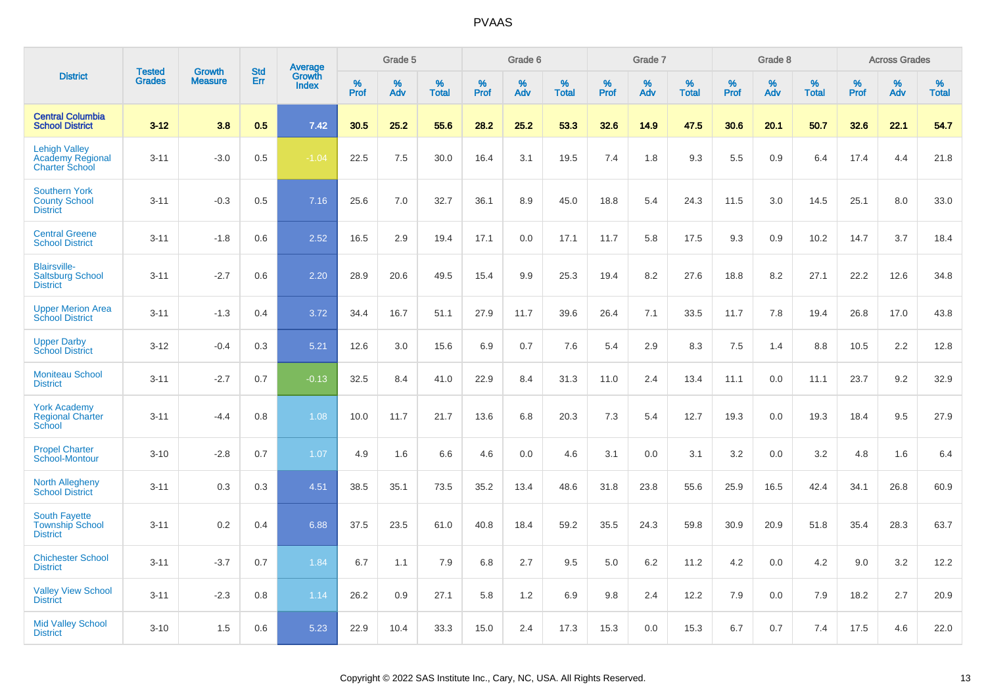|                                                                   |                                |                                 | <b>Std</b> |                                          |                     | Grade 5  |                   |           | Grade 6  |                   |           | Grade 7  |                   |           | Grade 8  |                   |              | <b>Across Grades</b> |                   |
|-------------------------------------------------------------------|--------------------------------|---------------------------------|------------|------------------------------------------|---------------------|----------|-------------------|-----------|----------|-------------------|-----------|----------|-------------------|-----------|----------|-------------------|--------------|----------------------|-------------------|
| <b>District</b>                                                   | <b>Tested</b><br><b>Grades</b> | <b>Growth</b><br><b>Measure</b> | Err        | <b>Average</b><br>Growth<br><b>Index</b> | $\%$<br><b>Prof</b> | %<br>Adv | %<br><b>Total</b> | %<br>Prof | %<br>Adv | %<br><b>Total</b> | %<br>Prof | %<br>Adv | %<br><b>Total</b> | %<br>Prof | %<br>Adv | %<br><b>Total</b> | $\%$<br>Prof | %<br>Adv             | %<br><b>Total</b> |
| <b>Central Columbia</b><br><b>School District</b>                 | $3 - 12$                       | 3.8                             | 0.5        | 7.42                                     | 30.5                | 25.2     | 55.6              | 28.2      | 25.2     | 53.3              | 32.6      | 14.9     | 47.5              | 30.6      | 20.1     | 50.7              | 32.6         | 22.1                 | 54.7              |
| <b>Lehigh Valley</b><br>Academy Regional<br><b>Charter School</b> | $3 - 11$                       | $-3.0$                          | 0.5        | $-1.04$                                  | 22.5                | 7.5      | 30.0              | 16.4      | 3.1      | 19.5              | 7.4       | 1.8      | 9.3               | 5.5       | 0.9      | 6.4               | 17.4         | 4.4                  | 21.8              |
| <b>Southern York</b><br><b>County School</b><br><b>District</b>   | $3 - 11$                       | $-0.3$                          | 0.5        | 7.16                                     | 25.6                | 7.0      | 32.7              | 36.1      | 8.9      | 45.0              | 18.8      | 5.4      | 24.3              | 11.5      | 3.0      | 14.5              | 25.1         | 8.0                  | 33.0              |
| <b>Central Greene</b><br><b>School District</b>                   | $3 - 11$                       | $-1.8$                          | 0.6        | 2.52                                     | 16.5                | 2.9      | 19.4              | 17.1      | 0.0      | 17.1              | 11.7      | 5.8      | 17.5              | 9.3       | 0.9      | 10.2              | 14.7         | 3.7                  | 18.4              |
| <b>Blairsville-</b><br><b>Saltsburg School</b><br><b>District</b> | $3 - 11$                       | $-2.7$                          | 0.6        | 2.20                                     | 28.9                | 20.6     | 49.5              | 15.4      | 9.9      | 25.3              | 19.4      | 8.2      | 27.6              | 18.8      | 8.2      | 27.1              | 22.2         | 12.6                 | 34.8              |
| <b>Upper Merion Area</b><br><b>School District</b>                | $3 - 11$                       | $-1.3$                          | 0.4        | 3.72                                     | 34.4                | 16.7     | 51.1              | 27.9      | 11.7     | 39.6              | 26.4      | 7.1      | 33.5              | 11.7      | 7.8      | 19.4              | 26.8         | 17.0                 | 43.8              |
| <b>Upper Darby</b><br><b>School District</b>                      | $3 - 12$                       | $-0.4$                          | 0.3        | 5.21                                     | 12.6                | 3.0      | 15.6              | 6.9       | 0.7      | 7.6               | 5.4       | 2.9      | 8.3               | 7.5       | 1.4      | 8.8               | 10.5         | 2.2                  | 12.8              |
| <b>Moniteau School</b><br><b>District</b>                         | $3 - 11$                       | $-2.7$                          | 0.7        | $-0.13$                                  | 32.5                | 8.4      | 41.0              | 22.9      | 8.4      | 31.3              | 11.0      | 2.4      | 13.4              | 11.1      | 0.0      | 11.1              | 23.7         | 9.2                  | 32.9              |
| <b>York Academy</b><br><b>Regional Charter</b><br>School          | $3 - 11$                       | $-4.4$                          | 0.8        | 1.08                                     | 10.0                | 11.7     | 21.7              | 13.6      | 6.8      | 20.3              | 7.3       | 5.4      | 12.7              | 19.3      | 0.0      | 19.3              | 18.4         | 9.5                  | 27.9              |
| <b>Propel Charter</b><br>School-Montour                           | $3 - 10$                       | $-2.8$                          | 0.7        | 1.07                                     | 4.9                 | 1.6      | 6.6               | 4.6       | 0.0      | 4.6               | 3.1       | 0.0      | 3.1               | 3.2       | 0.0      | 3.2               | 4.8          | 1.6                  | 6.4               |
| <b>North Allegheny</b><br><b>School District</b>                  | $3 - 11$                       | 0.3                             | 0.3        | 4.51                                     | 38.5                | 35.1     | 73.5              | 35.2      | 13.4     | 48.6              | 31.8      | 23.8     | 55.6              | 25.9      | 16.5     | 42.4              | 34.1         | 26.8                 | 60.9              |
| South Fayette<br><b>Township School</b><br><b>District</b>        | $3 - 11$                       | 0.2                             | 0.4        | 6.88                                     | 37.5                | 23.5     | 61.0              | 40.8      | 18.4     | 59.2              | 35.5      | 24.3     | 59.8              | 30.9      | 20.9     | 51.8              | 35.4         | 28.3                 | 63.7              |
| <b>Chichester School</b><br><b>District</b>                       | $3 - 11$                       | $-3.7$                          | 0.7        | 1.84                                     | 6.7                 | 1.1      | 7.9               | 6.8       | 2.7      | 9.5               | 5.0       | 6.2      | 11.2              | 4.2       | 0.0      | 4.2               | 9.0          | 3.2                  | 12.2              |
| <b>Valley View School</b><br><b>District</b>                      | $3 - 11$                       | $-2.3$                          | 0.8        | 1.14                                     | 26.2                | 0.9      | 27.1              | 5.8       | 1.2      | 6.9               | 9.8       | 2.4      | 12.2              | 7.9       | 0.0      | 7.9               | 18.2         | 2.7                  | 20.9              |
| <b>Mid Valley School</b><br><b>District</b>                       | $3 - 10$                       | 1.5                             | 0.6        | 5.23                                     | 22.9                | 10.4     | 33.3              | 15.0      | 2.4      | 17.3              | 15.3      | 0.0      | 15.3              | 6.7       | 0.7      | 7.4               | 17.5         | 4.6                  | 22.0              |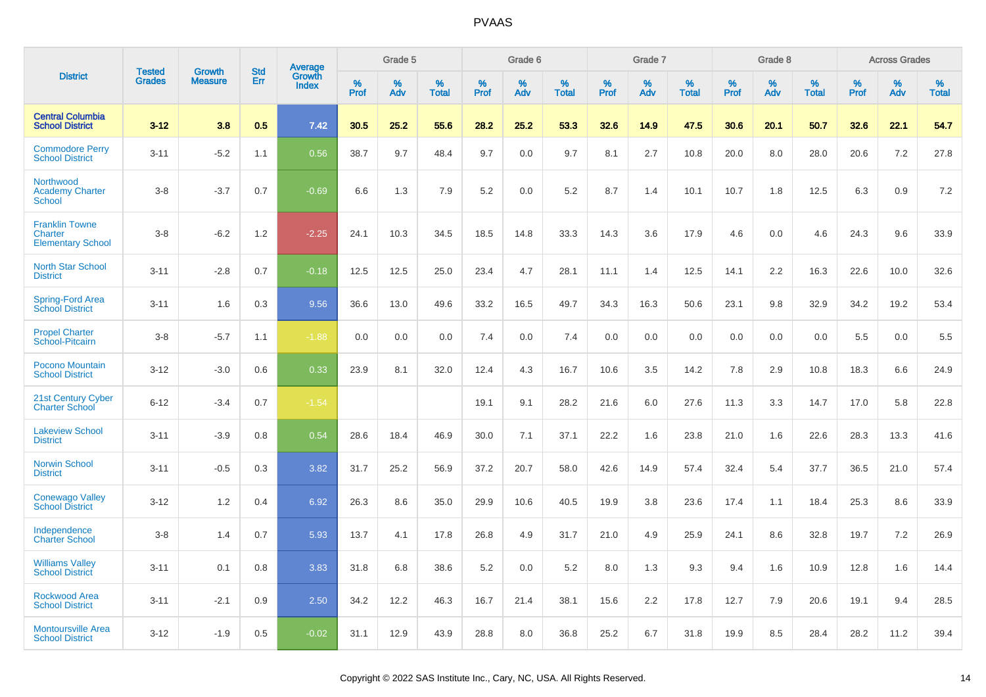|                                                              | <b>Tested</b> |                                 | <b>Std</b> |                                          |              | Grade 5  |                   |              | Grade 6  |                   |              | Grade 7  |                   |              | Grade 8  |                   |              | <b>Across Grades</b> |                   |
|--------------------------------------------------------------|---------------|---------------------------------|------------|------------------------------------------|--------------|----------|-------------------|--------------|----------|-------------------|--------------|----------|-------------------|--------------|----------|-------------------|--------------|----------------------|-------------------|
| <b>District</b>                                              | <b>Grades</b> | <b>Growth</b><br><b>Measure</b> | Err        | <b>Average</b><br>Growth<br><b>Index</b> | $\%$<br>Prof | %<br>Adv | %<br><b>Total</b> | $\%$<br>Prof | %<br>Adv | %<br><b>Total</b> | $\%$<br>Prof | %<br>Adv | %<br><b>Total</b> | $\%$<br>Prof | %<br>Adv | %<br><b>Total</b> | $\%$<br>Prof | %<br>Adv             | %<br><b>Total</b> |
| <b>Central Columbia</b><br><b>School District</b>            | $3 - 12$      | 3.8                             | 0.5        | 7.42                                     | 30.5         | 25.2     | 55.6              | 28.2         | 25.2     | 53.3              | 32.6         | 14.9     | 47.5              | 30.6         | 20.1     | 50.7              | 32.6         | 22.1                 | 54.7              |
| <b>Commodore Perry</b><br><b>School District</b>             | $3 - 11$      | $-5.2$                          | 1.1        | 0.56                                     | 38.7         | 9.7      | 48.4              | 9.7          | 0.0      | 9.7               | 8.1          | 2.7      | 10.8              | 20.0         | 8.0      | 28.0              | 20.6         | 7.2                  | 27.8              |
| Northwood<br><b>Academy Charter</b><br><b>School</b>         | $3 - 8$       | $-3.7$                          | 0.7        | $-0.69$                                  | 6.6          | 1.3      | 7.9               | 5.2          | 0.0      | 5.2               | 8.7          | 1.4      | 10.1              | 10.7         | 1.8      | 12.5              | 6.3          | 0.9                  | 7.2               |
| <b>Franklin Towne</b><br>Charter<br><b>Elementary School</b> | $3 - 8$       | $-6.2$                          | 1.2        | $-2.25$                                  | 24.1         | 10.3     | 34.5              | 18.5         | 14.8     | 33.3              | 14.3         | 3.6      | 17.9              | 4.6          | 0.0      | 4.6               | 24.3         | 9.6                  | 33.9              |
| <b>North Star School</b><br><b>District</b>                  | $3 - 11$      | $-2.8$                          | 0.7        | $-0.18$                                  | 12.5         | 12.5     | 25.0              | 23.4         | 4.7      | 28.1              | 11.1         | 1.4      | 12.5              | 14.1         | 2.2      | 16.3              | 22.6         | 10.0                 | 32.6              |
| Spring-Ford Area<br><b>School District</b>                   | $3 - 11$      | 1.6                             | 0.3        | 9.56                                     | 36.6         | 13.0     | 49.6              | 33.2         | 16.5     | 49.7              | 34.3         | 16.3     | 50.6              | 23.1         | 9.8      | 32.9              | 34.2         | 19.2                 | 53.4              |
| <b>Propel Charter</b><br>School-Pitcairn                     | $3 - 8$       | $-5.7$                          | 1.1        | $-1.88$                                  | 0.0          | 0.0      | 0.0               | 7.4          | 0.0      | 7.4               | 0.0          | 0.0      | 0.0               | 0.0          | 0.0      | 0.0               | 5.5          | 0.0                  | 5.5               |
| Pocono Mountain<br><b>School District</b>                    | $3 - 12$      | $-3.0$                          | 0.6        | 0.33                                     | 23.9         | 8.1      | 32.0              | 12.4         | 4.3      | 16.7              | 10.6         | 3.5      | 14.2              | 7.8          | 2.9      | 10.8              | 18.3         | 6.6                  | 24.9              |
| 21st Century Cyber<br><b>Charter School</b>                  | $6 - 12$      | $-3.4$                          | 0.7        | $-1.54$                                  |              |          |                   | 19.1         | 9.1      | 28.2              | 21.6         | 6.0      | 27.6              | 11.3         | 3.3      | 14.7              | 17.0         | 5.8                  | 22.8              |
| <b>Lakeview School</b><br><b>District</b>                    | $3 - 11$      | $-3.9$                          | 0.8        | 0.54                                     | 28.6         | 18.4     | 46.9              | 30.0         | 7.1      | 37.1              | 22.2         | 1.6      | 23.8              | 21.0         | 1.6      | 22.6              | 28.3         | 13.3                 | 41.6              |
| <b>Norwin School</b><br><b>District</b>                      | $3 - 11$      | $-0.5$                          | 0.3        | 3.82                                     | 31.7         | 25.2     | 56.9              | 37.2         | 20.7     | 58.0              | 42.6         | 14.9     | 57.4              | 32.4         | 5.4      | 37.7              | 36.5         | 21.0                 | 57.4              |
| <b>Conewago Valley</b><br><b>School District</b>             | $3 - 12$      | 1.2                             | 0.4        | 6.92                                     | 26.3         | 8.6      | 35.0              | 29.9         | 10.6     | 40.5              | 19.9         | 3.8      | 23.6              | 17.4         | 1.1      | 18.4              | 25.3         | 8.6                  | 33.9              |
| Independence<br><b>Charter School</b>                        | $3 - 8$       | 1.4                             | 0.7        | 5.93                                     | 13.7         | 4.1      | 17.8              | 26.8         | 4.9      | 31.7              | 21.0         | 4.9      | 25.9              | 24.1         | 8.6      | 32.8              | 19.7         | 7.2                  | 26.9              |
| <b>Williams Valley</b><br><b>School District</b>             | $3 - 11$      | 0.1                             | 0.8        | 3.83                                     | 31.8         | 6.8      | 38.6              | 5.2          | 0.0      | 5.2               | 8.0          | 1.3      | 9.3               | 9.4          | 1.6      | 10.9              | 12.8         | 1.6                  | 14.4              |
| <b>Rockwood Area</b><br><b>School District</b>               | $3 - 11$      | $-2.1$                          | 0.9        | 2.50                                     | 34.2         | 12.2     | 46.3              | 16.7         | 21.4     | 38.1              | 15.6         | 2.2      | 17.8              | 12.7         | 7.9      | 20.6              | 19.1         | 9.4                  | 28.5              |
| <b>Montoursville Area</b><br><b>School District</b>          | $3 - 12$      | $-1.9$                          | 0.5        | $-0.02$                                  | 31.1         | 12.9     | 43.9              | 28.8         | 8.0      | 36.8              | 25.2         | 6.7      | 31.8              | 19.9         | 8.5      | 28.4              | 28.2         | 11.2                 | 39.4              |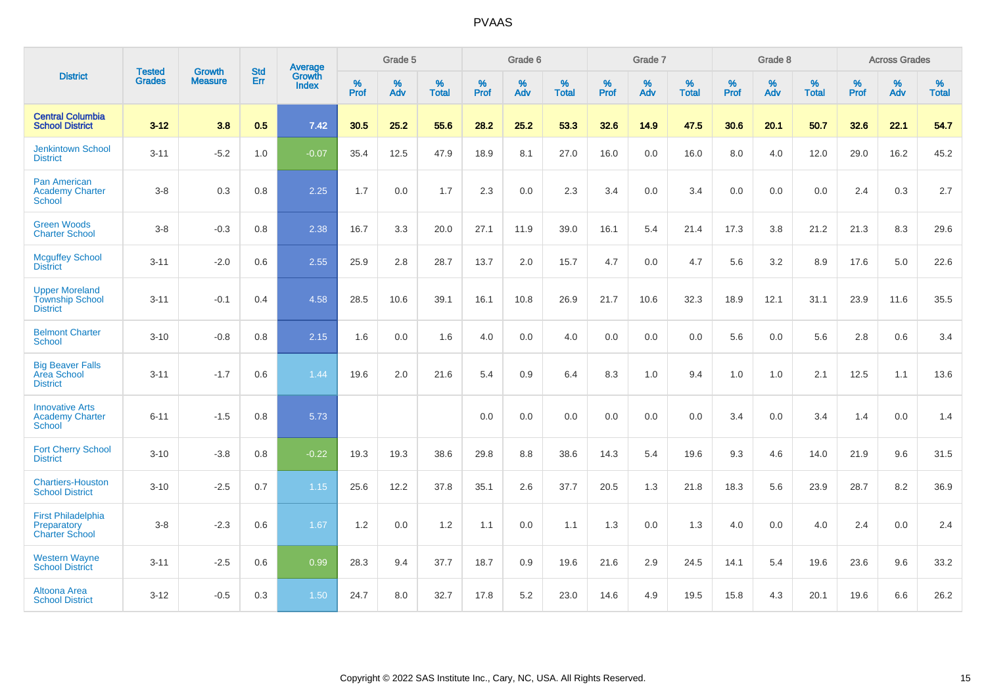|                                                                    |                                |                                 | <b>Std</b> | Average                |                     | Grade 5  |                   |              | Grade 6  |                   |                     | Grade 7  |                   |                     | Grade 8  |                   |              | <b>Across Grades</b> |                   |
|--------------------------------------------------------------------|--------------------------------|---------------------------------|------------|------------------------|---------------------|----------|-------------------|--------------|----------|-------------------|---------------------|----------|-------------------|---------------------|----------|-------------------|--------------|----------------------|-------------------|
| <b>District</b>                                                    | <b>Tested</b><br><b>Grades</b> | <b>Growth</b><br><b>Measure</b> | Err        | Growth<br><b>Index</b> | $\%$<br><b>Prof</b> | %<br>Adv | %<br><b>Total</b> | $\%$<br>Prof | %<br>Adv | %<br><b>Total</b> | $\%$<br><b>Prof</b> | %<br>Adv | %<br><b>Total</b> | $\%$<br><b>Prof</b> | %<br>Adv | %<br><b>Total</b> | $\%$<br>Prof | %<br>Adv             | %<br><b>Total</b> |
| <b>Central Columbia</b><br><b>School District</b>                  | $3 - 12$                       | 3.8                             | 0.5        | 7.42                   | 30.5                | 25.2     | 55.6              | 28.2         | 25.2     | 53.3              | 32.6                | 14.9     | 47.5              | 30.6                | 20.1     | 50.7              | 32.6         | 22.1                 | 54.7              |
| <b>Jenkintown School</b><br><b>District</b>                        | $3 - 11$                       | $-5.2$                          | 1.0        | $-0.07$                | 35.4                | 12.5     | 47.9              | 18.9         | 8.1      | 27.0              | 16.0                | 0.0      | 16.0              | 8.0                 | 4.0      | 12.0              | 29.0         | 16.2                 | 45.2              |
| <b>Pan American</b><br><b>Academy Charter</b><br><b>School</b>     | $3 - 8$                        | 0.3                             | 0.8        | 2.25                   | 1.7                 | 0.0      | 1.7               | 2.3          | 0.0      | 2.3               | 3.4                 | 0.0      | 3.4               | 0.0                 | 0.0      | 0.0               | 2.4          | 0.3                  | 2.7               |
| <b>Green Woods</b><br><b>Charter School</b>                        | $3-8$                          | $-0.3$                          | $0.8\,$    | 2.38                   | 16.7                | 3.3      | 20.0              | 27.1         | 11.9     | 39.0              | 16.1                | 5.4      | 21.4              | 17.3                | 3.8      | 21.2              | 21.3         | 8.3                  | 29.6              |
| <b>Mcguffey School</b><br><b>District</b>                          | $3 - 11$                       | $-2.0$                          | 0.6        | 2.55                   | 25.9                | 2.8      | 28.7              | 13.7         | 2.0      | 15.7              | 4.7                 | 0.0      | 4.7               | 5.6                 | 3.2      | 8.9               | 17.6         | 5.0                  | 22.6              |
| <b>Upper Moreland</b><br><b>Township School</b><br><b>District</b> | $3 - 11$                       | $-0.1$                          | 0.4        | 4.58                   | 28.5                | 10.6     | 39.1              | 16.1         | 10.8     | 26.9              | 21.7                | 10.6     | 32.3              | 18.9                | 12.1     | 31.1              | 23.9         | 11.6                 | 35.5              |
| <b>Belmont Charter</b><br>School                                   | $3 - 10$                       | $-0.8$                          | 0.8        | 2.15                   | 1.6                 | 0.0      | 1.6               | 4.0          | 0.0      | 4.0               | 0.0                 | 0.0      | 0.0               | 5.6                 | 0.0      | 5.6               | 2.8          | $0.6\,$              | 3.4               |
| <b>Big Beaver Falls</b><br>Area School<br><b>District</b>          | $3 - 11$                       | $-1.7$                          | 0.6        | 1.44                   | 19.6                | 2.0      | 21.6              | 5.4          | 0.9      | 6.4               | 8.3                 | 1.0      | 9.4               | 1.0                 | 1.0      | 2.1               | 12.5         | 1.1                  | 13.6              |
| <b>Innovative Arts</b><br><b>Academy Charter</b><br><b>School</b>  | $6 - 11$                       | $-1.5$                          | 0.8        | 5.73                   |                     |          |                   | 0.0          | 0.0      | 0.0               | 0.0                 | 0.0      | 0.0               | 3.4                 | 0.0      | 3.4               | 1.4          | 0.0                  | 1.4               |
| <b>Fort Cherry School</b><br><b>District</b>                       | $3 - 10$                       | $-3.8$                          | 0.8        | $-0.22$                | 19.3                | 19.3     | 38.6              | 29.8         | 8.8      | 38.6              | 14.3                | 5.4      | 19.6              | 9.3                 | 4.6      | 14.0              | 21.9         | 9.6                  | 31.5              |
| <b>Chartiers-Houston</b><br><b>School District</b>                 | $3 - 10$                       | $-2.5$                          | 0.7        | 1.15                   | 25.6                | 12.2     | 37.8              | 35.1         | 2.6      | 37.7              | 20.5                | 1.3      | 21.8              | 18.3                | 5.6      | 23.9              | 28.7         | 8.2                  | 36.9              |
| <b>First Philadelphia</b><br>Preparatory<br><b>Charter School</b>  | $3 - 8$                        | $-2.3$                          | 0.6        | 1.67                   | 1.2                 | 0.0      | 1.2               | 1.1          | 0.0      | 1.1               | 1.3                 | 0.0      | 1.3               | 4.0                 | 0.0      | 4.0               | 2.4          | 0.0                  | 2.4               |
| <b>Western Wayne</b><br><b>School District</b>                     | $3 - 11$                       | $-2.5$                          | 0.6        | 0.99                   | 28.3                | 9.4      | 37.7              | 18.7         | 0.9      | 19.6              | 21.6                | 2.9      | 24.5              | 14.1                | 5.4      | 19.6              | 23.6         | 9.6                  | 33.2              |
| Altoona Area<br><b>School District</b>                             | $3 - 12$                       | $-0.5$                          | 0.3        | 1.50                   | 24.7                | 8.0      | 32.7              | 17.8         | 5.2      | 23.0              | 14.6                | 4.9      | 19.5              | 15.8                | 4.3      | 20.1              | 19.6         | 6.6                  | 26.2              |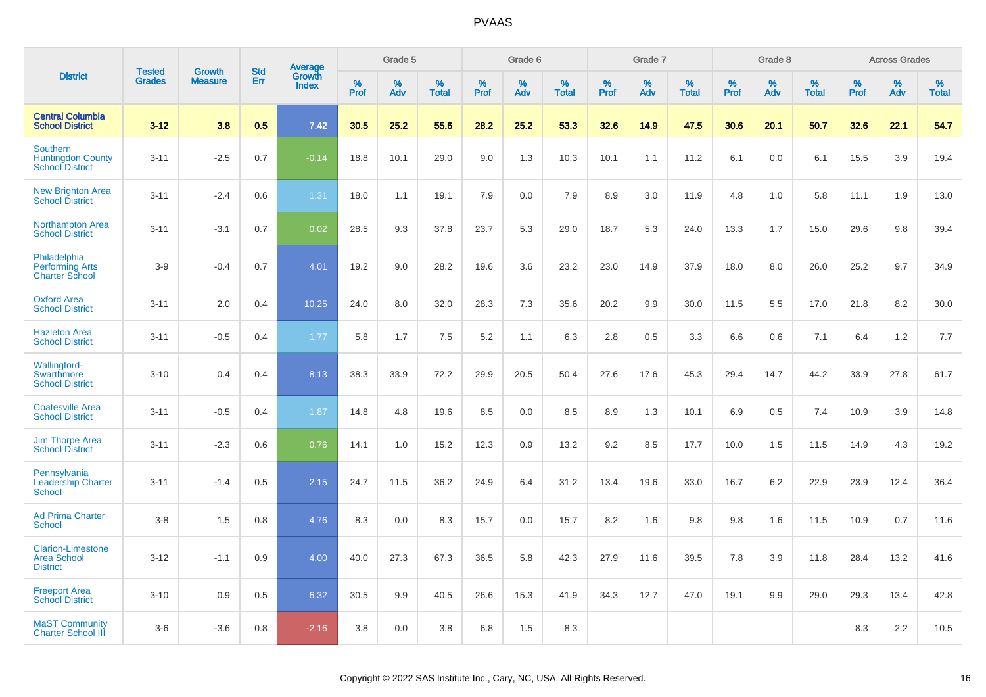|                                                                       | <b>Tested</b> | <b>Growth</b>  | <b>Std</b> | Average                |                     | Grade 5  |                   |           | Grade 6  |                   |           | Grade 7  |                   |           | Grade 8  |                   |              | <b>Across Grades</b> |                   |
|-----------------------------------------------------------------------|---------------|----------------|------------|------------------------|---------------------|----------|-------------------|-----------|----------|-------------------|-----------|----------|-------------------|-----------|----------|-------------------|--------------|----------------------|-------------------|
| <b>District</b>                                                       | <b>Grades</b> | <b>Measure</b> | Err        | Growth<br><b>Index</b> | $\%$<br><b>Prof</b> | %<br>Adv | %<br><b>Total</b> | %<br>Prof | %<br>Adv | %<br><b>Total</b> | %<br>Prof | %<br>Adv | %<br><b>Total</b> | %<br>Prof | %<br>Adv | %<br><b>Total</b> | $\%$<br>Prof | %<br>Adv             | %<br><b>Total</b> |
| <b>Central Columbia</b><br><b>School District</b>                     | $3 - 12$      | 3.8            | 0.5        | 7.42                   | 30.5                | 25.2     | 55.6              | 28.2      | 25.2     | 53.3              | 32.6      | 14.9     | 47.5              | 30.6      | 20.1     | 50.7              | 32.6         | 22.1                 | 54.7              |
| <b>Southern</b><br><b>Huntingdon County</b><br><b>School District</b> | $3 - 11$      | $-2.5$         | 0.7        | $-0.14$                | 18.8                | 10.1     | 29.0              | 9.0       | 1.3      | 10.3              | 10.1      | 1.1      | 11.2              | 6.1       | 0.0      | 6.1               | 15.5         | 3.9                  | 19.4              |
| <b>New Brighton Area</b><br><b>School District</b>                    | $3 - 11$      | $-2.4$         | 0.6        | 1.31                   | 18.0                | 1.1      | 19.1              | 7.9       | 0.0      | 7.9               | 8.9       | 3.0      | 11.9              | 4.8       | 1.0      | 5.8               | 11.1         | 1.9                  | 13.0              |
| <b>Northampton Area</b><br><b>School District</b>                     | $3 - 11$      | $-3.1$         | 0.7        | 0.02                   | 28.5                | 9.3      | 37.8              | 23.7      | 5.3      | 29.0              | 18.7      | 5.3      | 24.0              | 13.3      | 1.7      | 15.0              | 29.6         | 9.8                  | 39.4              |
| Philadelphia<br><b>Performing Arts</b><br><b>Charter School</b>       | $3-9$         | $-0.4$         | 0.7        | 4.01                   | 19.2                | 9.0      | 28.2              | 19.6      | 3.6      | 23.2              | 23.0      | 14.9     | 37.9              | 18.0      | 8.0      | 26.0              | 25.2         | 9.7                  | 34.9              |
| <b>Oxford Area</b><br><b>School District</b>                          | $3 - 11$      | 2.0            | 0.4        | 10.25                  | 24.0                | 8.0      | 32.0              | 28.3      | 7.3      | 35.6              | 20.2      | 9.9      | 30.0              | 11.5      | 5.5      | 17.0              | 21.8         | 8.2                  | 30.0              |
| <b>Hazleton Area</b><br><b>School District</b>                        | $3 - 11$      | $-0.5$         | 0.4        | 1.77                   | 5.8                 | 1.7      | 7.5               | 5.2       | 1.1      | 6.3               | 2.8       | 0.5      | 3.3               | 6.6       | 0.6      | 7.1               | 6.4          | 1.2                  | 7.7               |
| <b>Wallingford-</b><br>Swarthmore<br><b>School District</b>           | $3 - 10$      | 0.4            | 0.4        | 8.13                   | 38.3                | 33.9     | 72.2              | 29.9      | 20.5     | 50.4              | 27.6      | 17.6     | 45.3              | 29.4      | 14.7     | 44.2              | 33.9         | 27.8                 | 61.7              |
| <b>Coatesville Area</b><br><b>School District</b>                     | $3 - 11$      | $-0.5$         | 0.4        | 1.87                   | 14.8                | 4.8      | 19.6              | 8.5       | 0.0      | 8.5               | $8.9\,$   | 1.3      | 10.1              | 6.9       | 0.5      | 7.4               | 10.9         | 3.9                  | 14.8              |
| <b>Jim Thorpe Area</b><br><b>School District</b>                      | $3 - 11$      | $-2.3$         | 0.6        | 0.76                   | 14.1                | 1.0      | 15.2              | 12.3      | 0.9      | 13.2              | 9.2       | 8.5      | 17.7              | 10.0      | 1.5      | 11.5              | 14.9         | 4.3                  | 19.2              |
| Pennsylvania<br><b>Leadership Charter</b><br><b>School</b>            | $3 - 11$      | $-1.4$         | 0.5        | 2.15                   | 24.7                | 11.5     | 36.2              | 24.9      | 6.4      | 31.2              | 13.4      | 19.6     | 33.0              | 16.7      | 6.2      | 22.9              | 23.9         | 12.4                 | 36.4              |
| <b>Ad Prima Charter</b><br><b>School</b>                              | $3-8$         | 1.5            | 0.8        | 4.76                   | 8.3                 | 0.0      | 8.3               | 15.7      | 0.0      | 15.7              | 8.2       | 1.6      | 9.8               | 9.8       | 1.6      | 11.5              | 10.9         | 0.7                  | 11.6              |
| <b>Clarion-Limestone</b><br><b>Area School</b><br><b>District</b>     | $3 - 12$      | $-1.1$         | 0.9        | 4.00                   | 40.0                | 27.3     | 67.3              | 36.5      | 5.8      | 42.3              | 27.9      | 11.6     | 39.5              | 7.8       | 3.9      | 11.8              | 28.4         | 13.2                 | 41.6              |
| <b>Freeport Area</b><br><b>School District</b>                        | $3 - 10$      | 0.9            | 0.5        | 6.32                   | 30.5                | 9.9      | 40.5              | 26.6      | 15.3     | 41.9              | 34.3      | 12.7     | 47.0              | 19.1      | 9.9      | 29.0              | 29.3         | 13.4                 | 42.8              |
| <b>MaST Community</b><br><b>Charter School III</b>                    | $3-6$         | $-3.6$         | 0.8        | $-2.16$                | 3.8                 | 0.0      | 3.8               | 6.8       | 1.5      | 8.3               |           |          |                   |           |          |                   | 8.3          | 2.2                  | 10.5              |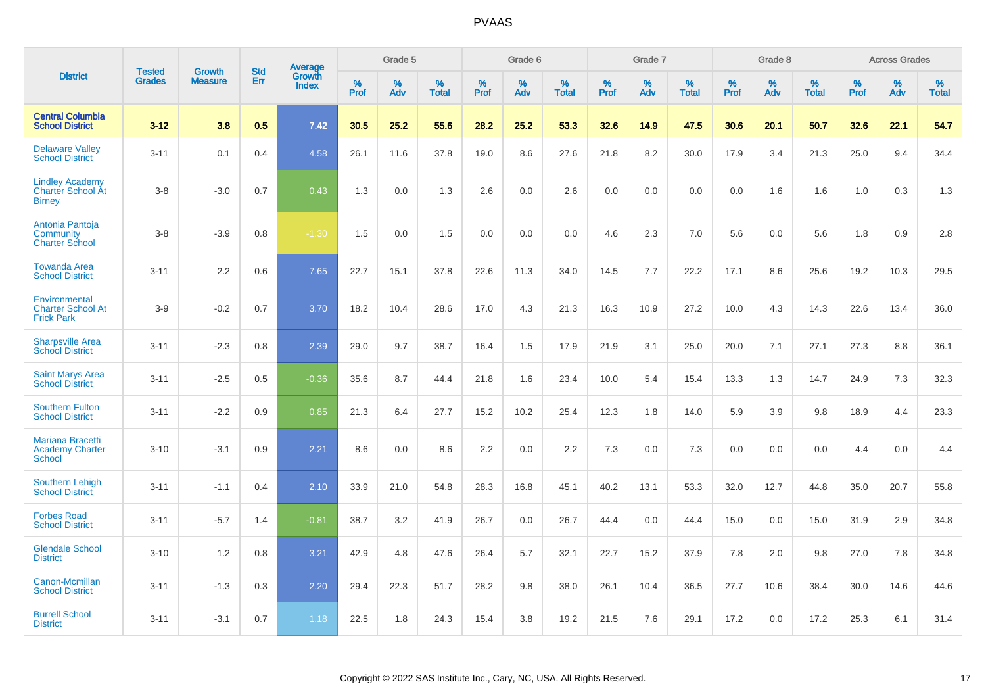|                                                                     |                                | <b>Growth</b>  | <b>Std</b> | <b>Average</b>         |              | Grade 5  |                   |           | Grade 6  |                   |           | Grade 7  |                   |              | Grade 8  |                   |              | <b>Across Grades</b> |                   |
|---------------------------------------------------------------------|--------------------------------|----------------|------------|------------------------|--------------|----------|-------------------|-----------|----------|-------------------|-----------|----------|-------------------|--------------|----------|-------------------|--------------|----------------------|-------------------|
| <b>District</b>                                                     | <b>Tested</b><br><b>Grades</b> | <b>Measure</b> | <b>Err</b> | Growth<br><b>Index</b> | $\%$<br>Prof | %<br>Adv | %<br><b>Total</b> | %<br>Prof | %<br>Adv | %<br><b>Total</b> | %<br>Prof | %<br>Adv | %<br><b>Total</b> | $\%$<br>Prof | %<br>Adv | %<br><b>Total</b> | $\%$<br>Prof | %<br>Adv             | %<br><b>Total</b> |
| <b>Central Columbia</b><br><b>School District</b>                   | $3 - 12$                       | 3.8            | 0.5        | 7.42                   | 30.5         | 25.2     | 55.6              | 28.2      | 25.2     | 53.3              | 32.6      | 14.9     | 47.5              | 30.6         | 20.1     | 50.7              | 32.6         | 22.1                 | 54.7              |
| <b>Delaware Valley</b><br><b>School District</b>                    | $3 - 11$                       | 0.1            | 0.4        | 4.58                   | 26.1         | 11.6     | 37.8              | 19.0      | 8.6      | 27.6              | 21.8      | 8.2      | 30.0              | 17.9         | 3.4      | 21.3              | 25.0         | 9.4                  | 34.4              |
| <b>Lindley Academy</b><br><b>Charter School At</b><br><b>Birney</b> | $3 - 8$                        | $-3.0$         | 0.7        | 0.43                   | 1.3          | 0.0      | 1.3               | 2.6       | 0.0      | 2.6               | 0.0       | 0.0      | 0.0               | 0.0          | 1.6      | 1.6               | 1.0          | 0.3                  | 1.3               |
| Antonia Pantoja<br>Community<br><b>Charter School</b>               | $3 - 8$                        | $-3.9$         | 0.8        | $-1.30$                | 1.5          | 0.0      | 1.5               | 0.0       | 0.0      | 0.0               | 4.6       | 2.3      | 7.0               | 5.6          | 0.0      | 5.6               | 1.8          | 0.9                  | 2.8               |
| <b>Towanda Area</b><br><b>School District</b>                       | $3 - 11$                       | 2.2            | 0.6        | 7.65                   | 22.7         | 15.1     | 37.8              | 22.6      | 11.3     | 34.0              | 14.5      | 7.7      | 22.2              | 17.1         | 8.6      | 25.6              | 19.2         | 10.3                 | 29.5              |
| Environmental<br><b>Charter School At</b><br><b>Frick Park</b>      | $3-9$                          | $-0.2$         | 0.7        | 3.70                   | 18.2         | 10.4     | 28.6              | 17.0      | 4.3      | 21.3              | 16.3      | 10.9     | 27.2              | 10.0         | 4.3      | 14.3              | 22.6         | 13.4                 | 36.0              |
| <b>Sharpsville Area</b><br><b>School District</b>                   | $3 - 11$                       | $-2.3$         | 0.8        | 2.39                   | 29.0         | 9.7      | 38.7              | 16.4      | 1.5      | 17.9              | 21.9      | 3.1      | 25.0              | 20.0         | 7.1      | 27.1              | 27.3         | 8.8                  | 36.1              |
| <b>Saint Marys Area</b><br><b>School District</b>                   | $3 - 11$                       | $-2.5$         | 0.5        | $-0.36$                | 35.6         | 8.7      | 44.4              | 21.8      | 1.6      | 23.4              | 10.0      | 5.4      | 15.4              | 13.3         | 1.3      | 14.7              | 24.9         | 7.3                  | 32.3              |
| <b>Southern Fulton</b><br><b>School District</b>                    | $3 - 11$                       | $-2.2$         | 0.9        | 0.85                   | 21.3         | 6.4      | 27.7              | 15.2      | 10.2     | 25.4              | 12.3      | 1.8      | 14.0              | 5.9          | 3.9      | 9.8               | 18.9         | 4.4                  | 23.3              |
| <b>Mariana Bracetti</b><br><b>Academy Charter</b><br><b>School</b>  | $3 - 10$                       | $-3.1$         | 0.9        | 2.21                   | 8.6          | 0.0      | 8.6               | 2.2       | 0.0      | 2.2               | 7.3       | 0.0      | 7.3               | 0.0          | 0.0      | 0.0               | 4.4          | 0.0                  | 4.4               |
| <b>Southern Lehigh</b><br><b>School District</b>                    | $3 - 11$                       | $-1.1$         | 0.4        | 2.10                   | 33.9         | 21.0     | 54.8              | 28.3      | 16.8     | 45.1              | 40.2      | 13.1     | 53.3              | 32.0         | 12.7     | 44.8              | 35.0         | 20.7                 | 55.8              |
| <b>Forbes Road</b><br><b>School District</b>                        | $3 - 11$                       | $-5.7$         | 1.4        | $-0.81$                | 38.7         | 3.2      | 41.9              | 26.7      | 0.0      | 26.7              | 44.4      | 0.0      | 44.4              | 15.0         | 0.0      | 15.0              | 31.9         | 2.9                  | 34.8              |
| <b>Glendale School</b><br><b>District</b>                           | $3 - 10$                       | 1.2            | 0.8        | 3.21                   | 42.9         | 4.8      | 47.6              | 26.4      | 5.7      | 32.1              | 22.7      | 15.2     | 37.9              | 7.8          | 2.0      | 9.8               | 27.0         | 7.8                  | 34.8              |
| Canon-Mcmillan<br><b>School District</b>                            | $3 - 11$                       | $-1.3$         | 0.3        | 2.20                   | 29.4         | 22.3     | 51.7              | 28.2      | 9.8      | 38.0              | 26.1      | 10.4     | 36.5              | 27.7         | 10.6     | 38.4              | 30.0         | 14.6                 | 44.6              |
| <b>Burrell School</b><br><b>District</b>                            | $3 - 11$                       | $-3.1$         | 0.7        | 1.18                   | 22.5         | 1.8      | 24.3              | 15.4      | 3.8      | 19.2              | 21.5      | 7.6      | 29.1              | 17.2         | 0.0      | 17.2              | 25.3         | 6.1                  | 31.4              |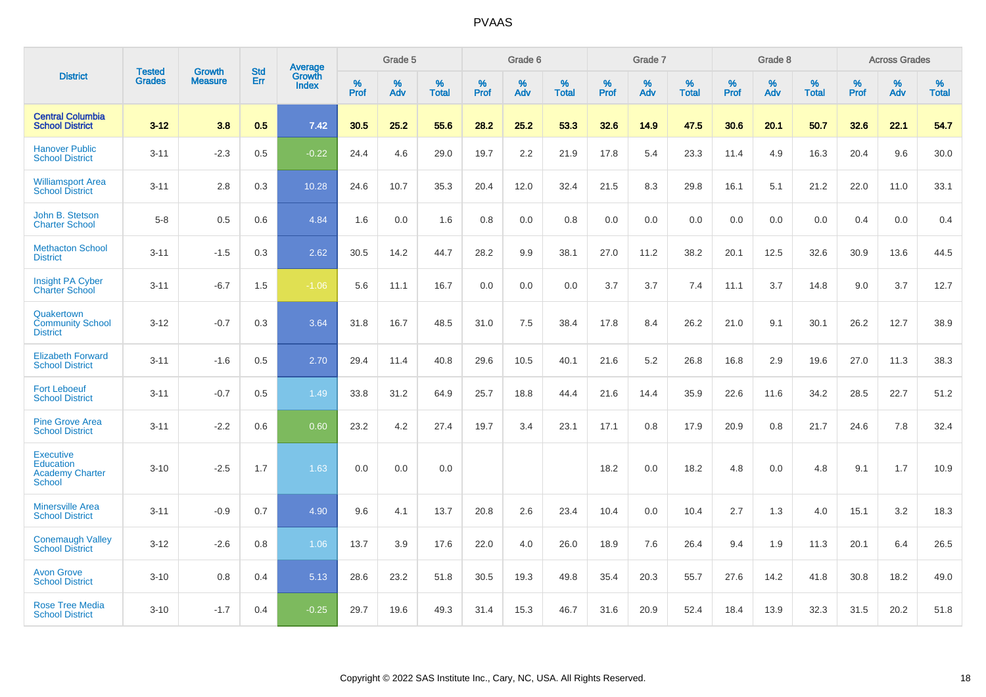|                                                                          | <b>Tested</b> | <b>Growth</b>  | <b>Std</b> | Average                |              | Grade 5  |                   |           | Grade 6  |                   |           | Grade 7  |                   |           | Grade 8  |                   |           | <b>Across Grades</b> |                   |
|--------------------------------------------------------------------------|---------------|----------------|------------|------------------------|--------------|----------|-------------------|-----------|----------|-------------------|-----------|----------|-------------------|-----------|----------|-------------------|-----------|----------------------|-------------------|
| <b>District</b>                                                          | <b>Grades</b> | <b>Measure</b> | Err        | Growth<br><b>Index</b> | $\%$<br>Prof | %<br>Adv | %<br><b>Total</b> | %<br>Prof | %<br>Adv | %<br><b>Total</b> | %<br>Prof | %<br>Adv | %<br><b>Total</b> | %<br>Prof | %<br>Adv | %<br><b>Total</b> | %<br>Prof | $\%$<br>Adv          | %<br><b>Total</b> |
| <b>Central Columbia</b><br><b>School District</b>                        | $3 - 12$      | 3.8            | 0.5        | 7.42                   | 30.5         | 25.2     | 55.6              | 28.2      | 25.2     | 53.3              | 32.6      | 14.9     | 47.5              | 30.6      | 20.1     | 50.7              | 32.6      | 22.1                 | 54.7              |
| <b>Hanover Public</b><br><b>School District</b>                          | $3 - 11$      | $-2.3$         | 0.5        | $-0.22$                | 24.4         | 4.6      | 29.0              | 19.7      | 2.2      | 21.9              | 17.8      | 5.4      | 23.3              | 11.4      | 4.9      | 16.3              | 20.4      | 9.6                  | 30.0              |
| <b>Williamsport Area</b><br><b>School District</b>                       | $3 - 11$      | 2.8            | 0.3        | 10.28                  | 24.6         | 10.7     | 35.3              | 20.4      | 12.0     | 32.4              | 21.5      | 8.3      | 29.8              | 16.1      | 5.1      | 21.2              | 22.0      | 11.0                 | 33.1              |
| John B. Stetson<br><b>Charter School</b>                                 | $5-8$         | 0.5            | 0.6        | 4.84                   | 1.6          | 0.0      | 1.6               | 0.8       | 0.0      | 0.8               | 0.0       | 0.0      | 0.0               | 0.0       | 0.0      | 0.0               | 0.4       | 0.0                  | 0.4               |
| <b>Methacton School</b><br><b>District</b>                               | $3 - 11$      | $-1.5$         | 0.3        | 2.62                   | 30.5         | 14.2     | 44.7              | 28.2      | 9.9      | 38.1              | 27.0      | 11.2     | 38.2              | 20.1      | 12.5     | 32.6              | 30.9      | 13.6                 | 44.5              |
| Insight PA Cyber<br><b>Charter School</b>                                | $3 - 11$      | $-6.7$         | 1.5        | $-1.06$                | 5.6          | 11.1     | 16.7              | 0.0       | 0.0      | 0.0               | 3.7       | 3.7      | 7.4               | 11.1      | 3.7      | 14.8              | 9.0       | 3.7                  | 12.7              |
| Quakertown<br><b>Community School</b><br><b>District</b>                 | $3 - 12$      | $-0.7$         | 0.3        | 3.64                   | 31.8         | 16.7     | 48.5              | 31.0      | 7.5      | 38.4              | 17.8      | 8.4      | 26.2              | 21.0      | 9.1      | 30.1              | 26.2      | 12.7                 | 38.9              |
| <b>Elizabeth Forward</b><br><b>School District</b>                       | $3 - 11$      | $-1.6$         | 0.5        | 2.70                   | 29.4         | 11.4     | 40.8              | 29.6      | 10.5     | 40.1              | 21.6      | 5.2      | 26.8              | 16.8      | 2.9      | 19.6              | 27.0      | 11.3                 | 38.3              |
| <b>Fort Leboeuf</b><br><b>School District</b>                            | $3 - 11$      | $-0.7$         | 0.5        | 1.49                   | 33.8         | 31.2     | 64.9              | 25.7      | 18.8     | 44.4              | 21.6      | 14.4     | 35.9              | 22.6      | 11.6     | 34.2              | 28.5      | 22.7                 | 51.2              |
| <b>Pine Grove Area</b><br><b>School District</b>                         | $3 - 11$      | $-2.2$         | 0.6        | 0.60                   | 23.2         | 4.2      | 27.4              | 19.7      | 3.4      | 23.1              | 17.1      | 0.8      | 17.9              | 20.9      | 0.8      | 21.7              | 24.6      | 7.8                  | 32.4              |
| <b>Executive</b><br><b>Education</b><br><b>Academy Charter</b><br>School | $3 - 10$      | $-2.5$         | 1.7        | 1.63                   | 0.0          | 0.0      | 0.0               |           |          |                   | 18.2      | 0.0      | 18.2              | 4.8       | 0.0      | 4.8               | 9.1       | 1.7                  | 10.9              |
| <b>Minersville Area</b><br><b>School District</b>                        | $3 - 11$      | $-0.9$         | 0.7        | 4.90                   | 9.6          | 4.1      | 13.7              | 20.8      | 2.6      | 23.4              | 10.4      | 0.0      | 10.4              | 2.7       | 1.3      | 4.0               | 15.1      | 3.2                  | 18.3              |
| <b>Conemaugh Valley</b><br><b>School District</b>                        | $3 - 12$      | $-2.6$         | 0.8        | 1.06                   | 13.7         | 3.9      | 17.6              | 22.0      | 4.0      | 26.0              | 18.9      | 7.6      | 26.4              | 9.4       | 1.9      | 11.3              | 20.1      | 6.4                  | 26.5              |
| <b>Avon Grove</b><br><b>School District</b>                              | $3 - 10$      | 0.8            | 0.4        | 5.13                   | 28.6         | 23.2     | 51.8              | 30.5      | 19.3     | 49.8              | 35.4      | 20.3     | 55.7              | 27.6      | 14.2     | 41.8              | 30.8      | 18.2                 | 49.0              |
| <b>Rose Tree Media</b><br><b>School District</b>                         | $3 - 10$      | $-1.7$         | 0.4        | $-0.25$                | 29.7         | 19.6     | 49.3              | 31.4      | 15.3     | 46.7              | 31.6      | 20.9     | 52.4              | 18.4      | 13.9     | 32.3              | 31.5      | 20.2                 | 51.8              |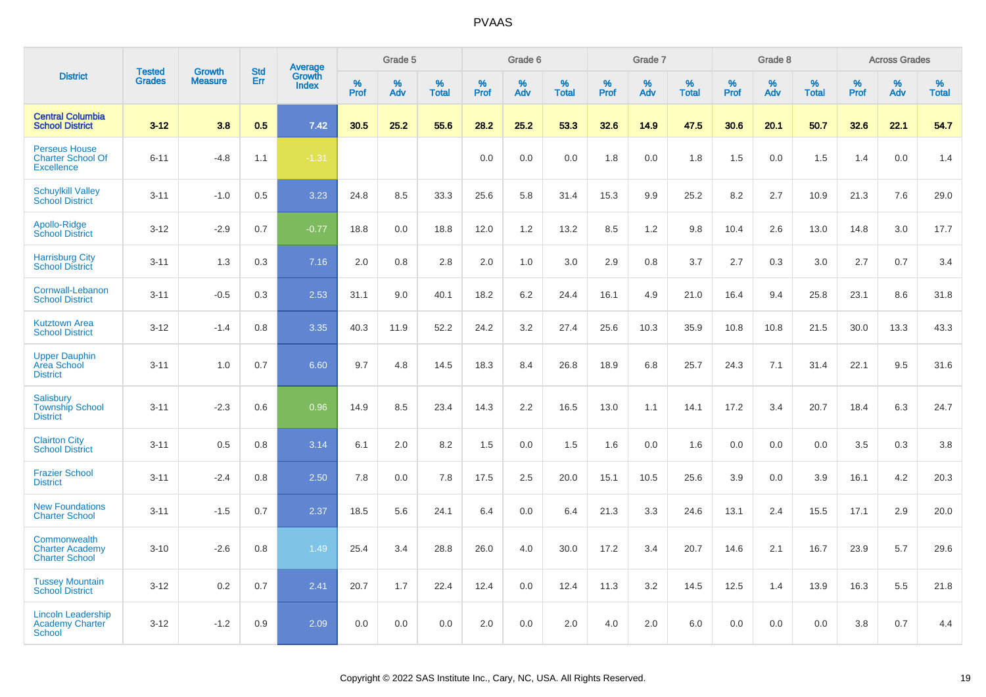|                                                                       |                                | <b>Growth</b>  | <b>Std</b> | Average                |                  | Grade 5  |                   |                  | Grade 6  |                   |                  | Grade 7  |                   |           | Grade 8  |                   |                  | <b>Across Grades</b> |                   |
|-----------------------------------------------------------------------|--------------------------------|----------------|------------|------------------------|------------------|----------|-------------------|------------------|----------|-------------------|------------------|----------|-------------------|-----------|----------|-------------------|------------------|----------------------|-------------------|
| <b>District</b>                                                       | <b>Tested</b><br><b>Grades</b> | <b>Measure</b> | Err        | Growth<br><b>Index</b> | %<br><b>Prof</b> | %<br>Adv | %<br><b>Total</b> | %<br><b>Prof</b> | %<br>Adv | %<br><b>Total</b> | %<br><b>Prof</b> | %<br>Adv | %<br><b>Total</b> | %<br>Prof | %<br>Adv | %<br><b>Total</b> | %<br><b>Prof</b> | %<br>Adv             | %<br><b>Total</b> |
| <b>Central Columbia</b><br><b>School District</b>                     | $3 - 12$                       | 3.8            | 0.5        | 7.42                   | 30.5             | 25.2     | 55.6              | 28.2             | 25.2     | 53.3              | 32.6             | 14.9     | 47.5              | 30.6      | 20.1     | 50.7              | 32.6             | 22.1                 | 54.7              |
| <b>Perseus House</b><br><b>Charter School Of</b><br><b>Excellence</b> | $6 - 11$                       | $-4.8$         | 1.1        | $-1.31$                |                  |          |                   | 0.0              | 0.0      | 0.0               | 1.8              | 0.0      | 1.8               | 1.5       | 0.0      | 1.5               | 1.4              | 0.0                  | 1.4               |
| <b>Schuylkill Valley</b><br><b>School District</b>                    | $3 - 11$                       | $-1.0$         | 0.5        | 3.23                   | 24.8             | 8.5      | 33.3              | 25.6             | 5.8      | 31.4              | 15.3             | 9.9      | 25.2              | 8.2       | 2.7      | 10.9              | 21.3             | 7.6                  | 29.0              |
| Apollo-Ridge<br><b>School District</b>                                | $3-12$                         | $-2.9$         | 0.7        | $-0.77$                | 18.8             | 0.0      | 18.8              | 12.0             | 1.2      | 13.2              | 8.5              | 1.2      | 9.8               | 10.4      | 2.6      | 13.0              | 14.8             | 3.0                  | 17.7              |
| <b>Harrisburg City</b><br><b>School District</b>                      | $3 - 11$                       | 1.3            | 0.3        | 7.16                   | 2.0              | 0.8      | 2.8               | 2.0              | 1.0      | 3.0               | 2.9              | 0.8      | 3.7               | 2.7       | 0.3      | 3.0               | 2.7              | 0.7                  | 3.4               |
| Cornwall-Lebanon<br><b>School District</b>                            | $3 - 11$                       | $-0.5$         | 0.3        | 2.53                   | 31.1             | 9.0      | 40.1              | 18.2             | 6.2      | 24.4              | 16.1             | 4.9      | 21.0              | 16.4      | 9.4      | 25.8              | 23.1             | 8.6                  | 31.8              |
| <b>Kutztown Area</b><br><b>School District</b>                        | $3 - 12$                       | $-1.4$         | 0.8        | 3.35                   | 40.3             | 11.9     | 52.2              | 24.2             | 3.2      | 27.4              | 25.6             | 10.3     | 35.9              | 10.8      | 10.8     | 21.5              | 30.0             | 13.3                 | 43.3              |
| <b>Upper Dauphin</b><br><b>Area School</b><br><b>District</b>         | $3 - 11$                       | 1.0            | 0.7        | 6.60                   | 9.7              | 4.8      | 14.5              | 18.3             | 8.4      | 26.8              | 18.9             | 6.8      | 25.7              | 24.3      | 7.1      | 31.4              | 22.1             | 9.5                  | 31.6              |
| Salisbury<br><b>Township School</b><br><b>District</b>                | $3 - 11$                       | $-2.3$         | 0.6        | 0.96                   | 14.9             | 8.5      | 23.4              | 14.3             | 2.2      | 16.5              | 13.0             | 1.1      | 14.1              | 17.2      | 3.4      | 20.7              | 18.4             | 6.3                  | 24.7              |
| <b>Clairton City</b><br><b>School District</b>                        | $3 - 11$                       | 0.5            | 0.8        | 3.14                   | 6.1              | 2.0      | 8.2               | 1.5              | 0.0      | 1.5               | 1.6              | 0.0      | 1.6               | 0.0       | 0.0      | 0.0               | 3.5              | 0.3                  | 3.8               |
| <b>Frazier School</b><br><b>District</b>                              | $3 - 11$                       | $-2.4$         | 0.8        | 2.50                   | 7.8              | 0.0      | 7.8               | 17.5             | 2.5      | 20.0              | 15.1             | 10.5     | 25.6              | 3.9       | 0.0      | 3.9               | 16.1             | 4.2                  | 20.3              |
| <b>New Foundations</b><br><b>Charter School</b>                       | $3 - 11$                       | $-1.5$         | 0.7        | 2.37                   | 18.5             | 5.6      | 24.1              | 6.4              | 0.0      | 6.4               | 21.3             | 3.3      | 24.6              | 13.1      | 2.4      | 15.5              | 17.1             | 2.9                  | 20.0              |
| Commonwealth<br><b>Charter Academy</b><br><b>Charter School</b>       | $3 - 10$                       | $-2.6$         | 0.8        | 1.49                   | 25.4             | 3.4      | 28.8              | 26.0             | 4.0      | 30.0              | 17.2             | 3.4      | 20.7              | 14.6      | 2.1      | 16.7              | 23.9             | 5.7                  | 29.6              |
| <b>Tussey Mountain</b><br><b>School District</b>                      | $3 - 12$                       | 0.2            | 0.7        | 2.41                   | 20.7             | 1.7      | 22.4              | 12.4             | 0.0      | 12.4              | 11.3             | 3.2      | 14.5              | 12.5      | 1.4      | 13.9              | 16.3             | 5.5                  | 21.8              |
| <b>Lincoln Leadership</b><br><b>Academy Charter</b><br>School         | $3 - 12$                       | $-1.2$         | 0.9        | 2.09                   | 0.0              | 0.0      | 0.0               | 2.0              | 0.0      | 2.0               | 4.0              | 2.0      | 6.0               | 0.0       | 0.0      | 0.0               | 3.8              | 0.7                  | 4.4               |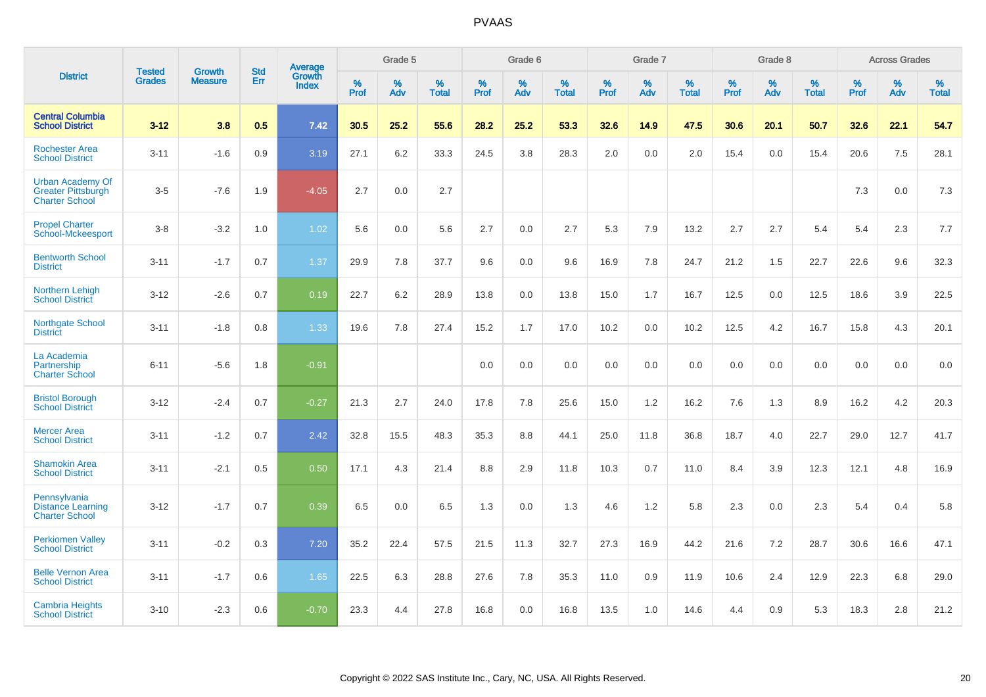|                                                                               |                                |                                 | <b>Std</b> | Average                       |              | Grade 5  |                   |           | Grade 6  |                   |           | Grade 7  |                   |           | Grade 8  |                   |           | <b>Across Grades</b> |                   |
|-------------------------------------------------------------------------------|--------------------------------|---------------------------------|------------|-------------------------------|--------------|----------|-------------------|-----------|----------|-------------------|-----------|----------|-------------------|-----------|----------|-------------------|-----------|----------------------|-------------------|
| <b>District</b>                                                               | <b>Tested</b><br><b>Grades</b> | <b>Growth</b><br><b>Measure</b> | Err        | <b>Growth</b><br><b>Index</b> | $\%$<br>Prof | %<br>Adv | %<br><b>Total</b> | %<br>Prof | %<br>Adv | %<br><b>Total</b> | %<br>Prof | %<br>Adv | %<br><b>Total</b> | %<br>Prof | %<br>Adv | %<br><b>Total</b> | %<br>Prof | $\%$<br>Adv          | %<br><b>Total</b> |
| <b>Central Columbia</b><br><b>School District</b>                             | $3 - 12$                       | 3.8                             | 0.5        | 7.42                          | 30.5         | 25.2     | 55.6              | 28.2      | 25.2     | 53.3              | 32.6      | 14.9     | 47.5              | 30.6      | 20.1     | 50.7              | 32.6      | 22.1                 | 54.7              |
| <b>Rochester Area</b><br><b>School District</b>                               | $3 - 11$                       | $-1.6$                          | 0.9        | 3.19                          | 27.1         | 6.2      | 33.3              | 24.5      | 3.8      | 28.3              | 2.0       | 0.0      | 2.0               | 15.4      | 0.0      | 15.4              | 20.6      | 7.5                  | 28.1              |
| <b>Urban Academy Of</b><br><b>Greater Pittsburgh</b><br><b>Charter School</b> | $3-5$                          | $-7.6$                          | 1.9        | $-4.05$                       | 2.7          | 0.0      | 2.7               |           |          |                   |           |          |                   |           |          |                   | 7.3       | 0.0                  | $7.3$             |
| <b>Propel Charter</b><br><b>School-Mckeesport</b>                             | $3-8$                          | $-3.2$                          | 1.0        | 1.02                          | 5.6          | 0.0      | 5.6               | 2.7       | 0.0      | 2.7               | 5.3       | 7.9      | 13.2              | 2.7       | 2.7      | 5.4               | 5.4       | 2.3                  | 7.7               |
| <b>Bentworth School</b><br><b>District</b>                                    | $3 - 11$                       | $-1.7$                          | 0.7        | 1.37                          | 29.9         | 7.8      | 37.7              | 9.6       | 0.0      | 9.6               | 16.9      | 7.8      | 24.7              | 21.2      | 1.5      | 22.7              | 22.6      | 9.6                  | 32.3              |
| Northern Lehigh<br><b>School District</b>                                     | $3 - 12$                       | $-2.6$                          | 0.7        | 0.19                          | 22.7         | 6.2      | 28.9              | 13.8      | 0.0      | 13.8              | 15.0      | 1.7      | 16.7              | 12.5      | 0.0      | 12.5              | 18.6      | 3.9                  | 22.5              |
| Northgate School<br><b>District</b>                                           | $3 - 11$                       | $-1.8$                          | 0.8        | 1.33                          | 19.6         | 7.8      | 27.4              | 15.2      | 1.7      | 17.0              | 10.2      | 0.0      | 10.2              | 12.5      | 4.2      | 16.7              | 15.8      | 4.3                  | 20.1              |
| La Academia<br>Partnership<br><b>Charter School</b>                           | $6 - 11$                       | $-5.6$                          | 1.8        | $-0.91$                       |              |          |                   | 0.0       | 0.0      | 0.0               | 0.0       | 0.0      | 0.0               | 0.0       | 0.0      | 0.0               | 0.0       | 0.0                  | 0.0               |
| <b>Bristol Borough</b><br><b>School District</b>                              | $3 - 12$                       | $-2.4$                          | 0.7        | $-0.27$                       | 21.3         | 2.7      | 24.0              | 17.8      | 7.8      | 25.6              | 15.0      | 1.2      | 16.2              | 7.6       | 1.3      | 8.9               | 16.2      | 4.2                  | 20.3              |
| <b>Mercer Area</b><br><b>School District</b>                                  | $3 - 11$                       | $-1.2$                          | 0.7        | 2.42                          | 32.8         | 15.5     | 48.3              | 35.3      | 8.8      | 44.1              | 25.0      | 11.8     | 36.8              | 18.7      | 4.0      | 22.7              | 29.0      | 12.7                 | 41.7              |
| <b>Shamokin Area</b><br><b>School District</b>                                | $3 - 11$                       | $-2.1$                          | 0.5        | 0.50                          | 17.1         | 4.3      | 21.4              | 8.8       | 2.9      | 11.8              | 10.3      | 0.7      | 11.0              | 8.4       | 3.9      | 12.3              | 12.1      | 4.8                  | 16.9              |
| Pennsylvania<br><b>Distance Learning</b><br><b>Charter School</b>             | $3 - 12$                       | $-1.7$                          | 0.7        | 0.39                          | 6.5          | 0.0      | 6.5               | 1.3       | 0.0      | 1.3               | 4.6       | 1.2      | 5.8               | 2.3       | 0.0      | 2.3               | 5.4       | 0.4                  | 5.8               |
| <b>Perkiomen Valley</b><br><b>School District</b>                             | $3 - 11$                       | $-0.2$                          | 0.3        | 7.20                          | 35.2         | 22.4     | 57.5              | 21.5      | 11.3     | 32.7              | 27.3      | 16.9     | 44.2              | 21.6      | 7.2      | 28.7              | 30.6      | 16.6                 | 47.1              |
| <b>Belle Vernon Area</b><br><b>School District</b>                            | $3 - 11$                       | $-1.7$                          | 0.6        | 1.65                          | 22.5         | 6.3      | 28.8              | 27.6      | 7.8      | 35.3              | 11.0      | 0.9      | 11.9              | 10.6      | 2.4      | 12.9              | 22.3      | 6.8                  | 29.0              |
| <b>Cambria Heights</b><br><b>School District</b>                              | $3 - 10$                       | $-2.3$                          | 0.6        | $-0.70$                       | 23.3         | 4.4      | 27.8              | 16.8      | 0.0      | 16.8              | 13.5      | 1.0      | 14.6              | 4.4       | 0.9      | 5.3               | 18.3      | 2.8                  | 21.2              |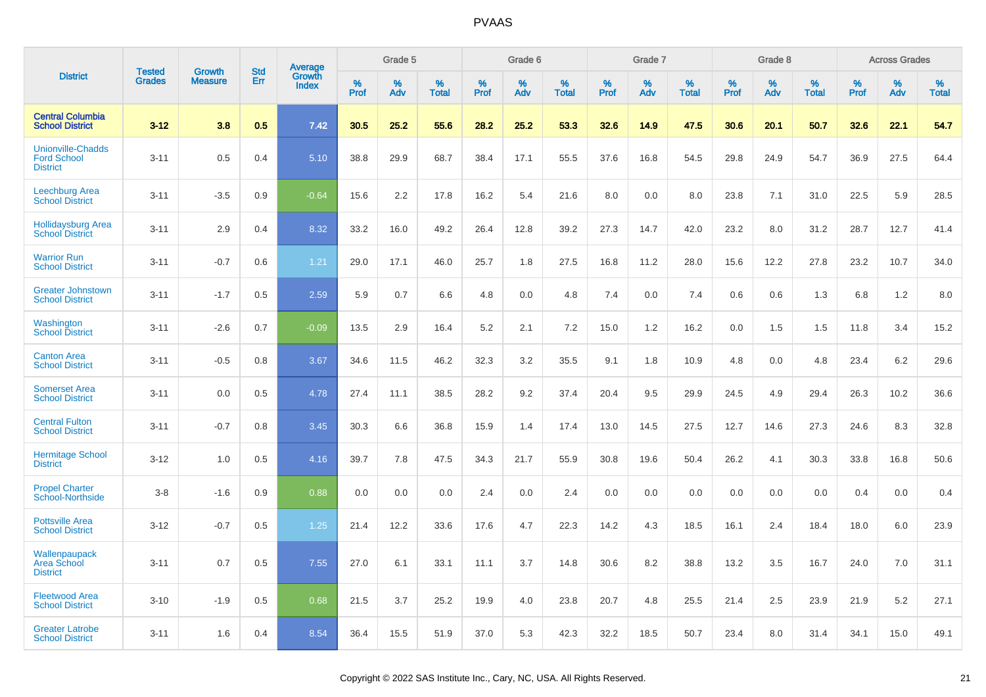|                                                                   | <b>Tested</b> |                                 | <b>Std</b> | Average                |              | Grade 5  |                   |              | Grade 6  |                   |              | Grade 7  |                   |              | Grade 8  |                   |              | <b>Across Grades</b> |                   |
|-------------------------------------------------------------------|---------------|---------------------------------|------------|------------------------|--------------|----------|-------------------|--------------|----------|-------------------|--------------|----------|-------------------|--------------|----------|-------------------|--------------|----------------------|-------------------|
| <b>District</b>                                                   | <b>Grades</b> | <b>Growth</b><br><b>Measure</b> | Err        | Growth<br><b>Index</b> | $\%$<br>Prof | %<br>Adv | %<br><b>Total</b> | $\%$<br>Prof | %<br>Adv | %<br><b>Total</b> | $\%$<br>Prof | %<br>Adv | %<br><b>Total</b> | $\%$<br>Prof | %<br>Adv | %<br><b>Total</b> | $\%$<br>Prof | %<br>Adv             | %<br><b>Total</b> |
| <b>Central Columbia</b><br><b>School District</b>                 | $3 - 12$      | 3.8                             | 0.5        | 7.42                   | 30.5         | 25.2     | 55.6              | 28.2         | 25.2     | 53.3              | 32.6         | 14.9     | 47.5              | 30.6         | 20.1     | 50.7              | 32.6         | 22.1                 | 54.7              |
| <b>Unionville-Chadds</b><br><b>Ford School</b><br><b>District</b> | $3 - 11$      | 0.5                             | 0.4        | 5.10                   | 38.8         | 29.9     | 68.7              | 38.4         | 17.1     | 55.5              | 37.6         | 16.8     | 54.5              | 29.8         | 24.9     | 54.7              | 36.9         | 27.5                 | 64.4              |
| Leechburg Area<br><b>School District</b>                          | $3 - 11$      | $-3.5$                          | 0.9        | $-0.64$                | 15.6         | 2.2      | 17.8              | 16.2         | 5.4      | 21.6              | 8.0          | 0.0      | 8.0               | 23.8         | 7.1      | 31.0              | 22.5         | 5.9                  | 28.5              |
| <b>Hollidaysburg Area</b><br><b>School District</b>               | $3 - 11$      | 2.9                             | 0.4        | 8.32                   | 33.2         | 16.0     | 49.2              | 26.4         | 12.8     | 39.2              | 27.3         | 14.7     | 42.0              | 23.2         | 8.0      | 31.2              | 28.7         | 12.7                 | 41.4              |
| <b>Warrior Run</b><br><b>School District</b>                      | $3 - 11$      | $-0.7$                          | 0.6        | 1.21                   | 29.0         | 17.1     | 46.0              | 25.7         | 1.8      | 27.5              | 16.8         | 11.2     | 28.0              | 15.6         | 12.2     | 27.8              | 23.2         | 10.7                 | 34.0              |
| <b>Greater Johnstown</b><br><b>School District</b>                | $3 - 11$      | $-1.7$                          | 0.5        | 2.59                   | 5.9          | 0.7      | 6.6               | 4.8          | 0.0      | 4.8               | 7.4          | 0.0      | 7.4               | 0.6          | 0.6      | 1.3               | 6.8          | 1.2                  | 8.0               |
| Washington<br><b>School District</b>                              | $3 - 11$      | $-2.6$                          | 0.7        | $-0.09$                | 13.5         | 2.9      | 16.4              | 5.2          | 2.1      | 7.2               | 15.0         | 1.2      | 16.2              | 0.0          | 1.5      | 1.5               | 11.8         | 3.4                  | 15.2              |
| <b>Canton Area</b><br><b>School District</b>                      | $3 - 11$      | $-0.5$                          | 0.8        | 3.67                   | 34.6         | 11.5     | 46.2              | 32.3         | 3.2      | 35.5              | 9.1          | 1.8      | 10.9              | 4.8          | 0.0      | 4.8               | 23.4         | 6.2                  | 29.6              |
| <b>Somerset Area</b><br><b>School District</b>                    | $3 - 11$      | 0.0                             | 0.5        | 4.78                   | 27.4         | 11.1     | 38.5              | 28.2         | 9.2      | 37.4              | 20.4         | 9.5      | 29.9              | 24.5         | 4.9      | 29.4              | 26.3         | 10.2                 | 36.6              |
| <b>Central Fulton</b><br><b>School District</b>                   | $3 - 11$      | $-0.7$                          | 0.8        | 3.45                   | 30.3         | 6.6      | 36.8              | 15.9         | 1.4      | 17.4              | 13.0         | 14.5     | 27.5              | 12.7         | 14.6     | 27.3              | 24.6         | 8.3                  | 32.8              |
| <b>Hermitage School</b><br><b>District</b>                        | $3 - 12$      | 1.0                             | 0.5        | 4.16                   | 39.7         | 7.8      | 47.5              | 34.3         | 21.7     | 55.9              | 30.8         | 19.6     | 50.4              | 26.2         | 4.1      | 30.3              | 33.8         | 16.8                 | 50.6              |
| <b>Propel Charter</b><br><b>School-Northside</b>                  | $3 - 8$       | $-1.6$                          | 0.9        | 0.88                   | 0.0          | 0.0      | 0.0               | 2.4          | 0.0      | 2.4               | 0.0          | 0.0      | 0.0               | 0.0          | 0.0      | 0.0               | 0.4          | 0.0                  | 0.4               |
| <b>Pottsville Area</b><br><b>School District</b>                  | $3 - 12$      | $-0.7$                          | 0.5        | 1.25                   | 21.4         | 12.2     | 33.6              | 17.6         | 4.7      | 22.3              | 14.2         | 4.3      | 18.5              | 16.1         | 2.4      | 18.4              | 18.0         | 6.0                  | 23.9              |
| Wallenpaupack<br><b>Area School</b><br><b>District</b>            | $3 - 11$      | 0.7                             | 0.5        | 7.55                   | 27.0         | 6.1      | 33.1              | 11.1         | 3.7      | 14.8              | 30.6         | 8.2      | 38.8              | 13.2         | 3.5      | 16.7              | 24.0         | 7.0                  | 31.1              |
| <b>Fleetwood Area</b><br><b>School District</b>                   | $3 - 10$      | $-1.9$                          | 0.5        | 0.68                   | 21.5         | 3.7      | 25.2              | 19.9         | 4.0      | 23.8              | 20.7         | 4.8      | 25.5              | 21.4         | 2.5      | 23.9              | 21.9         | 5.2                  | 27.1              |
| <b>Greater Latrobe</b><br><b>School District</b>                  | $3 - 11$      | 1.6                             | 0.4        | 8.54                   | 36.4         | 15.5     | 51.9              | 37.0         | 5.3      | 42.3              | 32.2         | 18.5     | 50.7              | 23.4         | 8.0      | 31.4              | 34.1         | 15.0                 | 49.1              |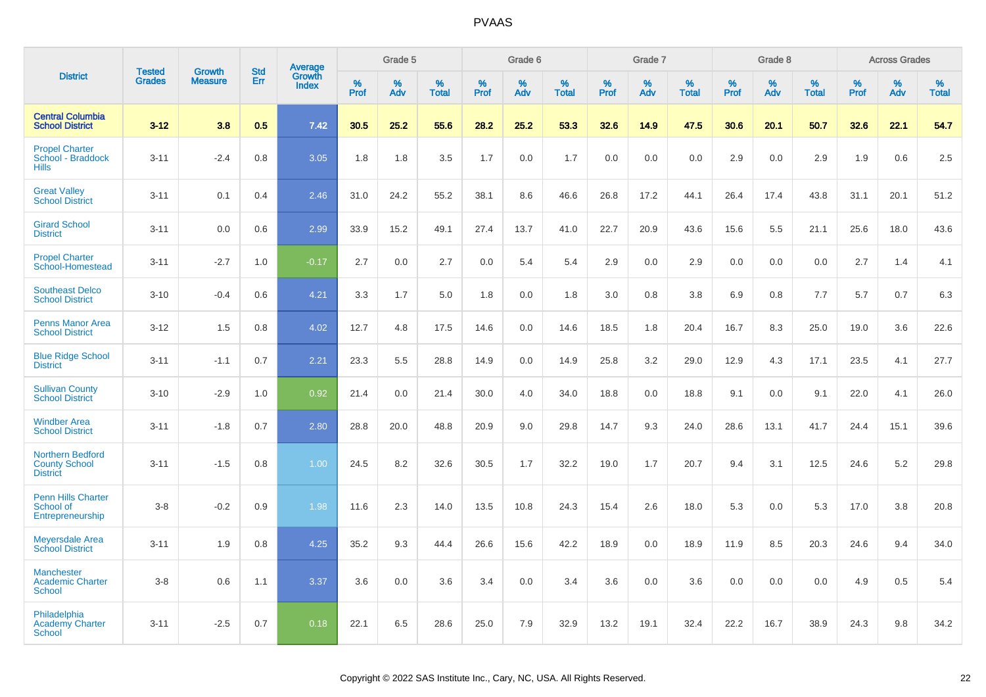|                                                                    |                                |                                 | <b>Std</b> | Average                |                     | Grade 5  |                   |                  | Grade 6  |                   |                  | Grade 7  |                   |           | Grade 8  |                   |                  | <b>Across Grades</b> |                   |
|--------------------------------------------------------------------|--------------------------------|---------------------------------|------------|------------------------|---------------------|----------|-------------------|------------------|----------|-------------------|------------------|----------|-------------------|-----------|----------|-------------------|------------------|----------------------|-------------------|
| <b>District</b>                                                    | <b>Tested</b><br><b>Grades</b> | <b>Growth</b><br><b>Measure</b> | Err        | Growth<br><b>Index</b> | $\%$<br><b>Prof</b> | %<br>Adv | %<br><b>Total</b> | %<br><b>Prof</b> | %<br>Adv | %<br><b>Total</b> | %<br><b>Prof</b> | %<br>Adv | %<br><b>Total</b> | %<br>Prof | %<br>Adv | %<br><b>Total</b> | %<br><b>Prof</b> | %<br>Adv             | %<br><b>Total</b> |
| <b>Central Columbia</b><br><b>School District</b>                  | $3 - 12$                       | 3.8                             | 0.5        | 7.42                   | 30.5                | 25.2     | 55.6              | 28.2             | 25.2     | 53.3              | 32.6             | 14.9     | 47.5              | 30.6      | 20.1     | 50.7              | 32.6             | 22.1                 | 54.7              |
| <b>Propel Charter</b><br>School - Braddock<br><b>Hills</b>         | $3 - 11$                       | $-2.4$                          | 0.8        | 3.05                   | 1.8                 | 1.8      | 3.5               | 1.7              | 0.0      | 1.7               | 0.0              | 0.0      | 0.0               | 2.9       | 0.0      | 2.9               | 1.9              | 0.6                  | 2.5               |
| <b>Great Valley</b><br><b>School District</b>                      | $3 - 11$                       | 0.1                             | 0.4        | 2.46                   | 31.0                | 24.2     | 55.2              | 38.1             | 8.6      | 46.6              | 26.8             | 17.2     | 44.1              | 26.4      | 17.4     | 43.8              | 31.1             | 20.1                 | 51.2              |
| <b>Girard School</b><br><b>District</b>                            | $3 - 11$                       | 0.0                             | 0.6        | 2.99                   | 33.9                | 15.2     | 49.1              | 27.4             | 13.7     | 41.0              | 22.7             | 20.9     | 43.6              | 15.6      | 5.5      | 21.1              | 25.6             | 18.0                 | 43.6              |
| <b>Propel Charter</b><br>School-Homestead                          | $3 - 11$                       | $-2.7$                          | 1.0        | $-0.17$                | 2.7                 | 0.0      | 2.7               | 0.0              | 5.4      | 5.4               | 2.9              | 0.0      | 2.9               | 0.0       | 0.0      | 0.0               | 2.7              | 1.4                  | 4.1               |
| <b>Southeast Delco</b><br><b>School District</b>                   | $3 - 10$                       | $-0.4$                          | 0.6        | 4.21                   | 3.3                 | 1.7      | 5.0               | 1.8              | 0.0      | 1.8               | 3.0              | 0.8      | 3.8               | 6.9       | 0.8      | 7.7               | 5.7              | 0.7                  | 6.3               |
| <b>Penns Manor Area</b><br><b>School District</b>                  | $3 - 12$                       | 1.5                             | 0.8        | 4.02                   | 12.7                | 4.8      | 17.5              | 14.6             | 0.0      | 14.6              | 18.5             | 1.8      | 20.4              | 16.7      | 8.3      | 25.0              | 19.0             | 3.6                  | 22.6              |
| <b>Blue Ridge School</b><br><b>District</b>                        | $3 - 11$                       | $-1.1$                          | 0.7        | 2.21                   | 23.3                | 5.5      | 28.8              | 14.9             | 0.0      | 14.9              | 25.8             | 3.2      | 29.0              | 12.9      | 4.3      | 17.1              | 23.5             | 4.1                  | 27.7              |
| <b>Sullivan County</b><br><b>School District</b>                   | $3 - 10$                       | $-2.9$                          | 1.0        | 0.92                   | 21.4                | 0.0      | 21.4              | 30.0             | 4.0      | 34.0              | 18.8             | 0.0      | 18.8              | 9.1       | 0.0      | 9.1               | 22.0             | 4.1                  | 26.0              |
| <b>Windber Area</b><br><b>School District</b>                      | $3 - 11$                       | $-1.8$                          | 0.7        | 2.80                   | 28.8                | 20.0     | 48.8              | 20.9             | 9.0      | 29.8              | 14.7             | 9.3      | 24.0              | 28.6      | 13.1     | 41.7              | 24.4             | 15.1                 | 39.6              |
| <b>Northern Bedford</b><br><b>County School</b><br><b>District</b> | $3 - 11$                       | $-1.5$                          | 0.8        | 1.00                   | 24.5                | 8.2      | 32.6              | 30.5             | 1.7      | 32.2              | 19.0             | 1.7      | 20.7              | 9.4       | 3.1      | 12.5              | 24.6             | 5.2                  | 29.8              |
| <b>Penn Hills Charter</b><br>School of<br>Entrepreneurship         | $3-8$                          | $-0.2$                          | 0.9        | 1.98                   | 11.6                | 2.3      | 14.0              | 13.5             | 10.8     | 24.3              | 15.4             | 2.6      | 18.0              | 5.3       | 0.0      | 5.3               | 17.0             | 3.8                  | 20.8              |
| <b>Meyersdale Area</b><br><b>School District</b>                   | $3 - 11$                       | 1.9                             | 0.8        | 4.25                   | 35.2                | 9.3      | 44.4              | 26.6             | 15.6     | 42.2              | 18.9             | 0.0      | 18.9              | 11.9      | 8.5      | 20.3              | 24.6             | 9.4                  | 34.0              |
| <b>Manchester</b><br><b>Academic Charter</b><br><b>School</b>      | $3-8$                          | 0.6                             | 1.1        | 3.37                   | 3.6                 | 0.0      | 3.6               | 3.4              | 0.0      | 3.4               | 3.6              | 0.0      | 3.6               | 0.0       | 0.0      | 0.0               | 4.9              | 0.5                  | 5.4               |
| Philadelphia<br><b>Academy Charter</b><br><b>School</b>            | $3 - 11$                       | $-2.5$                          | 0.7        | 0.18                   | 22.1                | 6.5      | 28.6              | 25.0             | 7.9      | 32.9              | 13.2             | 19.1     | 32.4              | 22.2      | 16.7     | 38.9              | 24.3             | 9.8                  | 34.2              |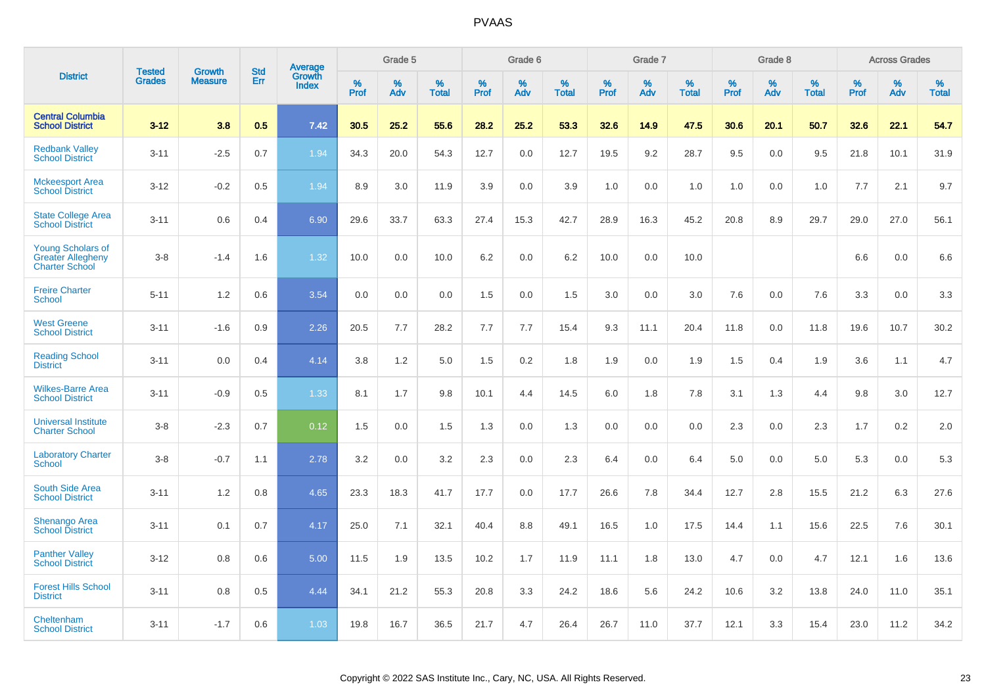|                                                                               | <b>Tested</b> | <b>Growth</b>  | <b>Std</b> |                            |                     | Grade 5  |                      |                     | Grade 6  |                      |              | Grade 7  |                      |                     | Grade 8  |                      |                     | <b>Across Grades</b> |                      |
|-------------------------------------------------------------------------------|---------------|----------------|------------|----------------------------|---------------------|----------|----------------------|---------------------|----------|----------------------|--------------|----------|----------------------|---------------------|----------|----------------------|---------------------|----------------------|----------------------|
| <b>District</b>                                                               | <b>Grades</b> | <b>Measure</b> | Err        | Average<br>Growth<br>Index | $\%$<br><b>Prof</b> | %<br>Adv | $\%$<br><b>Total</b> | $\%$<br><b>Prof</b> | %<br>Adv | $\%$<br><b>Total</b> | $\%$<br>Prof | %<br>Adv | $\%$<br><b>Total</b> | $\%$<br><b>Prof</b> | %<br>Adv | $\%$<br><b>Total</b> | $\%$<br><b>Prof</b> | $\%$<br>Adv          | $\%$<br><b>Total</b> |
| <b>Central Columbia</b><br><b>School District</b>                             | $3 - 12$      | 3.8            | 0.5        | 7.42                       | 30.5                | 25.2     | 55.6                 | 28.2                | 25.2     | 53.3                 | 32.6         | 14.9     | 47.5                 | 30.6                | 20.1     | 50.7                 | 32.6                | 22.1                 | 54.7                 |
| <b>Redbank Valley</b><br><b>School District</b>                               | $3 - 11$      | $-2.5$         | 0.7        | 1.94                       | 34.3                | 20.0     | 54.3                 | 12.7                | 0.0      | 12.7                 | 19.5         | 9.2      | 28.7                 | 9.5                 | 0.0      | 9.5                  | 21.8                | 10.1                 | 31.9                 |
| <b>Mckeesport Area</b><br><b>School District</b>                              | $3 - 12$      | $-0.2$         | 0.5        | 1.94                       | 8.9                 | 3.0      | 11.9                 | 3.9                 | 0.0      | 3.9                  | 1.0          | 0.0      | 1.0                  | 1.0                 | 0.0      | 1.0                  | 7.7                 | 2.1                  | 9.7                  |
| <b>State College Area</b><br><b>School District</b>                           | $3 - 11$      | 0.6            | 0.4        | 6.90                       | 29.6                | 33.7     | 63.3                 | 27.4                | 15.3     | 42.7                 | 28.9         | 16.3     | 45.2                 | 20.8                | 8.9      | 29.7                 | 29.0                | 27.0                 | 56.1                 |
| <b>Young Scholars of</b><br><b>Greater Allegheny</b><br><b>Charter School</b> | $3 - 8$       | $-1.4$         | 1.6        | 1.32                       | 10.0                | 0.0      | 10.0                 | 6.2                 | 0.0      | 6.2                  | 10.0         | 0.0      | 10.0                 |                     |          |                      | 6.6                 | 0.0                  | 6.6                  |
| <b>Freire Charter</b><br><b>School</b>                                        | $5 - 11$      | 1.2            | 0.6        | 3.54                       | 0.0                 | 0.0      | 0.0                  | 1.5                 | 0.0      | 1.5                  | 3.0          | 0.0      | 3.0                  | 7.6                 | 0.0      | 7.6                  | 3.3                 | 0.0                  | 3.3                  |
| <b>West Greene</b><br><b>School District</b>                                  | $3 - 11$      | $-1.6$         | 0.9        | 2.26                       | 20.5                | 7.7      | 28.2                 | 7.7                 | 7.7      | 15.4                 | 9.3          | 11.1     | 20.4                 | 11.8                | 0.0      | 11.8                 | 19.6                | 10.7                 | 30.2                 |
| <b>Reading School</b><br><b>District</b>                                      | $3 - 11$      | 0.0            | 0.4        | 4.14                       | 3.8                 | 1.2      | 5.0                  | 1.5                 | 0.2      | 1.8                  | 1.9          | 0.0      | 1.9                  | 1.5                 | 0.4      | 1.9                  | 3.6                 | 1.1                  | 4.7                  |
| <b>Wilkes-Barre Area</b><br><b>School District</b>                            | $3 - 11$      | $-0.9$         | 0.5        | 1.33                       | 8.1                 | 1.7      | 9.8                  | 10.1                | 4.4      | 14.5                 | $6.0\,$      | 1.8      | 7.8                  | 3.1                 | 1.3      | 4.4                  | 9.8                 | 3.0                  | 12.7                 |
| <b>Universal Institute</b><br><b>Charter School</b>                           | $3 - 8$       | $-2.3$         | 0.7        | 0.12                       | 1.5                 | 0.0      | 1.5                  | 1.3                 | 0.0      | 1.3                  | 0.0          | 0.0      | 0.0                  | 2.3                 | 0.0      | 2.3                  | 1.7                 | $0.2\,$              | 2.0                  |
| <b>Laboratory Charter</b><br><b>School</b>                                    | $3 - 8$       | $-0.7$         | 1.1        | 2.78                       | 3.2                 | 0.0      | 3.2                  | 2.3                 | 0.0      | 2.3                  | 6.4          | 0.0      | 6.4                  | 5.0                 | 0.0      | 5.0                  | 5.3                 | 0.0                  | 5.3                  |
| <b>South Side Area</b><br><b>School District</b>                              | $3 - 11$      | 1.2            | 0.8        | 4.65                       | 23.3                | 18.3     | 41.7                 | 17.7                | 0.0      | 17.7                 | 26.6         | 7.8      | 34.4                 | 12.7                | 2.8      | 15.5                 | 21.2                | 6.3                  | 27.6                 |
| <b>Shenango Area</b><br><b>School District</b>                                | $3 - 11$      | 0.1            | 0.7        | 4.17                       | 25.0                | 7.1      | 32.1                 | 40.4                | 8.8      | 49.1                 | 16.5         | 1.0      | 17.5                 | 14.4                | 1.1      | 15.6                 | 22.5                | 7.6                  | 30.1                 |
| <b>Panther Valley</b><br><b>School District</b>                               | $3 - 12$      | 0.8            | 0.6        | 5.00                       | 11.5                | 1.9      | 13.5                 | 10.2                | 1.7      | 11.9                 | 11.1         | 1.8      | 13.0                 | 4.7                 | 0.0      | 4.7                  | 12.1                | 1.6                  | 13.6                 |
| <b>Forest Hills School</b><br><b>District</b>                                 | $3 - 11$      | 0.8            | 0.5        | 4.44                       | 34.1                | 21.2     | 55.3                 | 20.8                | 3.3      | 24.2                 | 18.6         | 5.6      | 24.2                 | 10.6                | 3.2      | 13.8                 | 24.0                | 11.0                 | 35.1                 |
| Cheltenham<br><b>School District</b>                                          | $3 - 11$      | $-1.7$         | 0.6        | 1.03                       | 19.8                | 16.7     | 36.5                 | 21.7                | 4.7      | 26.4                 | 26.7         | 11.0     | 37.7                 | 12.1                | 3.3      | 15.4                 | 23.0                | 11.2                 | 34.2                 |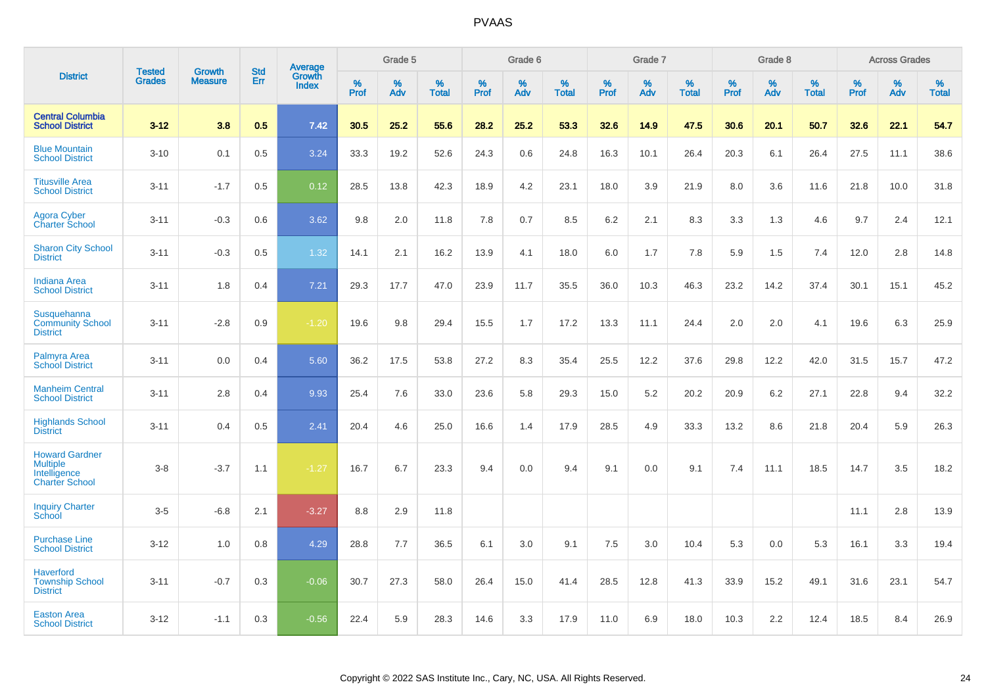|                                                                                   | <b>Tested</b> | <b>Growth</b>  | <b>Std</b> | <b>Average</b><br>Growth |              | Grade 5  |                   |              | Grade 6  |                   |              | Grade 7  |                   |           | Grade 8  |                   |                  | <b>Across Grades</b> |                   |
|-----------------------------------------------------------------------------------|---------------|----------------|------------|--------------------------|--------------|----------|-------------------|--------------|----------|-------------------|--------------|----------|-------------------|-----------|----------|-------------------|------------------|----------------------|-------------------|
| <b>District</b>                                                                   | <b>Grades</b> | <b>Measure</b> | Err        | <b>Index</b>             | $\%$<br>Prof | %<br>Adv | %<br><b>Total</b> | $\%$<br>Prof | %<br>Adv | %<br><b>Total</b> | $\%$<br>Prof | %<br>Adv | %<br><b>Total</b> | %<br>Prof | %<br>Adv | %<br><b>Total</b> | %<br><b>Prof</b> | $\%$<br>Adv          | %<br><b>Total</b> |
| <b>Central Columbia</b><br><b>School District</b>                                 | $3 - 12$      | 3.8            | 0.5        | 7.42                     | 30.5         | 25.2     | 55.6              | 28.2         | 25.2     | 53.3              | 32.6         | 14.9     | 47.5              | 30.6      | 20.1     | 50.7              | 32.6             | 22.1                 | 54.7              |
| <b>Blue Mountain</b><br><b>School District</b>                                    | $3 - 10$      | 0.1            | 0.5        | 3.24                     | 33.3         | 19.2     | 52.6              | 24.3         | 0.6      | 24.8              | 16.3         | 10.1     | 26.4              | 20.3      | 6.1      | 26.4              | 27.5             | 11.1                 | 38.6              |
| <b>Titusville Area</b><br><b>School District</b>                                  | $3 - 11$      | $-1.7$         | 0.5        | 0.12                     | 28.5         | 13.8     | 42.3              | 18.9         | 4.2      | 23.1              | 18.0         | 3.9      | 21.9              | 8.0       | 3.6      | 11.6              | 21.8             | 10.0                 | 31.8              |
| <b>Agora Cyber</b><br><b>Charter School</b>                                       | $3 - 11$      | $-0.3$         | 0.6        | 3.62                     | 9.8          | 2.0      | 11.8              | 7.8          | 0.7      | 8.5               | 6.2          | 2.1      | 8.3               | 3.3       | 1.3      | 4.6               | 9.7              | 2.4                  | 12.1              |
| <b>Sharon City School</b><br><b>District</b>                                      | $3 - 11$      | $-0.3$         | 0.5        | 1.32                     | 14.1         | 2.1      | 16.2              | 13.9         | 4.1      | 18.0              | 6.0          | 1.7      | 7.8               | 5.9       | 1.5      | 7.4               | 12.0             | 2.8                  | 14.8              |
| <b>Indiana Area</b><br><b>School District</b>                                     | $3 - 11$      | 1.8            | 0.4        | $7.21$                   | 29.3         | 17.7     | 47.0              | 23.9         | 11.7     | 35.5              | 36.0         | 10.3     | 46.3              | 23.2      | 14.2     | 37.4              | 30.1             | 15.1                 | 45.2              |
| Susquehanna<br><b>Community School</b><br><b>District</b>                         | $3 - 11$      | $-2.8$         | 0.9        | $-1.20$                  | 19.6         | 9.8      | 29.4              | 15.5         | 1.7      | 17.2              | 13.3         | 11.1     | 24.4              | 2.0       | 2.0      | 4.1               | 19.6             | 6.3                  | 25.9              |
| Palmyra Area<br><b>School District</b>                                            | $3 - 11$      | 0.0            | 0.4        | 5.60                     | 36.2         | 17.5     | 53.8              | 27.2         | 8.3      | 35.4              | 25.5         | 12.2     | 37.6              | 29.8      | 12.2     | 42.0              | 31.5             | 15.7                 | 47.2              |
| <b>Manheim Central</b><br><b>School District</b>                                  | $3 - 11$      | 2.8            | 0.4        | 9.93                     | 25.4         | 7.6      | 33.0              | 23.6         | 5.8      | 29.3              | 15.0         | 5.2      | 20.2              | 20.9      | 6.2      | 27.1              | 22.8             | 9.4                  | 32.2              |
| <b>Highlands School</b><br><b>District</b>                                        | $3 - 11$      | 0.4            | 0.5        | 2.41                     | 20.4         | 4.6      | 25.0              | 16.6         | 1.4      | 17.9              | 28.5         | 4.9      | 33.3              | 13.2      | 8.6      | 21.8              | 20.4             | 5.9                  | 26.3              |
| <b>Howard Gardner</b><br><b>Multiple</b><br>Intelligence<br><b>Charter School</b> | $3 - 8$       | $-3.7$         | 1.1        | $-1.27$                  | 16.7         | 6.7      | 23.3              | 9.4          | 0.0      | 9.4               | 9.1          | 0.0      | 9.1               | 7.4       | 11.1     | 18.5              | 14.7             | 3.5                  | 18.2              |
| <b>Inquiry Charter</b><br>School                                                  | $3-5$         | $-6.8$         | 2.1        | $-3.27$                  | 8.8          | 2.9      | 11.8              |              |          |                   |              |          |                   |           |          |                   | 11.1             | 2.8                  | 13.9              |
| <b>Purchase Line</b><br><b>School District</b>                                    | $3 - 12$      | 1.0            | 0.8        | 4.29                     | 28.8         | 7.7      | 36.5              | 6.1          | 3.0      | 9.1               | 7.5          | 3.0      | 10.4              | 5.3       | 0.0      | 5.3               | 16.1             | 3.3                  | 19.4              |
| <b>Haverford</b><br><b>Township School</b><br><b>District</b>                     | $3 - 11$      | $-0.7$         | 0.3        | $-0.06$                  | 30.7         | 27.3     | 58.0              | 26.4         | 15.0     | 41.4              | 28.5         | 12.8     | 41.3              | 33.9      | 15.2     | 49.1              | 31.6             | 23.1                 | 54.7              |
| <b>Easton Area</b><br><b>School District</b>                                      | $3 - 12$      | $-1.1$         | 0.3        | $-0.56$                  | 22.4         | 5.9      | 28.3              | 14.6         | 3.3      | 17.9              | 11.0         | 6.9      | 18.0              | 10.3      | 2.2      | 12.4              | 18.5             | 8.4                  | 26.9              |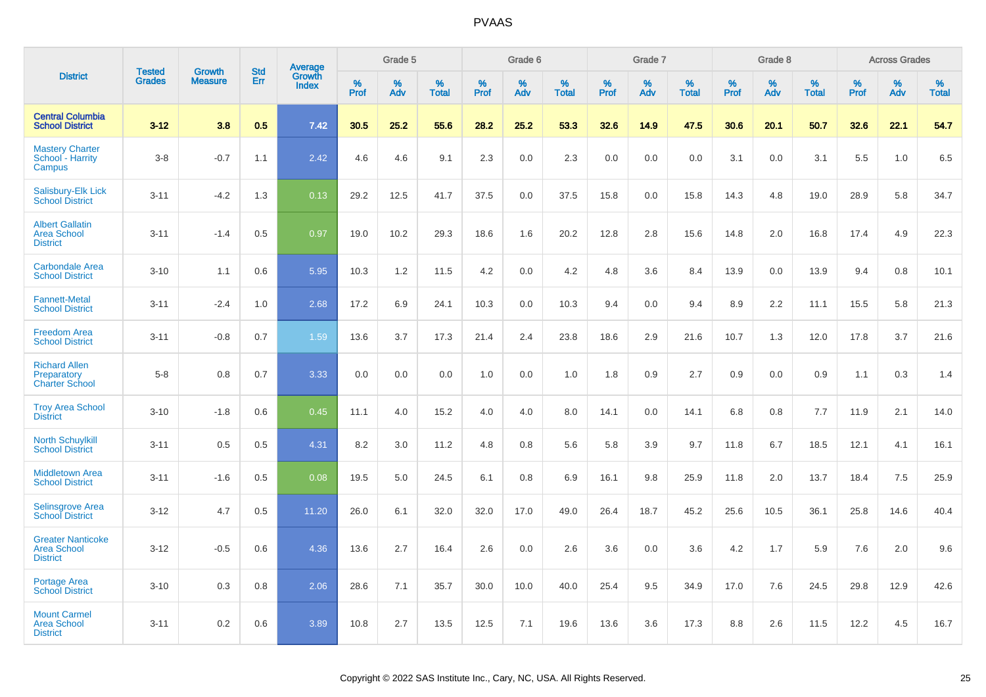|                                                                   |                                | <b>Growth</b>  |                          |                                   |           | Grade 5  |                   |                  | Grade 6  |                   |           | Grade 7  |                   |           | Grade 8  |                   |           | <b>Across Grades</b> |                   |
|-------------------------------------------------------------------|--------------------------------|----------------|--------------------------|-----------------------------------|-----------|----------|-------------------|------------------|----------|-------------------|-----------|----------|-------------------|-----------|----------|-------------------|-----------|----------------------|-------------------|
| <b>District</b>                                                   | <b>Tested</b><br><b>Grades</b> | <b>Measure</b> | <b>Std</b><br><b>Err</b> | Average<br>Growth<br><b>Index</b> | %<br>Prof | %<br>Adv | %<br><b>Total</b> | %<br><b>Prof</b> | %<br>Adv | %<br><b>Total</b> | %<br>Prof | %<br>Adv | %<br><b>Total</b> | %<br>Prof | %<br>Adv | %<br><b>Total</b> | %<br>Prof | %<br>Adv             | %<br><b>Total</b> |
| <b>Central Columbia</b><br><b>School District</b>                 | $3 - 12$                       | 3.8            | 0.5                      | 7.42                              | 30.5      | 25.2     | 55.6              | 28.2             | 25.2     | 53.3              | 32.6      | 14.9     | 47.5              | 30.6      | 20.1     | 50.7              | 32.6      | 22.1                 | 54.7              |
| <b>Mastery Charter</b><br>School - Harrity<br>Campus              | $3 - 8$                        | $-0.7$         | 1.1                      | 2.42                              | 4.6       | 4.6      | 9.1               | 2.3              | 0.0      | 2.3               | 0.0       | 0.0      | 0.0               | 3.1       | 0.0      | 3.1               | 5.5       | 1.0                  | 6.5               |
| <b>Salisbury-Elk Lick</b><br><b>School District</b>               | $3 - 11$                       | $-4.2$         | 1.3                      | 0.13                              | 29.2      | 12.5     | 41.7              | 37.5             | 0.0      | 37.5              | 15.8      | 0.0      | 15.8              | 14.3      | 4.8      | 19.0              | 28.9      | 5.8                  | 34.7              |
| <b>Albert Gallatin</b><br><b>Area School</b><br><b>District</b>   | $3 - 11$                       | $-1.4$         | 0.5                      | 0.97                              | 19.0      | 10.2     | 29.3              | 18.6             | 1.6      | 20.2              | 12.8      | 2.8      | 15.6              | 14.8      | 2.0      | 16.8              | 17.4      | 4.9                  | 22.3              |
| <b>Carbondale Area</b><br><b>School District</b>                  | $3 - 10$                       | 1.1            | 0.6                      | 5.95                              | 10.3      | 1.2      | 11.5              | 4.2              | 0.0      | 4.2               | 4.8       | 3.6      | 8.4               | 13.9      | 0.0      | 13.9              | 9.4       | 0.8                  | 10.1              |
| <b>Fannett-Metal</b><br><b>School District</b>                    | $3 - 11$                       | $-2.4$         | 1.0                      | 2.68                              | 17.2      | 6.9      | 24.1              | 10.3             | 0.0      | 10.3              | 9.4       | 0.0      | 9.4               | 8.9       | 2.2      | 11.1              | 15.5      | 5.8                  | 21.3              |
| <b>Freedom Area</b><br><b>School District</b>                     | $3 - 11$                       | $-0.8$         | 0.7                      | 1.59                              | 13.6      | 3.7      | 17.3              | 21.4             | 2.4      | 23.8              | 18.6      | 2.9      | 21.6              | 10.7      | 1.3      | 12.0              | 17.8      | 3.7                  | 21.6              |
| <b>Richard Allen</b><br>Preparatory<br><b>Charter School</b>      | $5 - 8$                        | 0.8            | 0.7                      | 3.33                              | 0.0       | 0.0      | 0.0               | 1.0              | 0.0      | 1.0               | 1.8       | 0.9      | 2.7               | 0.9       | 0.0      | 0.9               | 1.1       | 0.3                  | 1.4               |
| <b>Troy Area School</b><br><b>District</b>                        | $3 - 10$                       | $-1.8$         | 0.6                      | 0.45                              | 11.1      | 4.0      | 15.2              | 4.0              | 4.0      | 8.0               | 14.1      | 0.0      | 14.1              | 6.8       | 0.8      | 7.7               | 11.9      | 2.1                  | 14.0              |
| <b>North Schuylkill</b><br><b>School District</b>                 | $3 - 11$                       | 0.5            | 0.5                      | 4.31                              | 8.2       | 3.0      | 11.2              | 4.8              | 0.8      | 5.6               | 5.8       | 3.9      | 9.7               | 11.8      | 6.7      | 18.5              | 12.1      | 4.1                  | 16.1              |
| <b>Middletown Area</b><br><b>School District</b>                  | $3 - 11$                       | $-1.6$         | 0.5                      | 0.08                              | 19.5      | 5.0      | 24.5              | 6.1              | 0.8      | 6.9               | 16.1      | 9.8      | 25.9              | 11.8      | 2.0      | 13.7              | 18.4      | 7.5                  | 25.9              |
| <b>Selinsgrove Area</b><br><b>School District</b>                 | $3 - 12$                       | 4.7            | 0.5                      | 11.20                             | 26.0      | 6.1      | 32.0              | 32.0             | 17.0     | 49.0              | 26.4      | 18.7     | 45.2              | 25.6      | 10.5     | 36.1              | 25.8      | 14.6                 | 40.4              |
| <b>Greater Nanticoke</b><br><b>Area School</b><br><b>District</b> | $3 - 12$                       | $-0.5$         | 0.6                      | 4.36                              | 13.6      | 2.7      | 16.4              | 2.6              | 0.0      | 2.6               | 3.6       | 0.0      | 3.6               | 4.2       | 1.7      | 5.9               | 7.6       | 2.0                  | 9.6               |
| Portage Area<br><b>School District</b>                            | $3 - 10$                       | 0.3            | 0.8                      | 2.06                              | 28.6      | 7.1      | 35.7              | 30.0             | 10.0     | 40.0              | 25.4      | 9.5      | 34.9              | 17.0      | 7.6      | 24.5              | 29.8      | 12.9                 | 42.6              |
| <b>Mount Carmel</b><br><b>Area School</b><br><b>District</b>      | $3 - 11$                       | 0.2            | 0.6                      | 3.89                              | 10.8      | 2.7      | 13.5              | 12.5             | 7.1      | 19.6              | 13.6      | 3.6      | 17.3              | 8.8       | 2.6      | 11.5              | 12.2      | 4.5                  | 16.7              |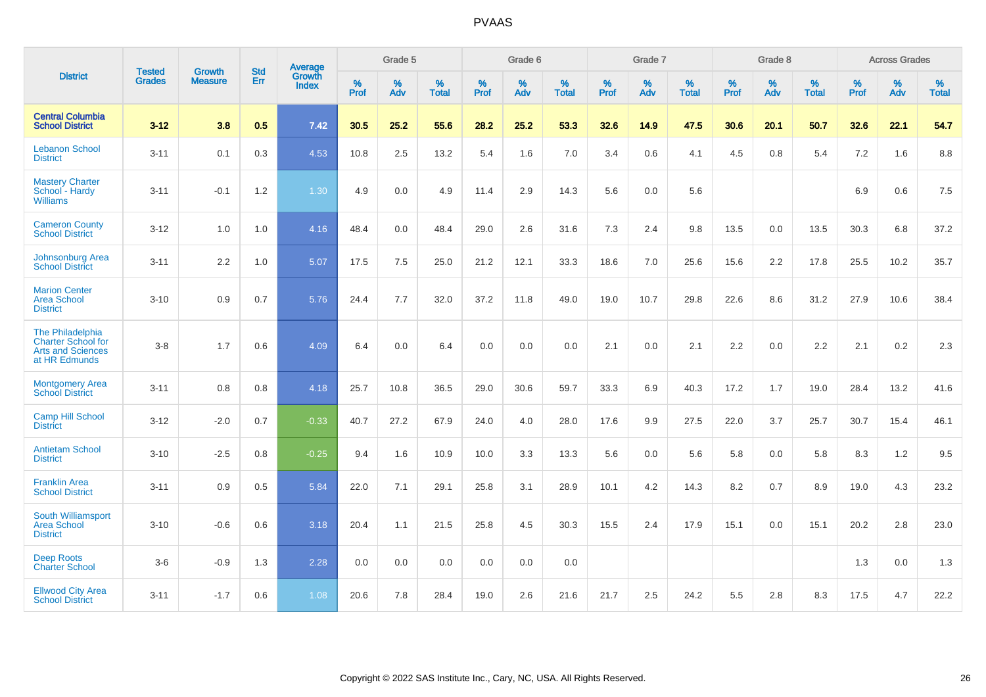|                                                                                            |                                |                                 | <b>Std</b> | Average                       |                     | Grade 5  |                   |              | Grade 6  |                   |              | Grade 7  |                   |                     | Grade 8  |                   |              | <b>Across Grades</b> |                   |
|--------------------------------------------------------------------------------------------|--------------------------------|---------------------------------|------------|-------------------------------|---------------------|----------|-------------------|--------------|----------|-------------------|--------------|----------|-------------------|---------------------|----------|-------------------|--------------|----------------------|-------------------|
| <b>District</b>                                                                            | <b>Tested</b><br><b>Grades</b> | <b>Growth</b><br><b>Measure</b> | Err        | <b>Growth</b><br><b>Index</b> | $\%$<br><b>Prof</b> | %<br>Adv | %<br><b>Total</b> | $\%$<br>Prof | %<br>Adv | %<br><b>Total</b> | $\%$<br>Prof | %<br>Adv | %<br><b>Total</b> | $\%$<br><b>Prof</b> | %<br>Adv | %<br><b>Total</b> | $\%$<br>Prof | %<br>Adv             | %<br><b>Total</b> |
| <b>Central Columbia</b><br><b>School District</b>                                          | $3 - 12$                       | 3.8                             | 0.5        | 7.42                          | 30.5                | 25.2     | 55.6              | 28.2         | 25.2     | 53.3              | 32.6         | 14.9     | 47.5              | 30.6                | 20.1     | 50.7              | 32.6         | 22.1                 | 54.7              |
| <b>Lebanon School</b><br><b>District</b>                                                   | $3 - 11$                       | 0.1                             | 0.3        | 4.53                          | 10.8                | 2.5      | 13.2              | 5.4          | 1.6      | 7.0               | 3.4          | 0.6      | 4.1               | 4.5                 | 0.8      | 5.4               | 7.2          | 1.6                  | 8.8               |
| <b>Mastery Charter</b><br>School - Hardy<br><b>Williams</b>                                | $3 - 11$                       | $-0.1$                          | 1.2        | 1.30                          | 4.9                 | 0.0      | 4.9               | 11.4         | 2.9      | 14.3              | 5.6          | 0.0      | 5.6               |                     |          |                   | 6.9          | 0.6                  | 7.5               |
| <b>Cameron County</b><br><b>School District</b>                                            | $3 - 12$                       | 1.0                             | 1.0        | 4.16                          | 48.4                | 0.0      | 48.4              | 29.0         | 2.6      | 31.6              | $7.3$        | 2.4      | 9.8               | 13.5                | 0.0      | 13.5              | 30.3         | 6.8                  | 37.2              |
| <b>Johnsonburg Area</b><br><b>School District</b>                                          | $3 - 11$                       | 2.2                             | 1.0        | 5.07                          | 17.5                | 7.5      | 25.0              | 21.2         | 12.1     | 33.3              | 18.6         | 7.0      | 25.6              | 15.6                | 2.2      | 17.8              | 25.5         | 10.2                 | 35.7              |
| <b>Marion Center</b><br><b>Area School</b><br><b>District</b>                              | $3 - 10$                       | 0.9                             | 0.7        | 5.76                          | 24.4                | 7.7      | 32.0              | 37.2         | 11.8     | 49.0              | 19.0         | 10.7     | 29.8              | 22.6                | 8.6      | 31.2              | 27.9         | 10.6                 | 38.4              |
| The Philadelphia<br><b>Charter School for</b><br><b>Arts and Sciences</b><br>at HR Edmunds | $3 - 8$                        | 1.7                             | 0.6        | 4.09                          | 6.4                 | 0.0      | 6.4               | 0.0          | 0.0      | 0.0               | 2.1          | 0.0      | 2.1               | 2.2                 | 0.0      | 2.2               | 2.1          | 0.2                  | 2.3               |
| <b>Montgomery Area</b><br><b>School District</b>                                           | $3 - 11$                       | 0.8                             | 0.8        | 4.18                          | 25.7                | 10.8     | 36.5              | 29.0         | 30.6     | 59.7              | 33.3         | 6.9      | 40.3              | 17.2                | 1.7      | 19.0              | 28.4         | 13.2                 | 41.6              |
| <b>Camp Hill School</b><br><b>District</b>                                                 | $3 - 12$                       | $-2.0$                          | 0.7        | $-0.33$                       | 40.7                | 27.2     | 67.9              | 24.0         | 4.0      | 28.0              | 17.6         | 9.9      | 27.5              | 22.0                | 3.7      | 25.7              | 30.7         | 15.4                 | 46.1              |
| <b>Antietam School</b><br><b>District</b>                                                  | $3 - 10$                       | $-2.5$                          | 0.8        | $-0.25$                       | 9.4                 | 1.6      | 10.9              | 10.0         | 3.3      | 13.3              | 5.6          | 0.0      | 5.6               | 5.8                 | 0.0      | 5.8               | 8.3          | 1.2                  | 9.5               |
| <b>Franklin Area</b><br><b>School District</b>                                             | $3 - 11$                       | 0.9                             | 0.5        | 5.84                          | 22.0                | 7.1      | 29.1              | 25.8         | 3.1      | 28.9              | 10.1         | 4.2      | 14.3              | 8.2                 | 0.7      | 8.9               | 19.0         | 4.3                  | 23.2              |
| South Williamsport<br><b>Area School</b><br><b>District</b>                                | $3 - 10$                       | $-0.6$                          | 0.6        | 3.18                          | 20.4                | 1.1      | 21.5              | 25.8         | 4.5      | 30.3              | 15.5         | 2.4      | 17.9              | 15.1                | 0.0      | 15.1              | 20.2         | 2.8                  | 23.0              |
| <b>Deep Roots</b><br><b>Charter School</b>                                                 | $3-6$                          | $-0.9$                          | 1.3        | 2.28                          | 0.0                 | 0.0      | 0.0               | 0.0          | 0.0      | 0.0               |              |          |                   |                     |          |                   | 1.3          | 0.0                  | 1.3               |
| <b>Ellwood City Area</b><br><b>School District</b>                                         | $3 - 11$                       | $-1.7$                          | 0.6        | 1.08                          | 20.6                | 7.8      | 28.4              | 19.0         | 2.6      | 21.6              | 21.7         | 2.5      | 24.2              | 5.5                 | 2.8      | 8.3               | 17.5         | 4.7                  | 22.2              |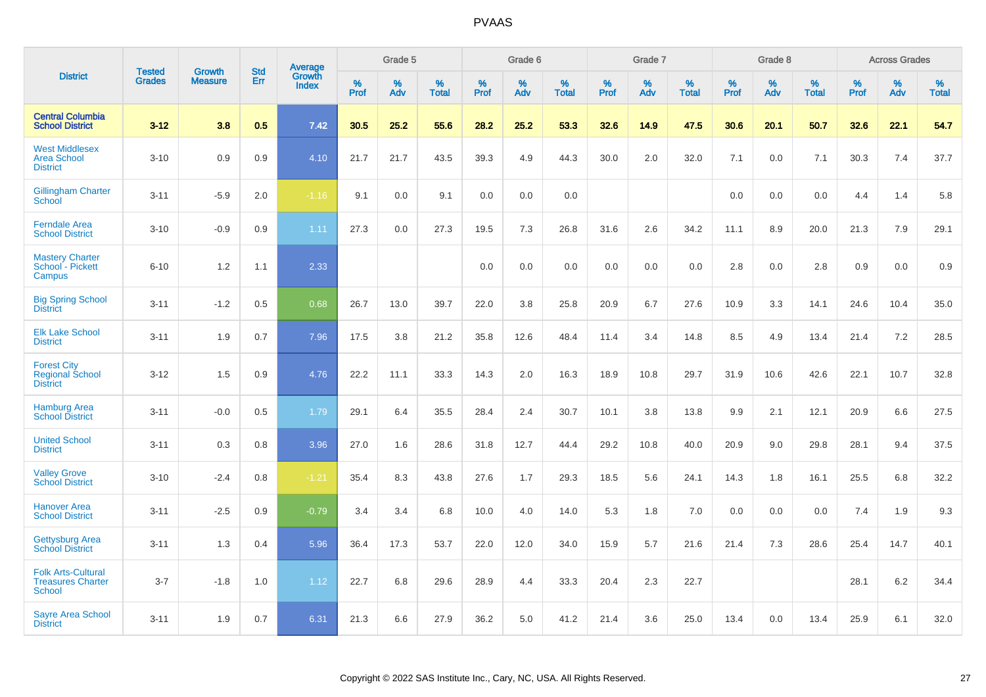|                                                                        |                                | <b>Growth</b>  | <b>Std</b> |                                          |              | Grade 5  |                   |              | Grade 6  |                   |              | Grade 7  |                   |              | Grade 8  |                   |              | <b>Across Grades</b> |                   |
|------------------------------------------------------------------------|--------------------------------|----------------|------------|------------------------------------------|--------------|----------|-------------------|--------------|----------|-------------------|--------------|----------|-------------------|--------------|----------|-------------------|--------------|----------------------|-------------------|
| <b>District</b>                                                        | <b>Tested</b><br><b>Grades</b> | <b>Measure</b> | <b>Err</b> | <b>Average</b><br>Growth<br><b>Index</b> | $\%$<br>Prof | %<br>Adv | %<br><b>Total</b> | $\%$<br>Prof | %<br>Adv | %<br><b>Total</b> | $\%$<br>Prof | %<br>Adv | %<br><b>Total</b> | $\%$<br>Prof | %<br>Adv | %<br><b>Total</b> | $\%$<br>Prof | %<br>Adv             | %<br><b>Total</b> |
| <b>Central Columbia</b><br><b>School District</b>                      | $3 - 12$                       | 3.8            | 0.5        | 7.42                                     | 30.5         | 25.2     | 55.6              | 28.2         | 25.2     | 53.3              | 32.6         | 14.9     | 47.5              | 30.6         | 20.1     | 50.7              | 32.6         | 22.1                 | 54.7              |
| <b>West Middlesex</b><br><b>Area School</b><br><b>District</b>         | $3 - 10$                       | 0.9            | 0.9        | 4.10                                     | 21.7         | 21.7     | 43.5              | 39.3         | 4.9      | 44.3              | 30.0         | 2.0      | 32.0              | 7.1          | 0.0      | 7.1               | 30.3         | 7.4                  | 37.7              |
| <b>Gillingham Charter</b><br>School                                    | $3 - 11$                       | $-5.9$         | 2.0        | $-1.16$                                  | 9.1          | 0.0      | 9.1               | 0.0          | 0.0      | 0.0               |              |          |                   | 0.0          | 0.0      | 0.0               | 4.4          | 1.4                  | 5.8               |
| <b>Ferndale Area</b><br><b>School District</b>                         | $3 - 10$                       | $-0.9$         | 0.9        | 1.11                                     | 27.3         | 0.0      | 27.3              | 19.5         | 7.3      | 26.8              | 31.6         | 2.6      | 34.2              | 11.1         | 8.9      | 20.0              | 21.3         | 7.9                  | 29.1              |
| <b>Mastery Charter</b><br>School - Pickett<br>Campus                   | $6 - 10$                       | 1.2            | 1.1        | 2.33                                     |              |          |                   | 0.0          | 0.0      | 0.0               | 0.0          | 0.0      | 0.0               | 2.8          | 0.0      | 2.8               | 0.9          | 0.0                  | 0.9               |
| <b>Big Spring School</b><br><b>District</b>                            | $3 - 11$                       | $-1.2$         | 0.5        | 0.68                                     | 26.7         | 13.0     | 39.7              | 22.0         | 3.8      | 25.8              | 20.9         | 6.7      | 27.6              | 10.9         | 3.3      | 14.1              | 24.6         | 10.4                 | 35.0              |
| <b>Elk Lake School</b><br><b>District</b>                              | $3 - 11$                       | 1.9            | 0.7        | 7.96                                     | 17.5         | 3.8      | 21.2              | 35.8         | 12.6     | 48.4              | 11.4         | 3.4      | 14.8              | 8.5          | 4.9      | 13.4              | 21.4         | 7.2                  | 28.5              |
| <b>Forest City</b><br><b>Regional School</b><br><b>District</b>        | $3 - 12$                       | 1.5            | 0.9        | 4.76                                     | 22.2         | 11.1     | 33.3              | 14.3         | 2.0      | 16.3              | 18.9         | 10.8     | 29.7              | 31.9         | 10.6     | 42.6              | 22.1         | 10.7                 | 32.8              |
| <b>Hamburg Area</b><br><b>School District</b>                          | $3 - 11$                       | $-0.0$         | 0.5        | 1.79                                     | 29.1         | 6.4      | 35.5              | 28.4         | 2.4      | 30.7              | 10.1         | 3.8      | 13.8              | 9.9          | 2.1      | 12.1              | 20.9         | 6.6                  | 27.5              |
| <b>United School</b><br><b>District</b>                                | $3 - 11$                       | 0.3            | 0.8        | 3.96                                     | 27.0         | 1.6      | 28.6              | 31.8         | 12.7     | 44.4              | 29.2         | 10.8     | 40.0              | 20.9         | 9.0      | 29.8              | 28.1         | 9.4                  | 37.5              |
| <b>Valley Grove</b><br><b>School District</b>                          | $3 - 10$                       | $-2.4$         | 0.8        | $-1.21$                                  | 35.4         | 8.3      | 43.8              | 27.6         | 1.7      | 29.3              | 18.5         | 5.6      | 24.1              | 14.3         | 1.8      | 16.1              | 25.5         | $6.8\,$              | 32.2              |
| <b>Hanover Area</b><br><b>School District</b>                          | $3 - 11$                       | $-2.5$         | 0.9        | $-0.79$                                  | 3.4          | 3.4      | 6.8               | 10.0         | 4.0      | 14.0              | 5.3          | 1.8      | 7.0               | 0.0          | 0.0      | 0.0               | 7.4          | 1.9                  | 9.3               |
| <b>Gettysburg Area</b><br><b>School District</b>                       | $3 - 11$                       | 1.3            | 0.4        | 5.96                                     | 36.4         | 17.3     | 53.7              | 22.0         | 12.0     | 34.0              | 15.9         | 5.7      | 21.6              | 21.4         | 7.3      | 28.6              | 25.4         | 14.7                 | 40.1              |
| <b>Folk Arts-Cultural</b><br><b>Treasures Charter</b><br><b>School</b> | $3 - 7$                        | $-1.8$         | 1.0        | 1.12                                     | 22.7         | 6.8      | 29.6              | 28.9         | 4.4      | 33.3              | 20.4         | 2.3      | 22.7              |              |          |                   | 28.1         | $6.2\,$              | 34.4              |
| <b>Sayre Area School</b><br><b>District</b>                            | $3 - 11$                       | 1.9            | 0.7        | 6.31                                     | 21.3         | 6.6      | 27.9              | 36.2         | 5.0      | 41.2              | 21.4         | 3.6      | 25.0              | 13.4         | 0.0      | 13.4              | 25.9         | 6.1                  | 32.0              |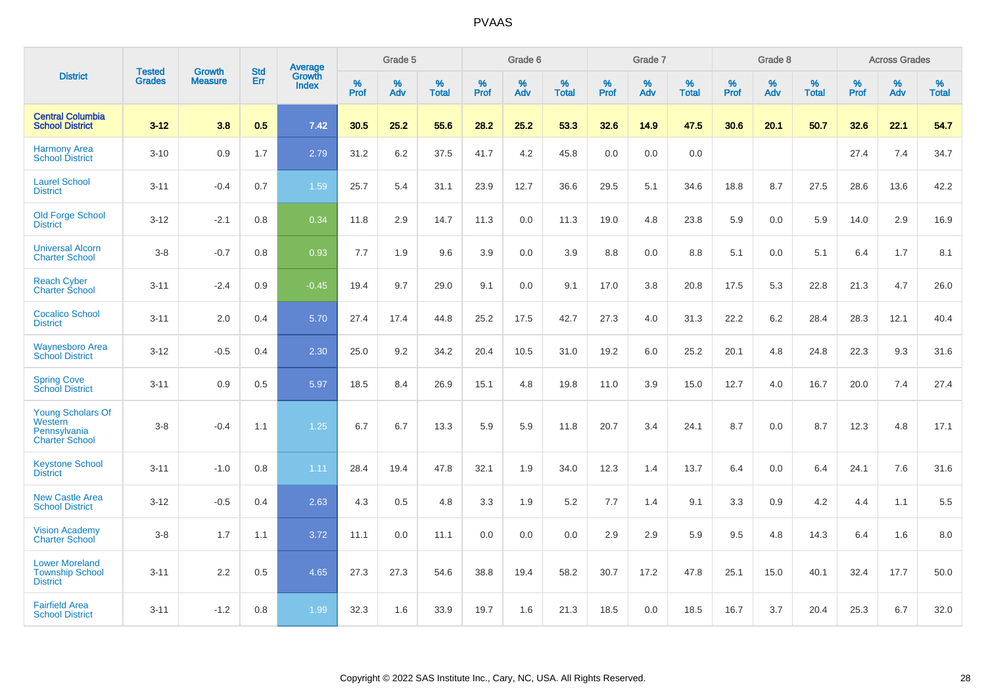|                                                                              | <b>Tested</b> | <b>Growth</b>  | <b>Std</b> | Average                |              | Grade 5  |                   |           | Grade 6  |                   |           | Grade 7  |                   |           | Grade 8  |                   |              | <b>Across Grades</b> |                   |
|------------------------------------------------------------------------------|---------------|----------------|------------|------------------------|--------------|----------|-------------------|-----------|----------|-------------------|-----------|----------|-------------------|-----------|----------|-------------------|--------------|----------------------|-------------------|
| <b>District</b>                                                              | <b>Grades</b> | <b>Measure</b> | Err        | Growth<br><b>Index</b> | $\%$<br>Prof | %<br>Adv | %<br><b>Total</b> | %<br>Prof | %<br>Adv | %<br><b>Total</b> | %<br>Prof | %<br>Adv | %<br><b>Total</b> | %<br>Prof | %<br>Adv | %<br><b>Total</b> | $\%$<br>Prof | %<br>Adv             | %<br><b>Total</b> |
| <b>Central Columbia</b><br><b>School District</b>                            | $3 - 12$      | 3.8            | 0.5        | 7.42                   | 30.5         | 25.2     | 55.6              | 28.2      | 25.2     | 53.3              | 32.6      | 14.9     | 47.5              | 30.6      | 20.1     | 50.7              | 32.6         | 22.1                 | 54.7              |
| <b>Harmony Area</b><br><b>School District</b>                                | $3 - 10$      | 0.9            | 1.7        | 2.79                   | 31.2         | 6.2      | 37.5              | 41.7      | 4.2      | 45.8              | 0.0       | 0.0      | 0.0               |           |          |                   | 27.4         | 7.4                  | 34.7              |
| <b>Laurel School</b><br><b>District</b>                                      | $3 - 11$      | $-0.4$         | 0.7        | 1.59                   | 25.7         | 5.4      | 31.1              | 23.9      | 12.7     | 36.6              | 29.5      | 5.1      | 34.6              | 18.8      | 8.7      | 27.5              | 28.6         | 13.6                 | 42.2              |
| <b>Old Forge School</b><br><b>District</b>                                   | $3 - 12$      | $-2.1$         | 0.8        | 0.34                   | 11.8         | 2.9      | 14.7              | 11.3      | 0.0      | 11.3              | 19.0      | 4.8      | 23.8              | 5.9       | 0.0      | 5.9               | 14.0         | 2.9                  | 16.9              |
| <b>Universal Alcorn</b><br><b>Charter School</b>                             | $3 - 8$       | $-0.7$         | 0.8        | 0.93                   | 7.7          | 1.9      | 9.6               | 3.9       | 0.0      | 3.9               | 8.8       | 0.0      | 8.8               | 5.1       | 0.0      | 5.1               | 6.4          | 1.7                  | 8.1               |
| <b>Reach Cyber</b><br><b>Charter School</b>                                  | $3 - 11$      | $-2.4$         | 0.9        | $-0.45$                | 19.4         | 9.7      | 29.0              | 9.1       | 0.0      | 9.1               | 17.0      | 3.8      | 20.8              | 17.5      | 5.3      | 22.8              | 21.3         | 4.7                  | 26.0              |
| <b>Cocalico School</b><br><b>District</b>                                    | $3 - 11$      | 2.0            | 0.4        | 5.70                   | 27.4         | 17.4     | 44.8              | 25.2      | 17.5     | 42.7              | 27.3      | 4.0      | 31.3              | 22.2      | 6.2      | 28.4              | 28.3         | 12.1                 | 40.4              |
| <b>Waynesboro Area</b><br><b>School District</b>                             | $3 - 12$      | $-0.5$         | 0.4        | 2.30                   | 25.0         | 9.2      | 34.2              | 20.4      | 10.5     | 31.0              | 19.2      | 6.0      | 25.2              | 20.1      | 4.8      | 24.8              | 22.3         | 9.3                  | 31.6              |
| <b>Spring Cove</b><br><b>School District</b>                                 | $3 - 11$      | 0.9            | 0.5        | 5.97                   | 18.5         | 8.4      | 26.9              | 15.1      | 4.8      | 19.8              | 11.0      | 3.9      | 15.0              | 12.7      | 4.0      | 16.7              | 20.0         | 7.4                  | 27.4              |
| <b>Young Scholars Of</b><br>Western<br>Pennsylvania<br><b>Charter School</b> | $3 - 8$       | $-0.4$         | 1.1        | 1.25                   | 6.7          | 6.7      | 13.3              | 5.9       | 5.9      | 11.8              | 20.7      | 3.4      | 24.1              | 8.7       | 0.0      | 8.7               | 12.3         | 4.8                  | 17.1              |
| <b>Keystone School</b><br><b>District</b>                                    | $3 - 11$      | $-1.0$         | 0.8        | 1.11                   | 28.4         | 19.4     | 47.8              | 32.1      | 1.9      | 34.0              | 12.3      | 1.4      | 13.7              | 6.4       | 0.0      | 6.4               | 24.1         | 7.6                  | 31.6              |
| <b>New Castle Area</b><br><b>School District</b>                             | $3 - 12$      | $-0.5$         | 0.4        | 2.63                   | 4.3          | 0.5      | 4.8               | 3.3       | 1.9      | 5.2               | 7.7       | 1.4      | 9.1               | 3.3       | 0.9      | 4.2               | 4.4          | 1.1                  | 5.5               |
| <b>Vision Academy</b><br>Charter School                                      | $3-8$         | 1.7            | 1.1        | 3.72                   | 11.1         | 0.0      | 11.1              | 0.0       | 0.0      | 0.0               | 2.9       | 2.9      | 5.9               | 9.5       | 4.8      | 14.3              | 6.4          | 1.6                  | 8.0               |
| <b>Lower Moreland</b><br><b>Township School</b><br><b>District</b>           | $3 - 11$      | 2.2            | 0.5        | 4.65                   | 27.3         | 27.3     | 54.6              | 38.8      | 19.4     | 58.2              | 30.7      | 17.2     | 47.8              | 25.1      | 15.0     | 40.1              | 32.4         | 17.7                 | 50.0              |
| <b>Fairfield Area</b><br><b>School District</b>                              | $3 - 11$      | $-1.2$         | 0.8        | 1.99                   | 32.3         | 1.6      | 33.9              | 19.7      | 1.6      | 21.3              | 18.5      | 0.0      | 18.5              | 16.7      | 3.7      | 20.4              | 25.3         | 6.7                  | 32.0              |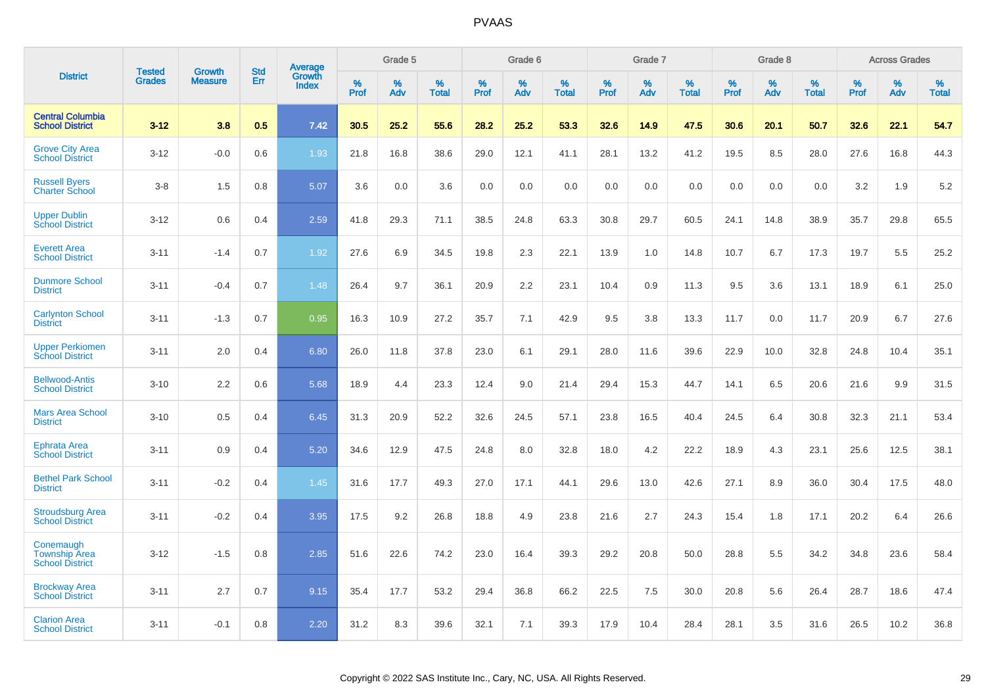|                                                             |                                | <b>Growth</b>  | <b>Std</b> | Average                |              | Grade 5     |                      |                     | Grade 6     |                      |              | Grade 7     |                      |              | Grade 8     |                   |                     | <b>Across Grades</b> |                      |
|-------------------------------------------------------------|--------------------------------|----------------|------------|------------------------|--------------|-------------|----------------------|---------------------|-------------|----------------------|--------------|-------------|----------------------|--------------|-------------|-------------------|---------------------|----------------------|----------------------|
| <b>District</b>                                             | <b>Tested</b><br><b>Grades</b> | <b>Measure</b> | Err        | Growth<br><b>Index</b> | $\%$<br>Prof | $\%$<br>Adv | $\%$<br><b>Total</b> | $\%$<br><b>Prof</b> | $\%$<br>Adv | $\%$<br><b>Total</b> | $\%$<br>Prof | $\%$<br>Adv | $\%$<br><b>Total</b> | $\%$<br>Prof | $\%$<br>Adv | %<br><b>Total</b> | $\%$<br><b>Prof</b> | $\%$<br>Adv          | $\%$<br><b>Total</b> |
| <b>Central Columbia</b><br><b>School District</b>           | $3 - 12$                       | 3.8            | 0.5        | 7.42                   | 30.5         | 25.2        | 55.6                 | 28.2                | 25.2        | 53.3                 | 32.6         | 14.9        | 47.5                 | 30.6         | 20.1        | 50.7              | 32.6                | 22.1                 | 54.7                 |
| <b>Grove City Area</b><br><b>School District</b>            | $3 - 12$                       | $-0.0$         | 0.6        | 1.93                   | 21.8         | 16.8        | 38.6                 | 29.0                | 12.1        | 41.1                 | 28.1         | 13.2        | 41.2                 | 19.5         | 8.5         | 28.0              | 27.6                | 16.8                 | 44.3                 |
| <b>Russell Byers</b><br><b>Charter School</b>               | $3 - 8$                        | 1.5            | 0.8        | 5.07                   | 3.6          | 0.0         | 3.6                  | 0.0                 | 0.0         | 0.0                  | 0.0          | 0.0         | 0.0                  | 0.0          | 0.0         | 0.0               | 3.2                 | 1.9                  | 5.2                  |
| <b>Upper Dublin</b><br><b>School District</b>               | $3 - 12$                       | 0.6            | 0.4        | 2.59                   | 41.8         | 29.3        | 71.1                 | 38.5                | 24.8        | 63.3                 | 30.8         | 29.7        | 60.5                 | 24.1         | 14.8        | 38.9              | 35.7                | 29.8                 | 65.5                 |
| <b>Everett Area</b><br><b>School District</b>               | $3 - 11$                       | $-1.4$         | 0.7        | 1.92                   | 27.6         | 6.9         | 34.5                 | 19.8                | 2.3         | 22.1                 | 13.9         | 1.0         | 14.8                 | 10.7         | 6.7         | 17.3              | 19.7                | 5.5                  | 25.2                 |
| <b>Dunmore School</b><br><b>District</b>                    | $3 - 11$                       | $-0.4$         | 0.7        | 1.48                   | 26.4         | 9.7         | 36.1                 | 20.9                | 2.2         | 23.1                 | 10.4         | 0.9         | 11.3                 | 9.5          | 3.6         | 13.1              | 18.9                | 6.1                  | 25.0                 |
| <b>Carlynton School</b><br><b>District</b>                  | $3 - 11$                       | $-1.3$         | 0.7        | 0.95                   | 16.3         | 10.9        | 27.2                 | 35.7                | 7.1         | 42.9                 | 9.5          | 3.8         | 13.3                 | 11.7         | 0.0         | 11.7              | 20.9                | 6.7                  | 27.6                 |
| <b>Upper Perkiomen</b><br><b>School District</b>            | $3 - 11$                       | 2.0            | 0.4        | 6.80                   | 26.0         | 11.8        | 37.8                 | 23.0                | 6.1         | 29.1                 | 28.0         | 11.6        | 39.6                 | 22.9         | 10.0        | 32.8              | 24.8                | 10.4                 | 35.1                 |
| <b>Bellwood-Antis</b><br><b>School District</b>             | $3 - 10$                       | 2.2            | 0.6        | 5.68                   | 18.9         | 4.4         | 23.3                 | 12.4                | 9.0         | 21.4                 | 29.4         | 15.3        | 44.7                 | 14.1         | 6.5         | 20.6              | 21.6                | 9.9                  | 31.5                 |
| <b>Mars Area School</b><br><b>District</b>                  | $3 - 10$                       | 0.5            | 0.4        | 6.45                   | 31.3         | 20.9        | 52.2                 | 32.6                | 24.5        | 57.1                 | 23.8         | 16.5        | 40.4                 | 24.5         | 6.4         | 30.8              | 32.3                | 21.1                 | 53.4                 |
| Ephrata Area<br><b>School District</b>                      | $3 - 11$                       | 0.9            | 0.4        | 5.20                   | 34.6         | 12.9        | 47.5                 | 24.8                | 8.0         | 32.8                 | 18.0         | 4.2         | 22.2                 | 18.9         | 4.3         | 23.1              | 25.6                | 12.5                 | 38.1                 |
| <b>Bethel Park School</b><br><b>District</b>                | $3 - 11$                       | $-0.2$         | 0.4        | 1.45                   | 31.6         | 17.7        | 49.3                 | 27.0                | 17.1        | 44.1                 | 29.6         | 13.0        | 42.6                 | 27.1         | 8.9         | 36.0              | 30.4                | 17.5                 | 48.0                 |
| <b>Stroudsburg Area</b><br><b>School District</b>           | $3 - 11$                       | $-0.2$         | 0.4        | 3.95                   | 17.5         | 9.2         | 26.8                 | 18.8                | 4.9         | 23.8                 | 21.6         | 2.7         | 24.3                 | 15.4         | 1.8         | 17.1              | 20.2                | 6.4                  | 26.6                 |
| Conemaugh<br><b>Township Area</b><br><b>School District</b> | $3 - 12$                       | $-1.5$         | 0.8        | 2.85                   | 51.6         | 22.6        | 74.2                 | 23.0                | 16.4        | 39.3                 | 29.2         | 20.8        | 50.0                 | 28.8         | 5.5         | 34.2              | 34.8                | 23.6                 | 58.4                 |
| <b>Brockway Area</b><br><b>School District</b>              | $3 - 11$                       | 2.7            | 0.7        | 9.15                   | 35.4         | 17.7        | 53.2                 | 29.4                | 36.8        | 66.2                 | 22.5         | 7.5         | 30.0                 | 20.8         | 5.6         | 26.4              | 28.7                | 18.6                 | 47.4                 |
| <b>Clarion Area</b><br><b>School District</b>               | $3 - 11$                       | $-0.1$         | 0.8        | 2.20                   | 31.2         | 8.3         | 39.6                 | 32.1                | 7.1         | 39.3                 | 17.9         | 10.4        | 28.4                 | 28.1         | 3.5         | 31.6              | 26.5                | 10.2                 | 36.8                 |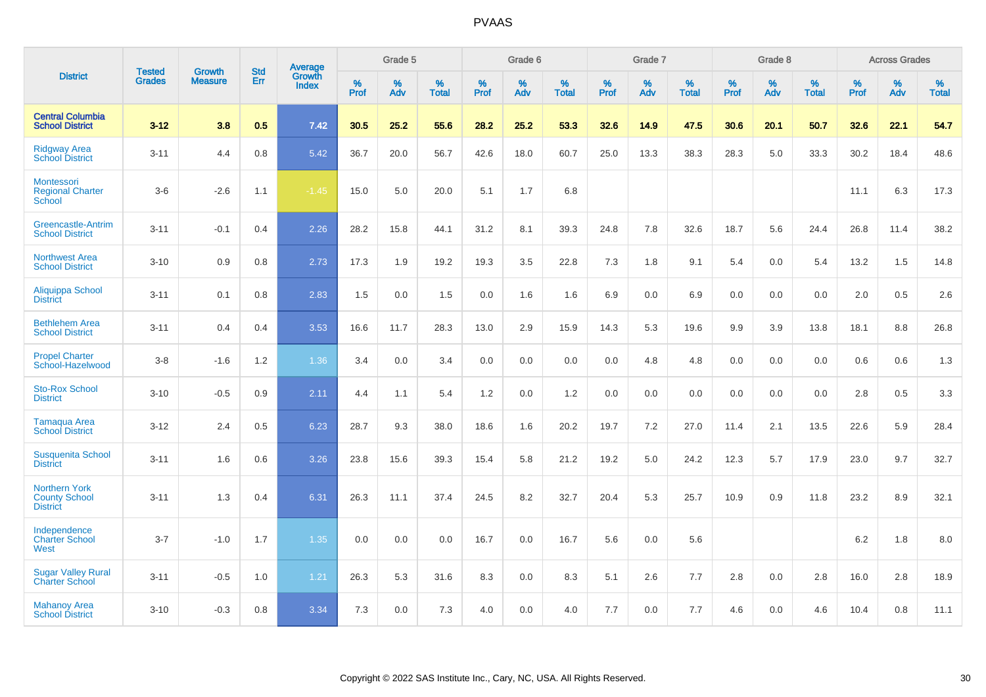|                                                                 | <b>Tested</b> | <b>Growth</b>  | <b>Std</b> | Average                |           | Grade 5  |                   |           | Grade 6  |                   |           | Grade 7  |                   |           | Grade 8  |                   |           | <b>Across Grades</b> |                   |
|-----------------------------------------------------------------|---------------|----------------|------------|------------------------|-----------|----------|-------------------|-----------|----------|-------------------|-----------|----------|-------------------|-----------|----------|-------------------|-----------|----------------------|-------------------|
| <b>District</b>                                                 | <b>Grades</b> | <b>Measure</b> | Err        | Growth<br><b>Index</b> | %<br>Prof | %<br>Adv | %<br><b>Total</b> | %<br>Prof | %<br>Adv | %<br><b>Total</b> | %<br>Prof | %<br>Adv | %<br><b>Total</b> | %<br>Prof | %<br>Adv | %<br><b>Total</b> | %<br>Prof | %<br>Adv             | %<br><b>Total</b> |
| <b>Central Columbia</b><br><b>School District</b>               | $3 - 12$      | 3.8            | 0.5        | 7.42                   | 30.5      | 25.2     | 55.6              | 28.2      | 25.2     | 53.3              | 32.6      | 14.9     | 47.5              | 30.6      | 20.1     | 50.7              | 32.6      | 22.1                 | 54.7              |
| <b>Ridgway Area</b><br><b>School District</b>                   | $3 - 11$      | 4.4            | 0.8        | 5.42                   | 36.7      | 20.0     | 56.7              | 42.6      | 18.0     | 60.7              | 25.0      | 13.3     | 38.3              | 28.3      | 5.0      | 33.3              | 30.2      | 18.4                 | 48.6              |
| Montessori<br><b>Regional Charter</b><br>School                 | $3-6$         | $-2.6$         | 1.1        | $-1.45$                | 15.0      | 5.0      | 20.0              | 5.1       | 1.7      | 6.8               |           |          |                   |           |          |                   | 11.1      | 6.3                  | 17.3              |
| <b>Greencastle-Antrim</b><br><b>School District</b>             | $3 - 11$      | $-0.1$         | 0.4        | 2.26                   | 28.2      | 15.8     | 44.1              | 31.2      | 8.1      | 39.3              | 24.8      | 7.8      | 32.6              | 18.7      | 5.6      | 24.4              | 26.8      | 11.4                 | 38.2              |
| <b>Northwest Area</b><br><b>School District</b>                 | $3 - 10$      | 0.9            | 0.8        | 2.73                   | 17.3      | 1.9      | 19.2              | 19.3      | 3.5      | 22.8              | 7.3       | 1.8      | 9.1               | 5.4       | 0.0      | 5.4               | 13.2      | 1.5                  | 14.8              |
| <b>Aliquippa School</b><br><b>District</b>                      | $3 - 11$      | 0.1            | 0.8        | 2.83                   | 1.5       | 0.0      | 1.5               | 0.0       | 1.6      | 1.6               | 6.9       | 0.0      | 6.9               | 0.0       | 0.0      | 0.0               | 2.0       | 0.5                  | 2.6               |
| <b>Bethlehem Area</b><br><b>School District</b>                 | $3 - 11$      | 0.4            | 0.4        | 3.53                   | 16.6      | 11.7     | 28.3              | 13.0      | 2.9      | 15.9              | 14.3      | 5.3      | 19.6              | 9.9       | 3.9      | 13.8              | 18.1      | 8.8                  | 26.8              |
| <b>Propel Charter</b><br>School-Hazelwood                       | $3 - 8$       | $-1.6$         | 1.2        | 1.36                   | 3.4       | 0.0      | 3.4               | 0.0       | 0.0      | 0.0               | 0.0       | 4.8      | 4.8               | 0.0       | 0.0      | 0.0               | 0.6       | 0.6                  | 1.3               |
| <b>Sto-Rox School</b><br><b>District</b>                        | $3 - 10$      | $-0.5$         | 0.9        | 2.11                   | 4.4       | 1.1      | 5.4               | 1.2       | 0.0      | 1.2               | 0.0       | 0.0      | 0.0               | 0.0       | 0.0      | 0.0               | 2.8       | 0.5                  | 3.3               |
| <b>Tamaqua Area</b><br><b>School District</b>                   | $3 - 12$      | 2.4            | 0.5        | 6.23                   | 28.7      | 9.3      | 38.0              | 18.6      | 1.6      | 20.2              | 19.7      | 7.2      | 27.0              | 11.4      | 2.1      | 13.5              | 22.6      | 5.9                  | 28.4              |
| <b>Susquenita School</b><br><b>District</b>                     | $3 - 11$      | 1.6            | 0.6        | 3.26                   | 23.8      | 15.6     | 39.3              | 15.4      | 5.8      | 21.2              | 19.2      | 5.0      | 24.2              | 12.3      | 5.7      | 17.9              | 23.0      | 9.7                  | 32.7              |
| <b>Northern York</b><br><b>County School</b><br><b>District</b> | $3 - 11$      | 1.3            | 0.4        | 6.31                   | 26.3      | 11.1     | 37.4              | 24.5      | 8.2      | 32.7              | 20.4      | 5.3      | 25.7              | 10.9      | 0.9      | 11.8              | 23.2      | 8.9                  | 32.1              |
| Independence<br><b>Charter School</b><br>West                   | $3 - 7$       | $-1.0$         | 1.7        | 1.35                   | 0.0       | 0.0      | 0.0               | 16.7      | 0.0      | 16.7              | 5.6       | 0.0      | 5.6               |           |          |                   | 6.2       | 1.8                  | 8.0               |
| <b>Sugar Valley Rural</b><br><b>Charter School</b>              | $3 - 11$      | $-0.5$         | 1.0        | 1.21                   | 26.3      | 5.3      | 31.6              | 8.3       | 0.0      | 8.3               | 5.1       | 2.6      | 7.7               | 2.8       | 0.0      | 2.8               | 16.0      | 2.8                  | 18.9              |
| <b>Mahanoy Area</b><br><b>School District</b>                   | $3 - 10$      | $-0.3$         | 0.8        | 3.34                   | 7.3       | 0.0      | 7.3               | 4.0       | 0.0      | 4.0               | 7.7       | 0.0      | 7.7               | 4.6       | 0.0      | 4.6               | 10.4      | 0.8                  | 11.1              |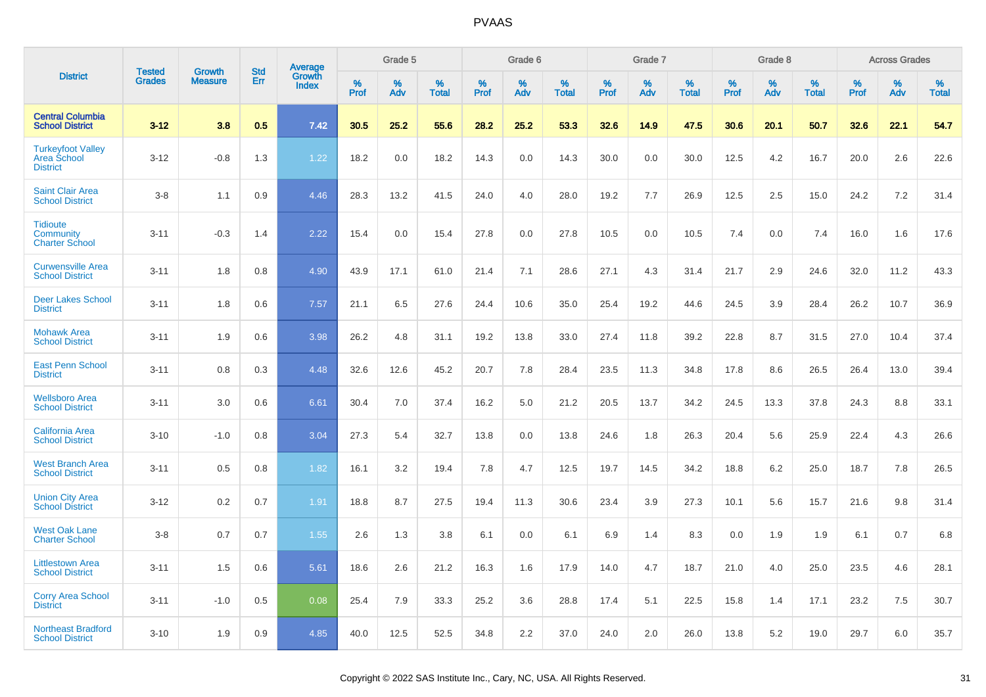|                                                                   |                                |                                 | <b>Std</b> |                                          |              | Grade 5  |                   |              | Grade 6  |                   |              | Grade 7  |                   |              | Grade 8  |                   |              | <b>Across Grades</b> |                   |
|-------------------------------------------------------------------|--------------------------------|---------------------------------|------------|------------------------------------------|--------------|----------|-------------------|--------------|----------|-------------------|--------------|----------|-------------------|--------------|----------|-------------------|--------------|----------------------|-------------------|
| <b>District</b>                                                   | <b>Tested</b><br><b>Grades</b> | <b>Growth</b><br><b>Measure</b> | Err        | <b>Average</b><br>Growth<br><b>Index</b> | $\%$<br>Prof | %<br>Adv | %<br><b>Total</b> | $\%$<br>Prof | %<br>Adv | %<br><b>Total</b> | $\%$<br>Prof | %<br>Adv | %<br><b>Total</b> | $\%$<br>Prof | %<br>Adv | %<br><b>Total</b> | $\%$<br>Prof | %<br>Adv             | %<br><b>Total</b> |
| <b>Central Columbia</b><br><b>School District</b>                 | $3 - 12$                       | 3.8                             | 0.5        | 7.42                                     | 30.5         | 25.2     | 55.6              | 28.2         | 25.2     | 53.3              | 32.6         | 14.9     | 47.5              | 30.6         | 20.1     | 50.7              | 32.6         | 22.1                 | 54.7              |
| <b>Turkeyfoot Valley</b><br><b>Area School</b><br><b>District</b> | $3 - 12$                       | $-0.8$                          | 1.3        | 1.22                                     | 18.2         | 0.0      | 18.2              | 14.3         | 0.0      | 14.3              | 30.0         | 0.0      | 30.0              | 12.5         | 4.2      | 16.7              | 20.0         | 2.6                  | 22.6              |
| <b>Saint Clair Area</b><br><b>School District</b>                 | $3 - 8$                        | 1.1                             | 0.9        | 4.46                                     | 28.3         | 13.2     | 41.5              | 24.0         | 4.0      | 28.0              | 19.2         | 7.7      | 26.9              | 12.5         | 2.5      | 15.0              | 24.2         | 7.2                  | 31.4              |
| <b>Tidioute</b><br>Community<br><b>Charter School</b>             | $3 - 11$                       | $-0.3$                          | 1.4        | 2.22                                     | 15.4         | 0.0      | 15.4              | 27.8         | 0.0      | 27.8              | 10.5         | 0.0      | 10.5              | 7.4          | 0.0      | 7.4               | 16.0         | 1.6                  | 17.6              |
| <b>Curwensville Area</b><br><b>School District</b>                | $3 - 11$                       | 1.8                             | 0.8        | 4.90                                     | 43.9         | 17.1     | 61.0              | 21.4         | 7.1      | 28.6              | 27.1         | 4.3      | 31.4              | 21.7         | 2.9      | 24.6              | 32.0         | 11.2                 | 43.3              |
| <b>Deer Lakes School</b><br><b>District</b>                       | $3 - 11$                       | 1.8                             | 0.6        | 7.57                                     | 21.1         | 6.5      | 27.6              | 24.4         | 10.6     | 35.0              | 25.4         | 19.2     | 44.6              | 24.5         | 3.9      | 28.4              | 26.2         | 10.7                 | 36.9              |
| <b>Mohawk Area</b><br><b>School District</b>                      | $3 - 11$                       | 1.9                             | 0.6        | 3.98                                     | 26.2         | 4.8      | 31.1              | 19.2         | 13.8     | 33.0              | 27.4         | 11.8     | 39.2              | 22.8         | 8.7      | 31.5              | 27.0         | 10.4                 | 37.4              |
| <b>East Penn School</b><br><b>District</b>                        | $3 - 11$                       | 0.8                             | 0.3        | 4.48                                     | 32.6         | 12.6     | 45.2              | 20.7         | 7.8      | 28.4              | 23.5         | 11.3     | 34.8              | 17.8         | 8.6      | 26.5              | 26.4         | 13.0                 | 39.4              |
| <b>Wellsboro Area</b><br><b>School District</b>                   | $3 - 11$                       | 3.0                             | 0.6        | 6.61                                     | 30.4         | 7.0      | 37.4              | 16.2         | 5.0      | 21.2              | 20.5         | 13.7     | 34.2              | 24.5         | 13.3     | 37.8              | 24.3         | 8.8                  | 33.1              |
| <b>California Area</b><br><b>School District</b>                  | $3 - 10$                       | $-1.0$                          | 0.8        | 3.04                                     | 27.3         | 5.4      | 32.7              | 13.8         | 0.0      | 13.8              | 24.6         | 1.8      | 26.3              | 20.4         | 5.6      | 25.9              | 22.4         | 4.3                  | 26.6              |
| <b>West Branch Area</b><br><b>School District</b>                 | $3 - 11$                       | 0.5                             | 0.8        | 1.82                                     | 16.1         | 3.2      | 19.4              | 7.8          | 4.7      | 12.5              | 19.7         | 14.5     | 34.2              | 18.8         | 6.2      | 25.0              | 18.7         | 7.8                  | 26.5              |
| <b>Union City Area</b><br><b>School District</b>                  | $3 - 12$                       | 0.2                             | 0.7        | 1.91                                     | 18.8         | 8.7      | 27.5              | 19.4         | 11.3     | 30.6              | 23.4         | 3.9      | 27.3              | 10.1         | 5.6      | 15.7              | 21.6         | 9.8                  | 31.4              |
| <b>West Oak Lane</b><br><b>Charter School</b>                     | $3 - 8$                        | 0.7                             | 0.7        | 1.55                                     | 2.6          | 1.3      | 3.8               | 6.1          | 0.0      | 6.1               | 6.9          | 1.4      | 8.3               | 0.0          | 1.9      | 1.9               | 6.1          | 0.7                  | 6.8               |
| <b>Littlestown Area</b><br><b>School District</b>                 | $3 - 11$                       | 1.5                             | 0.6        | 5.61                                     | 18.6         | 2.6      | 21.2              | 16.3         | 1.6      | 17.9              | 14.0         | 4.7      | 18.7              | 21.0         | 4.0      | 25.0              | 23.5         | 4.6                  | 28.1              |
| <b>Corry Area School</b><br><b>District</b>                       | $3 - 11$                       | $-1.0$                          | 0.5        | 0.08                                     | 25.4         | 7.9      | 33.3              | 25.2         | 3.6      | 28.8              | 17.4         | 5.1      | 22.5              | 15.8         | 1.4      | 17.1              | 23.2         | 7.5                  | 30.7              |
| <b>Northeast Bradford</b><br><b>School District</b>               | $3 - 10$                       | 1.9                             | 0.9        | 4.85                                     | 40.0         | 12.5     | 52.5              | 34.8         | 2.2      | 37.0              | 24.0         | 2.0      | 26.0              | 13.8         | 5.2      | 19.0              | 29.7         | 6.0                  | 35.7              |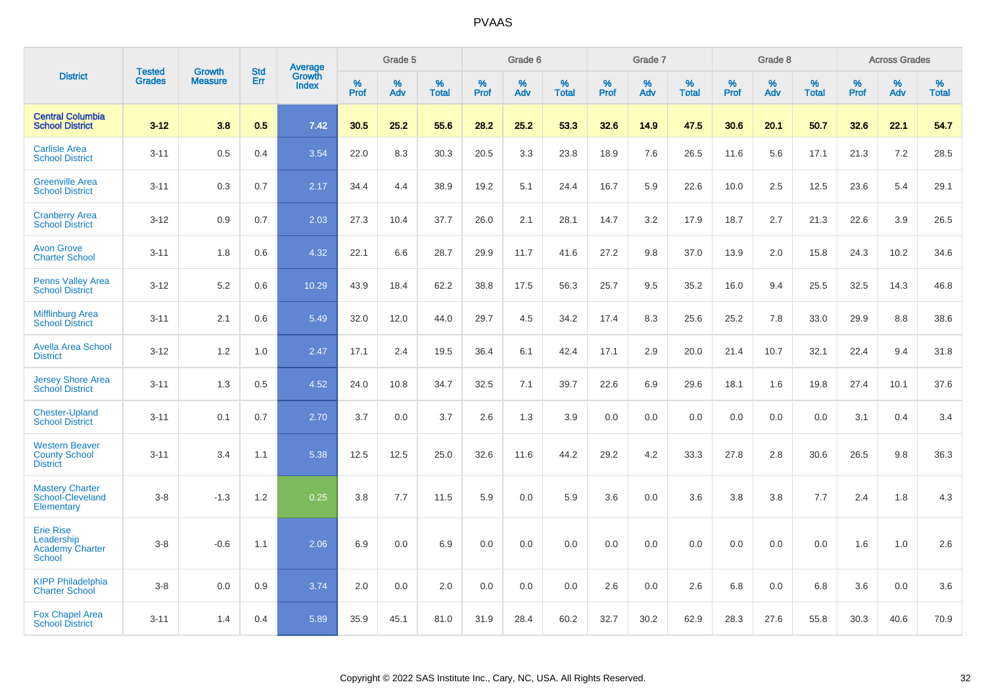|                                                                           | <b>Tested</b> | <b>Growth</b>  | <b>Std</b> | Average                |              | Grade 5  |                   |           | Grade 6  |                   |              | Grade 7  |                   |              | Grade 8  |                   |              | <b>Across Grades</b> |                   |
|---------------------------------------------------------------------------|---------------|----------------|------------|------------------------|--------------|----------|-------------------|-----------|----------|-------------------|--------------|----------|-------------------|--------------|----------|-------------------|--------------|----------------------|-------------------|
| <b>District</b>                                                           | <b>Grades</b> | <b>Measure</b> | Err        | Growth<br><b>Index</b> | $\%$<br>Prof | %<br>Adv | %<br><b>Total</b> | %<br>Prof | %<br>Adv | %<br><b>Total</b> | $\%$<br>Prof | %<br>Adv | %<br><b>Total</b> | $\%$<br>Prof | %<br>Adv | %<br><b>Total</b> | $\%$<br>Prof | $\%$<br>Adv          | %<br><b>Total</b> |
| <b>Central Columbia</b><br><b>School District</b>                         | $3 - 12$      | 3.8            | 0.5        | 7.42                   | 30.5         | 25.2     | 55.6              | 28.2      | 25.2     | 53.3              | 32.6         | 14.9     | 47.5              | 30.6         | 20.1     | 50.7              | 32.6         | 22.1                 | 54.7              |
| <b>Carlisle Area</b><br><b>School District</b>                            | $3 - 11$      | 0.5            | 0.4        | 3.54                   | 22.0         | 8.3      | 30.3              | 20.5      | 3.3      | 23.8              | 18.9         | 7.6      | 26.5              | 11.6         | 5.6      | 17.1              | 21.3         | 7.2                  | 28.5              |
| <b>Greenville Area</b><br><b>School District</b>                          | $3 - 11$      | 0.3            | 0.7        | 2.17                   | 34.4         | 4.4      | 38.9              | 19.2      | 5.1      | 24.4              | 16.7         | 5.9      | 22.6              | 10.0         | 2.5      | 12.5              | 23.6         | 5.4                  | 29.1              |
| <b>Cranberry Area</b><br><b>School District</b>                           | $3 - 12$      | 0.9            | 0.7        | 2.03                   | 27.3         | 10.4     | 37.7              | 26.0      | 2.1      | 28.1              | 14.7         | 3.2      | 17.9              | 18.7         | 2.7      | 21.3              | 22.6         | 3.9                  | 26.5              |
| <b>Avon Grove</b><br><b>Charter School</b>                                | $3 - 11$      | 1.8            | 0.6        | 4.32                   | 22.1         | 6.6      | 28.7              | 29.9      | 11.7     | 41.6              | 27.2         | 9.8      | 37.0              | 13.9         | 2.0      | 15.8              | 24.3         | 10.2                 | 34.6              |
| <b>Penns Valley Area</b><br><b>School District</b>                        | $3 - 12$      | 5.2            | 0.6        | 10.29                  | 43.9         | 18.4     | 62.2              | 38.8      | 17.5     | 56.3              | 25.7         | 9.5      | 35.2              | 16.0         | 9.4      | 25.5              | 32.5         | 14.3                 | 46.8              |
| <b>Mifflinburg Area</b><br><b>School District</b>                         | $3 - 11$      | 2.1            | 0.6        | 5.49                   | 32.0         | 12.0     | 44.0              | 29.7      | 4.5      | 34.2              | 17.4         | 8.3      | 25.6              | 25.2         | 7.8      | 33.0              | 29.9         | 8.8                  | 38.6              |
| <b>Avella Area School</b><br><b>District</b>                              | $3 - 12$      | 1.2            | 1.0        | 2.47                   | 17.1         | 2.4      | 19.5              | 36.4      | 6.1      | 42.4              | 17.1         | 2.9      | 20.0              | 21.4         | 10.7     | 32.1              | 22.4         | 9.4                  | 31.8              |
| <b>Jersey Shore Area</b><br><b>School District</b>                        | $3 - 11$      | 1.3            | 0.5        | 4.52                   | 24.0         | 10.8     | 34.7              | 32.5      | 7.1      | 39.7              | 22.6         | 6.9      | 29.6              | 18.1         | 1.6      | 19.8              | 27.4         | 10.1                 | 37.6              |
| <b>Chester-Upland</b><br><b>School District</b>                           | $3 - 11$      | 0.1            | 0.7        | 2.70                   | 3.7          | 0.0      | 3.7               | 2.6       | 1.3      | 3.9               | 0.0          | 0.0      | 0.0               | 0.0          | 0.0      | 0.0               | 3.1          | 0.4                  | 3.4               |
| <b>Western Beaver</b><br><b>County School</b><br><b>District</b>          | $3 - 11$      | 3.4            | 1.1        | 5.38                   | 12.5         | 12.5     | 25.0              | 32.6      | 11.6     | 44.2              | 29.2         | 4.2      | 33.3              | 27.8         | 2.8      | 30.6              | 26.5         | 9.8                  | 36.3              |
| <b>Mastery Charter</b><br>School-Cleveland<br>Elementary                  | $3 - 8$       | $-1.3$         | 1.2        | 0.25                   | 3.8          | 7.7      | 11.5              | 5.9       | 0.0      | 5.9               | 3.6          | 0.0      | 3.6               | 3.8          | 3.8      | 7.7               | 2.4          | 1.8                  | 4.3               |
| <b>Erie Rise</b><br>Leadership<br><b>Academy Charter</b><br><b>School</b> | $3 - 8$       | $-0.6$         | 1.1        | 2.06                   | 6.9          | 0.0      | 6.9               | 0.0       | 0.0      | 0.0               | 0.0          | 0.0      | 0.0               | 0.0          | 0.0      | 0.0               | 1.6          | 1.0                  | 2.6               |
| <b>KIPP Philadelphia</b><br><b>Charter School</b>                         | $3 - 8$       | 0.0            | 0.9        | 3.74                   | 2.0          | 0.0      | 2.0               | 0.0       | 0.0      | 0.0               | 2.6          | 0.0      | 2.6               | 6.8          | 0.0      | 6.8               | 3.6          | 0.0                  | 3.6               |
| <b>Fox Chapel Area</b><br><b>School District</b>                          | $3 - 11$      | 1.4            | 0.4        | 5.89                   | 35.9         | 45.1     | 81.0              | 31.9      | 28.4     | 60.2              | 32.7         | 30.2     | 62.9              | 28.3         | 27.6     | 55.8              | 30.3         | 40.6                 | 70.9              |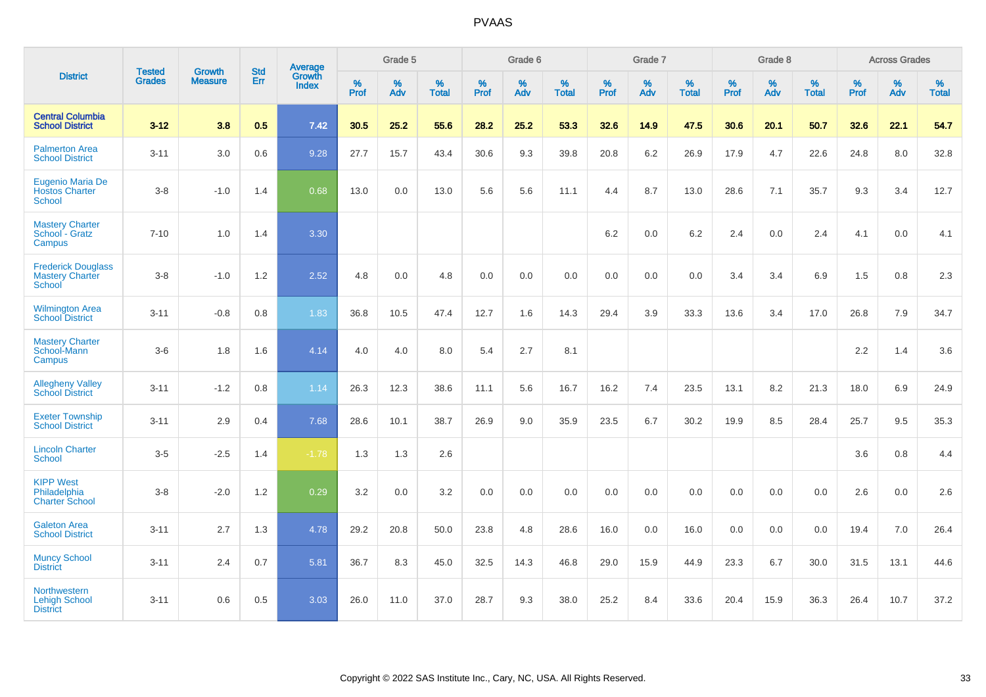|                                                               |                                | <b>Growth</b>  | <b>Std</b> | Average         |              | Grade 5  |                   |              | Grade 6  |                   |              | Grade 7  |                   |              | Grade 8  |                   |           | <b>Across Grades</b> |                   |
|---------------------------------------------------------------|--------------------------------|----------------|------------|-----------------|--------------|----------|-------------------|--------------|----------|-------------------|--------------|----------|-------------------|--------------|----------|-------------------|-----------|----------------------|-------------------|
| <b>District</b>                                               | <b>Tested</b><br><b>Grades</b> | <b>Measure</b> | Err        | Growth<br>Index | $\%$<br>Prof | %<br>Adv | %<br><b>Total</b> | $\%$<br>Prof | %<br>Adv | %<br><b>Total</b> | $\%$<br>Prof | %<br>Adv | %<br><b>Total</b> | $\%$<br>Prof | %<br>Adv | %<br><b>Total</b> | %<br>Prof | $\%$<br>Adv          | %<br><b>Total</b> |
| <b>Central Columbia</b><br><b>School District</b>             | $3 - 12$                       | 3.8            | 0.5        | 7.42            | 30.5         | 25.2     | 55.6              | 28.2         | 25.2     | 53.3              | 32.6         | 14.9     | 47.5              | 30.6         | 20.1     | 50.7              | 32.6      | 22.1                 | 54.7              |
| <b>Palmerton Area</b><br><b>School District</b>               | $3 - 11$                       | 3.0            | 0.6        | 9.28            | 27.7         | 15.7     | 43.4              | 30.6         | 9.3      | 39.8              | 20.8         | 6.2      | 26.9              | 17.9         | 4.7      | 22.6              | 24.8      | 8.0                  | 32.8              |
| Eugenio Maria De<br><b>Hostos Charter</b><br><b>School</b>    | $3 - 8$                        | $-1.0$         | 1.4        | 0.68            | 13.0         | 0.0      | 13.0              | 5.6          | 5.6      | 11.1              | 4.4          | 8.7      | 13.0              | 28.6         | 7.1      | 35.7              | 9.3       | 3.4                  | 12.7              |
| <b>Mastery Charter</b><br>School - Gratz<br>Campus            | $7 - 10$                       | 1.0            | 1.4        | 3.30            |              |          |                   |              |          |                   | 6.2          | 0.0      | 6.2               | 2.4          | 0.0      | 2.4               | 4.1       | 0.0                  | 4.1               |
| <b>Frederick Douglass</b><br><b>Mastery Charter</b><br>School | $3 - 8$                        | $-1.0$         | 1.2        | 2.52            | 4.8          | 0.0      | 4.8               | 0.0          | 0.0      | 0.0               | 0.0          | 0.0      | 0.0               | 3.4          | 3.4      | 6.9               | 1.5       | 0.8                  | $2.3\,$           |
| <b>Wilmington Area</b><br><b>School District</b>              | $3 - 11$                       | $-0.8$         | 0.8        | 1.83            | 36.8         | 10.5     | 47.4              | 12.7         | 1.6      | 14.3              | 29.4         | 3.9      | 33.3              | 13.6         | 3.4      | 17.0              | 26.8      | 7.9                  | 34.7              |
| <b>Mastery Charter</b><br>School-Mann<br>Campus               | $3-6$                          | 1.8            | 1.6        | 4.14            | 4.0          | 4.0      | 8.0               | 5.4          | 2.7      | 8.1               |              |          |                   |              |          |                   | $2.2\,$   | 1.4                  | 3.6               |
| <b>Allegheny Valley</b><br><b>School District</b>             | $3 - 11$                       | $-1.2$         | $0.8\,$    | 1.14            | 26.3         | 12.3     | 38.6              | 11.1         | 5.6      | 16.7              | 16.2         | 7.4      | 23.5              | 13.1         | 8.2      | 21.3              | 18.0      | 6.9                  | 24.9              |
| <b>Exeter Township</b><br><b>School District</b>              | $3 - 11$                       | 2.9            | 0.4        | 7.68            | 28.6         | 10.1     | 38.7              | 26.9         | 9.0      | 35.9              | 23.5         | 6.7      | 30.2              | 19.9         | 8.5      | 28.4              | 25.7      | 9.5                  | 35.3              |
| <b>Lincoln Charter</b><br><b>School</b>                       | $3 - 5$                        | $-2.5$         | 1.4        | $-1.78$         | 1.3          | 1.3      | 2.6               |              |          |                   |              |          |                   |              |          |                   | 3.6       | 0.8                  | 4.4               |
| <b>KIPP West</b><br>Philadelphia<br><b>Charter School</b>     | $3 - 8$                        | $-2.0$         | 1.2        | 0.29            | 3.2          | 0.0      | 3.2               | 0.0          | 0.0      | 0.0               | 0.0          | 0.0      | 0.0               | 0.0          | 0.0      | 0.0               | 2.6       | 0.0                  | 2.6               |
| <b>Galeton Area</b><br><b>School District</b>                 | $3 - 11$                       | 2.7            | 1.3        | 4.78            | 29.2         | 20.8     | 50.0              | 23.8         | 4.8      | 28.6              | 16.0         | 0.0      | 16.0              | 0.0          | 0.0      | 0.0               | 19.4      | 7.0                  | 26.4              |
| <b>Muncy School</b><br><b>District</b>                        | $3 - 11$                       | 2.4            | 0.7        | 5.81            | 36.7         | 8.3      | 45.0              | 32.5         | 14.3     | 46.8              | 29.0         | 15.9     | 44.9              | 23.3         | 6.7      | 30.0              | 31.5      | 13.1                 | 44.6              |
| Northwestern<br><b>Lehigh School</b><br><b>District</b>       | $3 - 11$                       | 0.6            | 0.5        | 3.03            | 26.0         | 11.0     | 37.0              | 28.7         | 9.3      | 38.0              | 25.2         | 8.4      | 33.6              | 20.4         | 15.9     | 36.3              | 26.4      | 10.7                 | 37.2              |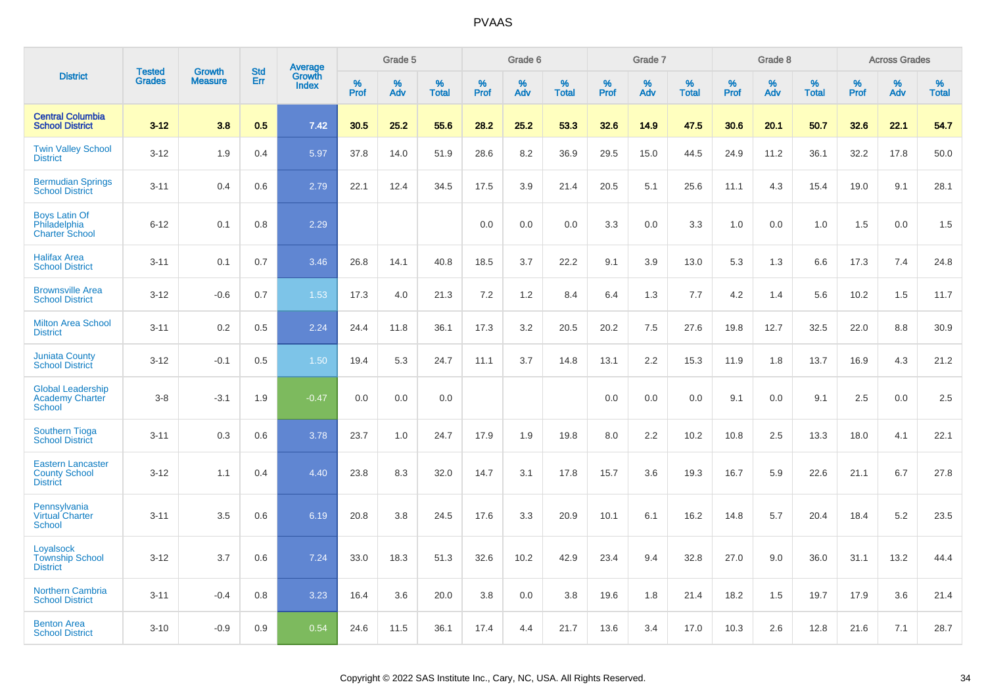|                                                                     | <b>Tested</b> | <b>Growth</b>  | <b>Std</b> | Average                |           | Grade 5  |                   |           | Grade 6  |                   |           | Grade 7  |                   |           | Grade 8  |                   |              | <b>Across Grades</b> |                   |
|---------------------------------------------------------------------|---------------|----------------|------------|------------------------|-----------|----------|-------------------|-----------|----------|-------------------|-----------|----------|-------------------|-----------|----------|-------------------|--------------|----------------------|-------------------|
| <b>District</b>                                                     | <b>Grades</b> | <b>Measure</b> | Err        | Growth<br><b>Index</b> | %<br>Prof | %<br>Adv | %<br><b>Total</b> | %<br>Prof | %<br>Adv | %<br><b>Total</b> | %<br>Prof | %<br>Adv | %<br><b>Total</b> | %<br>Prof | %<br>Adv | %<br><b>Total</b> | $\%$<br>Prof | %<br>Adv             | %<br><b>Total</b> |
| <b>Central Columbia</b><br><b>School District</b>                   | $3 - 12$      | 3.8            | 0.5        | 7.42                   | 30.5      | 25.2     | 55.6              | 28.2      | 25.2     | 53.3              | 32.6      | 14.9     | 47.5              | 30.6      | 20.1     | 50.7              | 32.6         | 22.1                 | 54.7              |
| <b>Twin Valley School</b><br><b>District</b>                        | $3 - 12$      | 1.9            | 0.4        | 5.97                   | 37.8      | 14.0     | 51.9              | 28.6      | 8.2      | 36.9              | 29.5      | 15.0     | 44.5              | 24.9      | 11.2     | 36.1              | 32.2         | 17.8                 | 50.0              |
| <b>Bermudian Springs</b><br><b>School District</b>                  | $3 - 11$      | 0.4            | 0.6        | 2.79                   | 22.1      | 12.4     | 34.5              | 17.5      | 3.9      | 21.4              | 20.5      | 5.1      | 25.6              | 11.1      | 4.3      | 15.4              | 19.0         | 9.1                  | 28.1              |
| <b>Boys Latin Of</b><br>Philadelphia<br><b>Charter School</b>       | $6 - 12$      | 0.1            | 0.8        | 2.29                   |           |          |                   | 0.0       | 0.0      | 0.0               | 3.3       | 0.0      | 3.3               | 1.0       | 0.0      | 1.0               | 1.5          | 0.0                  | 1.5               |
| <b>Halifax Area</b><br><b>School District</b>                       | $3 - 11$      | 0.1            | 0.7        | 3.46                   | 26.8      | 14.1     | 40.8              | 18.5      | 3.7      | 22.2              | 9.1       | 3.9      | 13.0              | 5.3       | 1.3      | 6.6               | 17.3         | 7.4                  | 24.8              |
| <b>Brownsville Area</b><br><b>School District</b>                   | $3 - 12$      | $-0.6$         | 0.7        | 1.53                   | 17.3      | 4.0      | 21.3              | 7.2       | 1.2      | 8.4               | 6.4       | 1.3      | 7.7               | 4.2       | 1.4      | 5.6               | 10.2         | 1.5                  | 11.7              |
| <b>Milton Area School</b><br><b>District</b>                        | $3 - 11$      | 0.2            | 0.5        | 2.24                   | 24.4      | 11.8     | 36.1              | 17.3      | 3.2      | 20.5              | 20.2      | 7.5      | 27.6              | 19.8      | 12.7     | 32.5              | 22.0         | 8.8                  | 30.9              |
| <b>Juniata County</b><br><b>School District</b>                     | $3 - 12$      | $-0.1$         | 0.5        | 1.50                   | 19.4      | 5.3      | 24.7              | 11.1      | 3.7      | 14.8              | 13.1      | 2.2      | 15.3              | 11.9      | 1.8      | 13.7              | 16.9         | 4.3                  | 21.2              |
| <b>Global Leadership</b><br><b>Academy Charter</b><br><b>School</b> | $3 - 8$       | $-3.1$         | 1.9        | $-0.47$                | 0.0       | 0.0      | 0.0               |           |          |                   | 0.0       | 0.0      | 0.0               | 9.1       | 0.0      | 9.1               | 2.5          | 0.0                  | 2.5               |
| <b>Southern Tioga</b><br><b>School District</b>                     | $3 - 11$      | 0.3            | 0.6        | 3.78                   | 23.7      | 1.0      | 24.7              | 17.9      | 1.9      | 19.8              | 8.0       | 2.2      | 10.2              | 10.8      | 2.5      | 13.3              | 18.0         | 4.1                  | 22.1              |
| <b>Eastern Lancaster</b><br><b>County School</b><br><b>District</b> | $3 - 12$      | 1.1            | 0.4        | 4.40                   | 23.8      | 8.3      | 32.0              | 14.7      | 3.1      | 17.8              | 15.7      | 3.6      | 19.3              | 16.7      | 5.9      | 22.6              | 21.1         | 6.7                  | 27.8              |
| Pennsylvania<br><b>Virtual Charter</b><br><b>School</b>             | $3 - 11$      | 3.5            | 0.6        | 6.19                   | 20.8      | 3.8      | 24.5              | 17.6      | 3.3      | 20.9              | 10.1      | 6.1      | 16.2              | 14.8      | 5.7      | 20.4              | 18.4         | 5.2                  | 23.5              |
| Loyalsock<br><b>Township School</b><br><b>District</b>              | $3 - 12$      | 3.7            | 0.6        | 7.24                   | 33.0      | 18.3     | 51.3              | 32.6      | 10.2     | 42.9              | 23.4      | 9.4      | 32.8              | 27.0      | 9.0      | 36.0              | 31.1         | 13.2                 | 44.4              |
| <b>Northern Cambria</b><br><b>School District</b>                   | $3 - 11$      | $-0.4$         | 0.8        | 3.23                   | 16.4      | 3.6      | 20.0              | 3.8       | 0.0      | 3.8               | 19.6      | 1.8      | 21.4              | 18.2      | 1.5      | 19.7              | 17.9         | 3.6                  | 21.4              |
| <b>Benton Area</b><br><b>School District</b>                        | $3 - 10$      | $-0.9$         | 0.9        | 0.54                   | 24.6      | 11.5     | 36.1              | 17.4      | 4.4      | 21.7              | 13.6      | 3.4      | 17.0              | 10.3      | 2.6      | 12.8              | 21.6         | 7.1                  | 28.7              |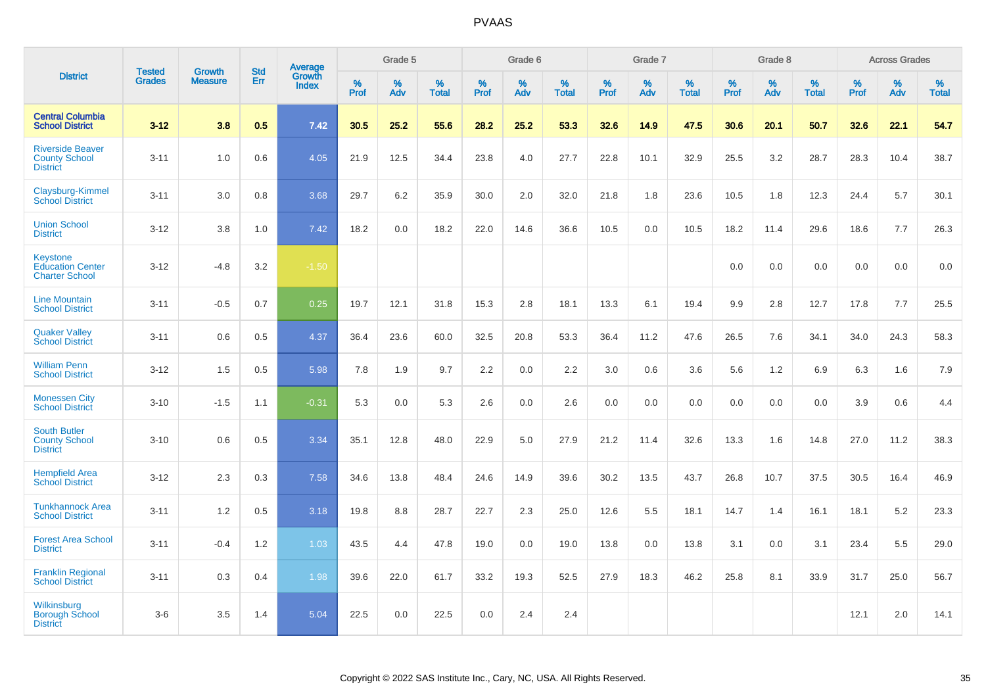|                                                                     |                                |                                 | <b>Std</b> | Average                |              | Grade 5  |                   |                  | Grade 6  |                   |           | Grade 7  |                   |           | Grade 8  |                   |                     | <b>Across Grades</b> |                   |
|---------------------------------------------------------------------|--------------------------------|---------------------------------|------------|------------------------|--------------|----------|-------------------|------------------|----------|-------------------|-----------|----------|-------------------|-----------|----------|-------------------|---------------------|----------------------|-------------------|
| <b>District</b>                                                     | <b>Tested</b><br><b>Grades</b> | <b>Growth</b><br><b>Measure</b> | Err        | Growth<br><b>Index</b> | $\%$<br>Prof | %<br>Adv | %<br><b>Total</b> | %<br><b>Prof</b> | %<br>Adv | %<br><b>Total</b> | %<br>Prof | %<br>Adv | %<br><b>Total</b> | %<br>Prof | %<br>Adv | %<br><b>Total</b> | $\%$<br><b>Prof</b> | %<br>Adv             | %<br><b>Total</b> |
| <b>Central Columbia</b><br><b>School District</b>                   | $3 - 12$                       | 3.8                             | 0.5        | 7.42                   | 30.5         | 25.2     | 55.6              | 28.2             | 25.2     | 53.3              | 32.6      | 14.9     | 47.5              | 30.6      | 20.1     | 50.7              | 32.6                | 22.1                 | 54.7              |
| <b>Riverside Beaver</b><br><b>County School</b><br><b>District</b>  | $3 - 11$                       | 1.0                             | 0.6        | 4.05                   | 21.9         | 12.5     | 34.4              | 23.8             | 4.0      | 27.7              | 22.8      | 10.1     | 32.9              | 25.5      | 3.2      | 28.7              | 28.3                | 10.4                 | 38.7              |
| Claysburg-Kimmel<br><b>School District</b>                          | $3 - 11$                       | 3.0                             | 0.8        | 3.68                   | 29.7         | 6.2      | 35.9              | 30.0             | 2.0      | 32.0              | 21.8      | 1.8      | 23.6              | 10.5      | 1.8      | 12.3              | 24.4                | 5.7                  | 30.1              |
| <b>Union School</b><br><b>District</b>                              | $3 - 12$                       | 3.8                             | 1.0        | 7.42                   | 18.2         | 0.0      | 18.2              | 22.0             | 14.6     | 36.6              | 10.5      | 0.0      | 10.5              | 18.2      | 11.4     | 29.6              | 18.6                | 7.7                  | 26.3              |
| <b>Keystone</b><br><b>Education Center</b><br><b>Charter School</b> | $3 - 12$                       | $-4.8$                          | 3.2        | $-1.50$                |              |          |                   |                  |          |                   |           |          |                   | 0.0       | 0.0      | 0.0               | 0.0                 | 0.0                  | 0.0               |
| <b>Line Mountain</b><br><b>School District</b>                      | $3 - 11$                       | $-0.5$                          | 0.7        | 0.25                   | 19.7         | 12.1     | 31.8              | 15.3             | 2.8      | 18.1              | 13.3      | 6.1      | 19.4              | 9.9       | 2.8      | 12.7              | 17.8                | 7.7                  | 25.5              |
| <b>Quaker Valley</b><br><b>School District</b>                      | $3 - 11$                       | 0.6                             | 0.5        | 4.37                   | 36.4         | 23.6     | 60.0              | 32.5             | 20.8     | 53.3              | 36.4      | 11.2     | 47.6              | 26.5      | 7.6      | 34.1              | 34.0                | 24.3                 | 58.3              |
| <b>William Penn</b><br><b>School District</b>                       | $3 - 12$                       | 1.5                             | 0.5        | 5.98                   | 7.8          | 1.9      | 9.7               | 2.2              | 0.0      | 2.2               | 3.0       | 0.6      | 3.6               | 5.6       | 1.2      | 6.9               | 6.3                 | 1.6                  | 7.9               |
| <b>Monessen City</b><br><b>School District</b>                      | $3 - 10$                       | $-1.5$                          | 1.1        | $-0.31$                | 5.3          | 0.0      | 5.3               | 2.6              | 0.0      | 2.6               | 0.0       | 0.0      | 0.0               | 0.0       | 0.0      | 0.0               | 3.9                 | 0.6                  | 4.4               |
| <b>South Butler</b><br><b>County School</b><br><b>District</b>      | $3 - 10$                       | 0.6                             | 0.5        | 3.34                   | 35.1         | 12.8     | 48.0              | 22.9             | 5.0      | 27.9              | 21.2      | 11.4     | 32.6              | 13.3      | 1.6      | 14.8              | 27.0                | 11.2                 | 38.3              |
| <b>Hempfield Area</b><br><b>School District</b>                     | $3 - 12$                       | 2.3                             | 0.3        | 7.58                   | 34.6         | 13.8     | 48.4              | 24.6             | 14.9     | 39.6              | 30.2      | 13.5     | 43.7              | 26.8      | 10.7     | 37.5              | 30.5                | 16.4                 | 46.9              |
| <b>Tunkhannock Area</b><br><b>School District</b>                   | $3 - 11$                       | 1.2                             | 0.5        | 3.18                   | 19.8         | 8.8      | 28.7              | 22.7             | 2.3      | 25.0              | 12.6      | 5.5      | 18.1              | 14.7      | 1.4      | 16.1              | 18.1                | 5.2                  | 23.3              |
| <b>Forest Area School</b><br><b>District</b>                        | $3 - 11$                       | $-0.4$                          | 1.2        | 1.03                   | 43.5         | 4.4      | 47.8              | 19.0             | 0.0      | 19.0              | 13.8      | 0.0      | 13.8              | 3.1       | 0.0      | 3.1               | 23.4                | 5.5                  | 29.0              |
| <b>Franklin Regional</b><br><b>School District</b>                  | $3 - 11$                       | 0.3                             | 0.4        | 1.98                   | 39.6         | 22.0     | 61.7              | 33.2             | 19.3     | 52.5              | 27.9      | 18.3     | 46.2              | 25.8      | 8.1      | 33.9              | 31.7                | 25.0                 | 56.7              |
| Wilkinsburg<br><b>Borough School</b><br><b>District</b>             | $3-6$                          | 3.5                             | 1.4        | 5.04                   | 22.5         | 0.0      | 22.5              | 0.0              | 2.4      | 2.4               |           |          |                   |           |          |                   | 12.1                | 2.0                  | 14.1              |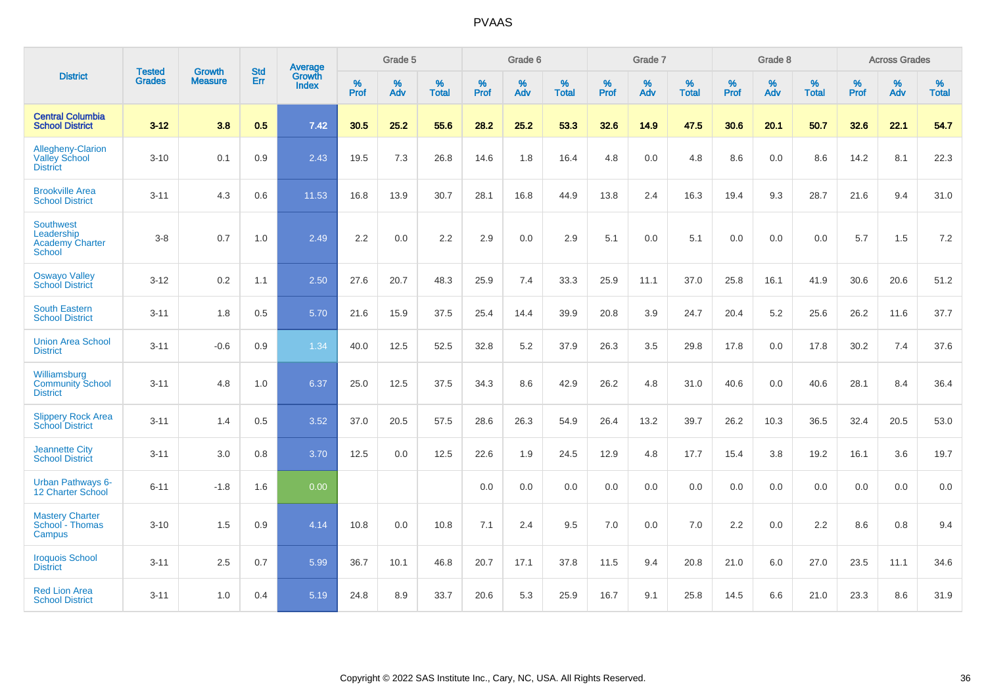|                                                                    | <b>Tested</b> | <b>Growth</b>  | <b>Std</b> | Average                |                     | Grade 5  |                   |                     | Grade 6  |                   |              | Grade 7  |                   |                     | Grade 8  |                   |                     | <b>Across Grades</b> |                   |
|--------------------------------------------------------------------|---------------|----------------|------------|------------------------|---------------------|----------|-------------------|---------------------|----------|-------------------|--------------|----------|-------------------|---------------------|----------|-------------------|---------------------|----------------------|-------------------|
| <b>District</b>                                                    | <b>Grades</b> | <b>Measure</b> | Err        | Growth<br><b>Index</b> | $\%$<br><b>Prof</b> | %<br>Adv | %<br><b>Total</b> | $\%$<br><b>Prof</b> | %<br>Adv | %<br><b>Total</b> | $\%$<br>Prof | %<br>Adv | %<br><b>Total</b> | $\%$<br><b>Prof</b> | %<br>Adv | %<br><b>Total</b> | $\%$<br><b>Prof</b> | %<br>Adv             | %<br><b>Total</b> |
| <b>Central Columbia</b><br><b>School District</b>                  | $3 - 12$      | 3.8            | 0.5        | 7.42                   | 30.5                | 25.2     | 55.6              | 28.2                | 25.2     | 53.3              | 32.6         | 14.9     | 47.5              | 30.6                | 20.1     | 50.7              | 32.6                | 22.1                 | 54.7              |
| Allegheny-Clarion<br><b>Valley School</b><br><b>District</b>       | $3 - 10$      | 0.1            | 0.9        | 2.43                   | 19.5                | 7.3      | 26.8              | 14.6                | 1.8      | 16.4              | 4.8          | 0.0      | 4.8               | 8.6                 | 0.0      | 8.6               | 14.2                | 8.1                  | 22.3              |
| <b>Brookville Area</b><br><b>School District</b>                   | $3 - 11$      | 4.3            | 0.6        | 11.53                  | 16.8                | 13.9     | 30.7              | 28.1                | 16.8     | 44.9              | 13.8         | 2.4      | 16.3              | 19.4                | 9.3      | 28.7              | 21.6                | 9.4                  | 31.0              |
| <b>Southwest</b><br>Leadership<br><b>Academy Charter</b><br>School | $3 - 8$       | 0.7            | 1.0        | 2.49                   | 2.2                 | 0.0      | 2.2               | 2.9                 | 0.0      | 2.9               | 5.1          | 0.0      | 5.1               | 0.0                 | 0.0      | 0.0               | 5.7                 | 1.5                  | 7.2               |
| <b>Oswayo Valley</b><br><b>School District</b>                     | $3 - 12$      | 0.2            | 1.1        | 2.50                   | 27.6                | 20.7     | 48.3              | 25.9                | 7.4      | 33.3              | 25.9         | 11.1     | 37.0              | 25.8                | 16.1     | 41.9              | 30.6                | 20.6                 | 51.2              |
| <b>South Eastern</b><br><b>School District</b>                     | $3 - 11$      | 1.8            | 0.5        | 5.70                   | 21.6                | 15.9     | 37.5              | 25.4                | 14.4     | 39.9              | 20.8         | 3.9      | 24.7              | 20.4                | 5.2      | 25.6              | 26.2                | 11.6                 | 37.7              |
| <b>Union Area School</b><br><b>District</b>                        | $3 - 11$      | $-0.6$         | 0.9        | 1.34                   | 40.0                | 12.5     | 52.5              | 32.8                | 5.2      | 37.9              | 26.3         | 3.5      | 29.8              | 17.8                | 0.0      | 17.8              | 30.2                | 7.4                  | 37.6              |
| Williamsburg<br><b>Community School</b><br><b>District</b>         | $3 - 11$      | 4.8            | 1.0        | 6.37                   | 25.0                | 12.5     | 37.5              | 34.3                | 8.6      | 42.9              | 26.2         | 4.8      | 31.0              | 40.6                | 0.0      | 40.6              | 28.1                | 8.4                  | 36.4              |
| <b>Slippery Rock Area</b><br><b>School District</b>                | $3 - 11$      | 1.4            | 0.5        | 3.52                   | 37.0                | 20.5     | 57.5              | 28.6                | 26.3     | 54.9              | 26.4         | 13.2     | 39.7              | 26.2                | 10.3     | 36.5              | 32.4                | 20.5                 | 53.0              |
| <b>Jeannette City</b><br><b>School District</b>                    | $3 - 11$      | 3.0            | 0.8        | 3.70                   | 12.5                | 0.0      | 12.5              | 22.6                | 1.9      | 24.5              | 12.9         | 4.8      | 17.7              | 15.4                | 3.8      | 19.2              | 16.1                | 3.6                  | 19.7              |
| <b>Urban Pathways 6-</b><br>12 Charter School                      | $6 - 11$      | $-1.8$         | 1.6        | 0.00                   |                     |          |                   | 0.0                 | 0.0      | 0.0               | 0.0          | 0.0      | 0.0               | 0.0                 | 0.0      | 0.0               | 0.0                 | 0.0                  | 0.0               |
| <b>Mastery Charter</b><br>School - Thomas<br>Campus                | $3 - 10$      | 1.5            | 0.9        | 4.14                   | 10.8                | 0.0      | 10.8              | 7.1                 | 2.4      | 9.5               | 7.0          | $0.0\,$  | 7.0               | 2.2                 | $0.0\,$  | 2.2               | 8.6                 | $0.8\,$              | 9.4               |
| <b>Iroquois School</b><br><b>District</b>                          | $3 - 11$      | 2.5            | 0.7        | 5.99                   | 36.7                | 10.1     | 46.8              | 20.7                | 17.1     | 37.8              | 11.5         | 9.4      | 20.8              | 21.0                | 6.0      | 27.0              | 23.5                | 11.1                 | 34.6              |
| <b>Red Lion Area</b><br><b>School District</b>                     | $3 - 11$      | 1.0            | 0.4        | 5.19                   | 24.8                | 8.9      | 33.7              | 20.6                | 5.3      | 25.9              | 16.7         | 9.1      | 25.8              | 14.5                | 6.6      | 21.0              | 23.3                | 8.6                  | 31.9              |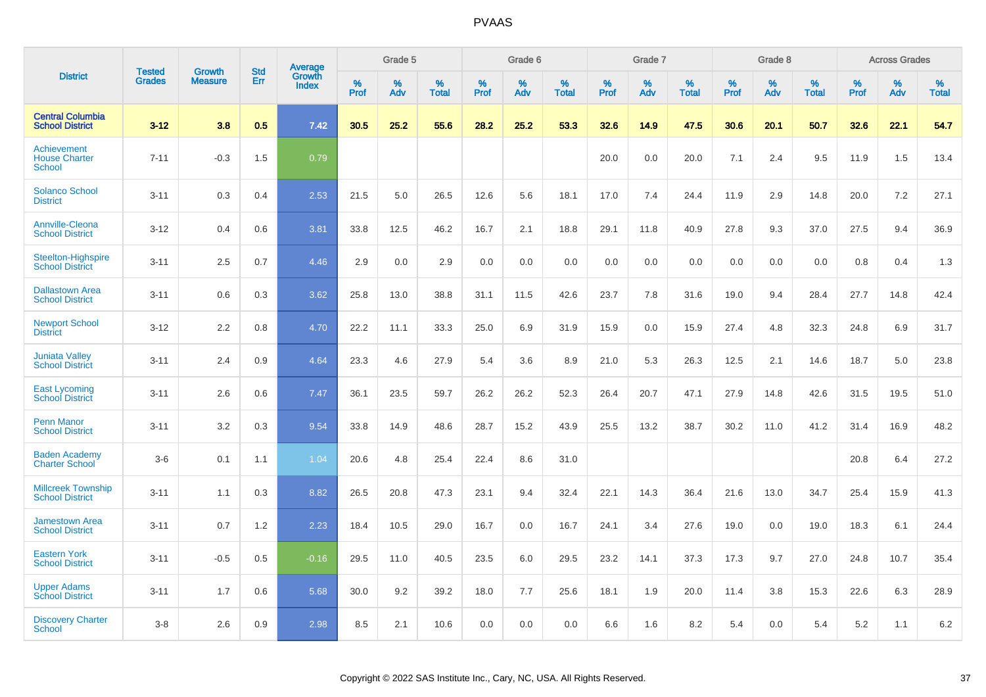|                                                      |                                |                                 | <b>Std</b> | Average                |           | Grade 5  |                   |           | Grade 6  |                   |           | Grade 7  |                   |           | Grade 8  |                   |           | <b>Across Grades</b> |                   |
|------------------------------------------------------|--------------------------------|---------------------------------|------------|------------------------|-----------|----------|-------------------|-----------|----------|-------------------|-----------|----------|-------------------|-----------|----------|-------------------|-----------|----------------------|-------------------|
| <b>District</b>                                      | <b>Tested</b><br><b>Grades</b> | <b>Growth</b><br><b>Measure</b> | Err        | Growth<br><b>Index</b> | %<br>Prof | %<br>Adv | %<br><b>Total</b> | %<br>Prof | %<br>Adv | %<br><b>Total</b> | %<br>Prof | %<br>Adv | %<br><b>Total</b> | %<br>Prof | %<br>Adv | %<br><b>Total</b> | %<br>Prof | %<br>Adv             | %<br><b>Total</b> |
| <b>Central Columbia</b><br><b>School District</b>    | $3 - 12$                       | 3.8                             | 0.5        | 7.42                   | 30.5      | 25.2     | 55.6              | 28.2      | 25.2     | 53.3              | 32.6      | 14.9     | 47.5              | 30.6      | 20.1     | 50.7              | 32.6      | 22.1                 | 54.7              |
| Achievement<br><b>House Charter</b><br><b>School</b> | $7 - 11$                       | $-0.3$                          | 1.5        | 0.79                   |           |          |                   |           |          |                   | 20.0      | 0.0      | 20.0              | 7.1       | 2.4      | 9.5               | 11.9      | 1.5                  | 13.4              |
| <b>Solanco School</b><br><b>District</b>             | $3 - 11$                       | 0.3                             | 0.4        | 2.53                   | 21.5      | 5.0      | 26.5              | 12.6      | 5.6      | 18.1              | 17.0      | 7.4      | 24.4              | 11.9      | 2.9      | 14.8              | 20.0      | 7.2                  | 27.1              |
| <b>Annville-Cleona</b><br><b>School District</b>     | $3 - 12$                       | 0.4                             | 0.6        | 3.81                   | 33.8      | 12.5     | 46.2              | 16.7      | 2.1      | 18.8              | 29.1      | 11.8     | 40.9              | 27.8      | 9.3      | 37.0              | 27.5      | 9.4                  | 36.9              |
| <b>Steelton-Highspire</b><br><b>School District</b>  | $3 - 11$                       | 2.5                             | 0.7        | 4.46                   | 2.9       | 0.0      | 2.9               | 0.0       | 0.0      | 0.0               | 0.0       | 0.0      | 0.0               | 0.0       | 0.0      | 0.0               | 0.8       | 0.4                  | 1.3               |
| <b>Dallastown Area</b><br><b>School District</b>     | $3 - 11$                       | 0.6                             | 0.3        | 3.62                   | 25.8      | 13.0     | 38.8              | 31.1      | 11.5     | 42.6              | 23.7      | 7.8      | 31.6              | 19.0      | 9.4      | 28.4              | 27.7      | 14.8                 | 42.4              |
| <b>Newport School</b><br><b>District</b>             | $3 - 12$                       | 2.2                             | 0.8        | 4.70                   | 22.2      | 11.1     | 33.3              | 25.0      | 6.9      | 31.9              | 15.9      | 0.0      | 15.9              | 27.4      | 4.8      | 32.3              | 24.8      | 6.9                  | 31.7              |
| <b>Juniata Valley</b><br><b>School District</b>      | $3 - 11$                       | 2.4                             | 0.9        | 4.64                   | 23.3      | 4.6      | 27.9              | 5.4       | 3.6      | 8.9               | 21.0      | 5.3      | 26.3              | 12.5      | 2.1      | 14.6              | 18.7      | 5.0                  | 23.8              |
| <b>East Lycoming</b><br><b>School District</b>       | $3 - 11$                       | 2.6                             | 0.6        | 7.47                   | 36.1      | 23.5     | 59.7              | 26.2      | 26.2     | 52.3              | 26.4      | 20.7     | 47.1              | 27.9      | 14.8     | 42.6              | 31.5      | 19.5                 | 51.0              |
| <b>Penn Manor</b><br><b>School District</b>          | $3 - 11$                       | 3.2                             | 0.3        | 9.54                   | 33.8      | 14.9     | 48.6              | 28.7      | 15.2     | 43.9              | 25.5      | 13.2     | 38.7              | 30.2      | 11.0     | 41.2              | 31.4      | 16.9                 | 48.2              |
| <b>Baden Academy</b><br><b>Charter School</b>        | $3-6$                          | 0.1                             | 1.1        | 1.04                   | 20.6      | 4.8      | 25.4              | 22.4      | 8.6      | 31.0              |           |          |                   |           |          |                   | 20.8      | 6.4                  | 27.2              |
| <b>Millcreek Township</b><br><b>School District</b>  | $3 - 11$                       | 1.1                             | 0.3        | 8.82                   | 26.5      | 20.8     | 47.3              | 23.1      | 9.4      | 32.4              | 22.1      | 14.3     | 36.4              | 21.6      | 13.0     | 34.7              | 25.4      | 15.9                 | 41.3              |
| <b>Jamestown Area</b><br><b>School District</b>      | $3 - 11$                       | 0.7                             | 1.2        | 2.23                   | 18.4      | 10.5     | 29.0              | 16.7      | 0.0      | 16.7              | 24.1      | 3.4      | 27.6              | 19.0      | 0.0      | 19.0              | 18.3      | 6.1                  | 24.4              |
| <b>Eastern York</b><br><b>School District</b>        | $3 - 11$                       | $-0.5$                          | 0.5        | $-0.16$                | 29.5      | 11.0     | 40.5              | 23.5      | 6.0      | 29.5              | 23.2      | 14.1     | 37.3              | 17.3      | 9.7      | 27.0              | 24.8      | 10.7                 | 35.4              |
| <b>Upper Adams</b><br><b>School District</b>         | $3 - 11$                       | 1.7                             | 0.6        | 5.68                   | 30.0      | 9.2      | 39.2              | 18.0      | 7.7      | 25.6              | 18.1      | 1.9      | 20.0              | 11.4      | 3.8      | 15.3              | 22.6      | 6.3                  | 28.9              |
| <b>Discovery Charter</b><br>School                   | $3 - 8$                        | 2.6                             | 0.9        | 2.98                   | 8.5       | 2.1      | 10.6              | 0.0       | 0.0      | 0.0               | 6.6       | 1.6      | 8.2               | 5.4       | $0.0\,$  | 5.4               | 5.2       | 1.1                  | 6.2               |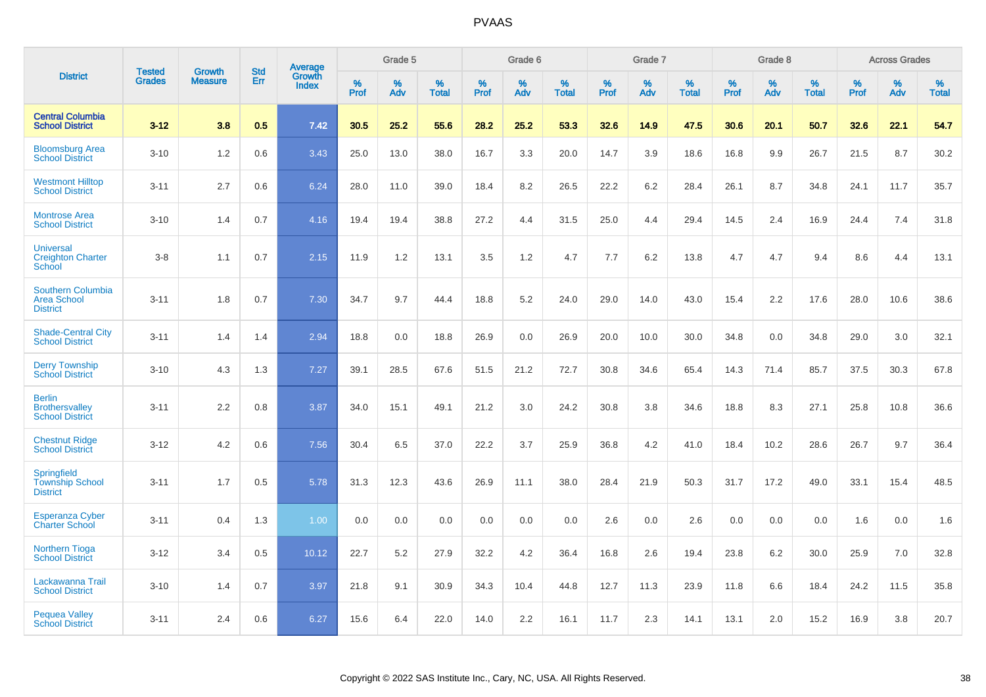|                                                                   | <b>Tested</b> | <b>Growth</b>  | <b>Std</b> | Average                |              | Grade 5  |                   |           | Grade 6  |                   |              | Grade 7  |                   |           | Grade 8  |                   |              | <b>Across Grades</b> |                   |
|-------------------------------------------------------------------|---------------|----------------|------------|------------------------|--------------|----------|-------------------|-----------|----------|-------------------|--------------|----------|-------------------|-----------|----------|-------------------|--------------|----------------------|-------------------|
| <b>District</b>                                                   | <b>Grades</b> | <b>Measure</b> | Err        | Growth<br><b>Index</b> | $\%$<br>Prof | %<br>Adv | %<br><b>Total</b> | %<br>Prof | %<br>Adv | %<br><b>Total</b> | $\%$<br>Prof | %<br>Adv | %<br><b>Total</b> | %<br>Prof | %<br>Adv | %<br><b>Total</b> | $\%$<br>Prof | %<br>Adv             | %<br><b>Total</b> |
| <b>Central Columbia</b><br><b>School District</b>                 | $3 - 12$      | 3.8            | 0.5        | 7.42                   | 30.5         | 25.2     | 55.6              | 28.2      | 25.2     | 53.3              | 32.6         | 14.9     | 47.5              | 30.6      | 20.1     | 50.7              | 32.6         | 22.1                 | 54.7              |
| <b>Bloomsburg Area</b><br><b>School District</b>                  | $3 - 10$      | 1.2            | 0.6        | 3.43                   | 25.0         | 13.0     | 38.0              | 16.7      | 3.3      | 20.0              | 14.7         | 3.9      | 18.6              | 16.8      | 9.9      | 26.7              | 21.5         | 8.7                  | 30.2              |
| <b>Westmont Hilltop</b><br><b>School District</b>                 | $3 - 11$      | 2.7            | 0.6        | 6.24                   | 28.0         | 11.0     | 39.0              | 18.4      | 8.2      | 26.5              | 22.2         | 6.2      | 28.4              | 26.1      | 8.7      | 34.8              | 24.1         | 11.7                 | 35.7              |
| <b>Montrose Area</b><br><b>School District</b>                    | $3 - 10$      | 1.4            | 0.7        | 4.16                   | 19.4         | 19.4     | 38.8              | 27.2      | 4.4      | 31.5              | 25.0         | 4.4      | 29.4              | 14.5      | 2.4      | 16.9              | 24.4         | 7.4                  | 31.8              |
| <b>Universal</b><br><b>Creighton Charter</b><br><b>School</b>     | $3 - 8$       | 1.1            | 0.7        | 2.15                   | 11.9         | 1.2      | 13.1              | 3.5       | 1.2      | 4.7               | 7.7          | 6.2      | 13.8              | 4.7       | 4.7      | 9.4               | 8.6          | 4.4                  | 13.1              |
| <b>Southern Columbia</b><br><b>Area School</b><br><b>District</b> | $3 - 11$      | 1.8            | 0.7        | 7.30                   | 34.7         | 9.7      | 44.4              | 18.8      | 5.2      | 24.0              | 29.0         | 14.0     | 43.0              | 15.4      | 2.2      | 17.6              | 28.0         | 10.6                 | 38.6              |
| <b>Shade-Central City</b><br><b>School District</b>               | $3 - 11$      | 1.4            | 1.4        | 2.94                   | 18.8         | 0.0      | 18.8              | 26.9      | 0.0      | 26.9              | 20.0         | 10.0     | 30.0              | 34.8      | 0.0      | 34.8              | 29.0         | 3.0                  | 32.1              |
| <b>Derry Township</b><br><b>School District</b>                   | $3 - 10$      | 4.3            | 1.3        | 7.27                   | 39.1         | 28.5     | 67.6              | 51.5      | 21.2     | 72.7              | 30.8         | 34.6     | 65.4              | 14.3      | 71.4     | 85.7              | 37.5         | 30.3                 | 67.8              |
| <b>Berlin</b><br><b>Brothersvalley</b><br><b>School District</b>  | $3 - 11$      | 2.2            | 0.8        | 3.87                   | 34.0         | 15.1     | 49.1              | 21.2      | 3.0      | 24.2              | 30.8         | 3.8      | 34.6              | 18.8      | 8.3      | 27.1              | 25.8         | 10.8                 | 36.6              |
| <b>Chestnut Ridge</b><br><b>School District</b>                   | $3 - 12$      | 4.2            | 0.6        | 7.56                   | 30.4         | 6.5      | 37.0              | 22.2      | 3.7      | 25.9              | 36.8         | 4.2      | 41.0              | 18.4      | 10.2     | 28.6              | 26.7         | 9.7                  | 36.4              |
| Springfield<br><b>Township School</b><br><b>District</b>          | $3 - 11$      | 1.7            | 0.5        | 5.78                   | 31.3         | 12.3     | 43.6              | 26.9      | 11.1     | 38.0              | 28.4         | 21.9     | 50.3              | 31.7      | 17.2     | 49.0              | 33.1         | 15.4                 | 48.5              |
| <b>Esperanza Cyber</b><br><b>Charter School</b>                   | $3 - 11$      | 0.4            | 1.3        | 1.00                   | 0.0          | 0.0      | 0.0               | 0.0       | 0.0      | 0.0               | 2.6          | 0.0      | 2.6               | 0.0       | 0.0      | 0.0               | 1.6          | 0.0                  | 1.6               |
| <b>Northern Tioga</b><br><b>School District</b>                   | $3 - 12$      | 3.4            | 0.5        | 10.12                  | 22.7         | 5.2      | 27.9              | 32.2      | 4.2      | 36.4              | 16.8         | 2.6      | 19.4              | 23.8      | 6.2      | 30.0              | 25.9         | 7.0                  | 32.8              |
| Lackawanna Trail<br><b>School District</b>                        | $3 - 10$      | 1.4            | 0.7        | 3.97                   | 21.8         | 9.1      | 30.9              | 34.3      | 10.4     | 44.8              | 12.7         | 11.3     | 23.9              | 11.8      | 6.6      | 18.4              | 24.2         | 11.5                 | 35.8              |
| <b>Pequea Valley</b><br><b>School District</b>                    | $3 - 11$      | 2.4            | 0.6        | 6.27                   | 15.6         | 6.4      | 22.0              | 14.0      | 2.2      | 16.1              | 11.7         | 2.3      | 14.1              | 13.1      | 2.0      | 15.2              | 16.9         | 3.8                  | 20.7              |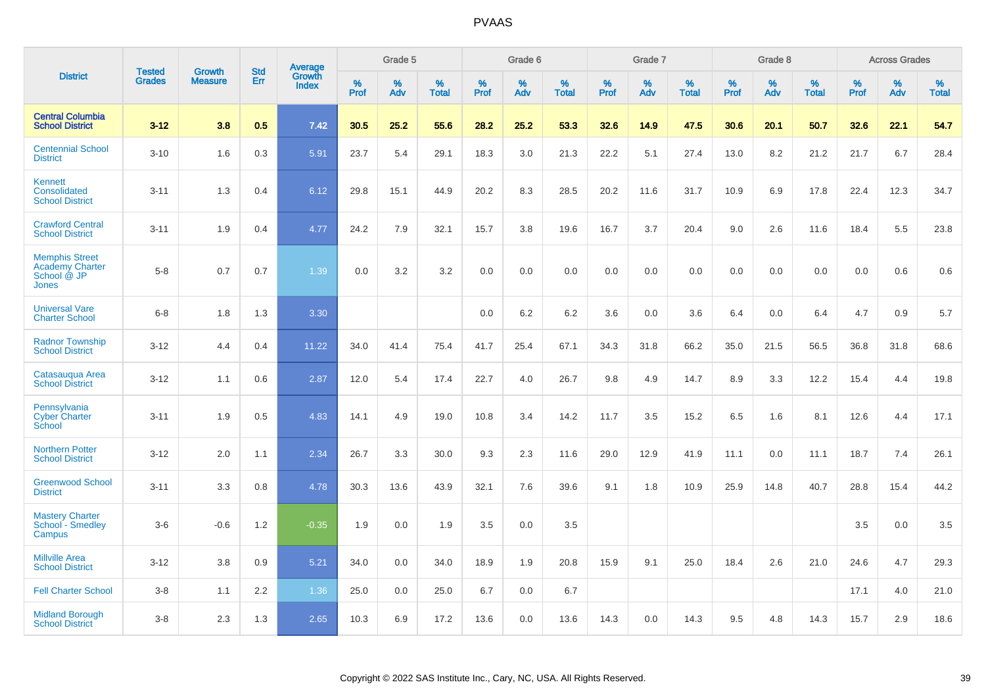|                                                                                |                                |                                 | <b>Std</b> | Average                |           | Grade 5  |                   |           | Grade 6  |                   |           | Grade 7  |                   |           | Grade 8  |                   |           | <b>Across Grades</b> |                   |
|--------------------------------------------------------------------------------|--------------------------------|---------------------------------|------------|------------------------|-----------|----------|-------------------|-----------|----------|-------------------|-----------|----------|-------------------|-----------|----------|-------------------|-----------|----------------------|-------------------|
| <b>District</b>                                                                | <b>Tested</b><br><b>Grades</b> | <b>Growth</b><br><b>Measure</b> | <b>Err</b> | Growth<br><b>Index</b> | %<br>Prof | %<br>Adv | %<br><b>Total</b> | %<br>Prof | %<br>Adv | %<br><b>Total</b> | %<br>Prof | %<br>Adv | %<br><b>Total</b> | %<br>Prof | %<br>Adv | %<br><b>Total</b> | %<br>Prof | %<br>Adv             | %<br><b>Total</b> |
| <b>Central Columbia</b><br><b>School District</b>                              | $3 - 12$                       | 3.8                             | 0.5        | 7.42                   | 30.5      | 25.2     | 55.6              | 28.2      | 25.2     | 53.3              | 32.6      | 14.9     | 47.5              | 30.6      | 20.1     | 50.7              | 32.6      | 22.1                 | 54.7              |
| <b>Centennial School</b><br><b>District</b>                                    | $3 - 10$                       | 1.6                             | 0.3        | 5.91                   | 23.7      | 5.4      | 29.1              | 18.3      | 3.0      | 21.3              | 22.2      | 5.1      | 27.4              | 13.0      | 8.2      | 21.2              | 21.7      | 6.7                  | 28.4              |
| <b>Kennett</b><br>Consolidated<br><b>School District</b>                       | $3 - 11$                       | 1.3                             | 0.4        | 6.12                   | 29.8      | 15.1     | 44.9              | 20.2      | 8.3      | 28.5              | 20.2      | 11.6     | 31.7              | 10.9      | 6.9      | 17.8              | 22.4      | 12.3                 | 34.7              |
| <b>Crawford Central</b><br><b>School District</b>                              | $3 - 11$                       | 1.9                             | 0.4        | 4.77                   | 24.2      | 7.9      | 32.1              | 15.7      | 3.8      | 19.6              | 16.7      | 3.7      | 20.4              | 9.0       | 2.6      | 11.6              | 18.4      | 5.5                  | 23.8              |
| <b>Memphis Street</b><br><b>Academy Charter</b><br>School @ JP<br><b>Jones</b> | $5 - 8$                        | 0.7                             | 0.7        | 1.39                   | 0.0       | 3.2      | 3.2               | 0.0       | 0.0      | 0.0               | 0.0       | 0.0      | 0.0               | 0.0       | 0.0      | 0.0               | 0.0       | 0.6                  | 0.6               |
| <b>Universal Vare</b><br><b>Charter School</b>                                 | $6-8$                          | 1.8                             | 1.3        | 3.30                   |           |          |                   | 0.0       | 6.2      | 6.2               | 3.6       | 0.0      | 3.6               | 6.4       | 0.0      | 6.4               | 4.7       | 0.9                  | 5.7               |
| <b>Radnor Township</b><br><b>School District</b>                               | $3 - 12$                       | 4.4                             | 0.4        | 11.22                  | 34.0      | 41.4     | 75.4              | 41.7      | 25.4     | 67.1              | 34.3      | 31.8     | 66.2              | 35.0      | 21.5     | 56.5              | 36.8      | 31.8                 | 68.6              |
| Catasauqua Area<br><b>School District</b>                                      | $3 - 12$                       | 1.1                             | 0.6        | 2.87                   | 12.0      | 5.4      | 17.4              | 22.7      | 4.0      | 26.7              | 9.8       | 4.9      | 14.7              | 8.9       | 3.3      | 12.2              | 15.4      | 4.4                  | 19.8              |
| Pennsylvania<br><b>Cyber Charter</b><br>School                                 | $3 - 11$                       | 1.9                             | 0.5        | 4.83                   | 14.1      | 4.9      | 19.0              | 10.8      | 3.4      | 14.2              | 11.7      | 3.5      | 15.2              | 6.5       | 1.6      | 8.1               | 12.6      | 4.4                  | 17.1              |
| <b>Northern Potter</b><br><b>School District</b>                               | $3 - 12$                       | 2.0                             | 1.1        | 2.34                   | 26.7      | 3.3      | 30.0              | 9.3       | 2.3      | 11.6              | 29.0      | 12.9     | 41.9              | 11.1      | 0.0      | 11.1              | 18.7      | 7.4                  | 26.1              |
| <b>Greenwood School</b><br><b>District</b>                                     | $3 - 11$                       | 3.3                             | 0.8        | 4.78                   | 30.3      | 13.6     | 43.9              | 32.1      | 7.6      | 39.6              | 9.1       | 1.8      | 10.9              | 25.9      | 14.8     | 40.7              | 28.8      | 15.4                 | 44.2              |
| <b>Mastery Charter</b><br>School - Smedley<br>Campus                           | $3-6$                          | $-0.6$                          | 1.2        | $-0.35$                | 1.9       | 0.0      | 1.9               | 3.5       | 0.0      | 3.5               |           |          |                   |           |          |                   | 3.5       | 0.0                  | 3.5               |
| <b>Millville Area</b><br><b>School District</b>                                | $3 - 12$                       | 3.8                             | 0.9        | 5.21                   | 34.0      | 0.0      | 34.0              | 18.9      | 1.9      | 20.8              | 15.9      | 9.1      | 25.0              | 18.4      | 2.6      | 21.0              | 24.6      | 4.7                  | 29.3              |
| <b>Fell Charter School</b>                                                     | $3 - 8$                        | 1.1                             | 2.2        | 1.36                   | 25.0      | 0.0      | 25.0              | 6.7       | 0.0      | 6.7               |           |          |                   |           |          |                   | 17.1      | 4.0                  | 21.0              |
| <b>Midland Borough</b><br><b>School District</b>                               | $3 - 8$                        | 2.3                             | 1.3        | 2.65                   | 10.3      | 6.9      | 17.2              | 13.6      | 0.0      | 13.6              | 14.3      | 0.0      | 14.3              | 9.5       | 4.8      | 14.3              | 15.7      | 2.9                  | 18.6              |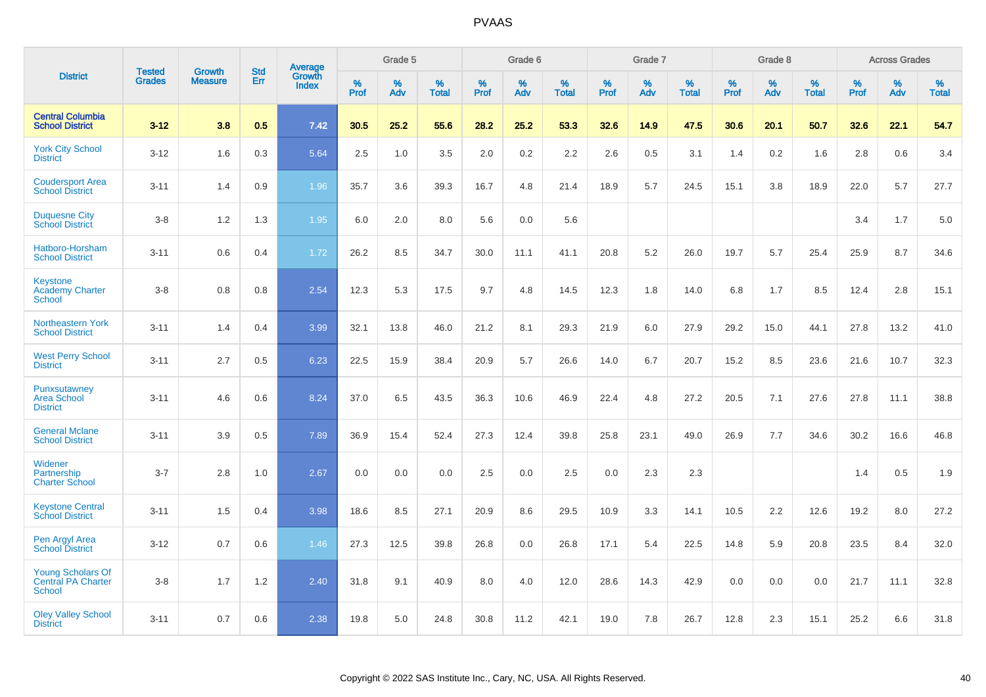|                                                          |                                | <b>Growth</b>  | <b>Std</b> | Average                |              | Grade 5  |                   |              | Grade 6  |                   |              | Grade 7  |                   |              | Grade 8  |                   |              | <b>Across Grades</b> |                   |
|----------------------------------------------------------|--------------------------------|----------------|------------|------------------------|--------------|----------|-------------------|--------------|----------|-------------------|--------------|----------|-------------------|--------------|----------|-------------------|--------------|----------------------|-------------------|
| <b>District</b>                                          | <b>Tested</b><br><b>Grades</b> | <b>Measure</b> | Err        | Growth<br><b>Index</b> | $\%$<br>Prof | %<br>Adv | %<br><b>Total</b> | $\%$<br>Prof | %<br>Adv | %<br><b>Total</b> | $\%$<br>Prof | %<br>Adv | %<br><b>Total</b> | $\%$<br>Prof | %<br>Adv | %<br><b>Total</b> | $\%$<br>Prof | %<br>Adv             | %<br><b>Total</b> |
| <b>Central Columbia</b><br><b>School District</b>        | $3 - 12$                       | 3.8            | 0.5        | 7.42                   | 30.5         | 25.2     | 55.6              | 28.2         | 25.2     | 53.3              | 32.6         | 14.9     | 47.5              | 30.6         | 20.1     | 50.7              | 32.6         | 22.1                 | 54.7              |
| <b>York City School</b><br><b>District</b>               | $3 - 12$                       | 1.6            | 0.3        | 5.64                   | 2.5          | 1.0      | 3.5               | 2.0          | $0.2\,$  | 2.2               | 2.6          | 0.5      | 3.1               | 1.4          | 0.2      | 1.6               | 2.8          | 0.6                  | 3.4               |
| <b>Coudersport Area</b><br><b>School District</b>        | $3 - 11$                       | 1.4            | 0.9        | 1.96                   | 35.7         | 3.6      | 39.3              | 16.7         | 4.8      | 21.4              | 18.9         | 5.7      | 24.5              | 15.1         | 3.8      | 18.9              | 22.0         | 5.7                  | 27.7              |
| <b>Duquesne City</b><br><b>School District</b>           | $3-8$                          | 1.2            | 1.3        | 1.95                   | 6.0          | 2.0      | 8.0               | 5.6          | 0.0      | 5.6               |              |          |                   |              |          |                   | 3.4          | 1.7                  | 5.0               |
| Hatboro-Horsham<br><b>School District</b>                | $3 - 11$                       | 0.6            | 0.4        | 1.72                   | 26.2         | 8.5      | 34.7              | 30.0         | 11.1     | 41.1              | 20.8         | 5.2      | 26.0              | 19.7         | 5.7      | 25.4              | 25.9         | 8.7                  | 34.6              |
| Keystone<br><b>Academy Charter</b><br><b>School</b>      | $3 - 8$                        | 0.8            | 0.8        | 2.54                   | 12.3         | 5.3      | 17.5              | 9.7          | 4.8      | 14.5              | 12.3         | 1.8      | 14.0              | 6.8          | 1.7      | 8.5               | 12.4         | 2.8                  | 15.1              |
| <b>Northeastern York</b><br><b>School District</b>       | $3 - 11$                       | 1.4            | 0.4        | 3.99                   | 32.1         | 13.8     | 46.0              | 21.2         | 8.1      | 29.3              | 21.9         | 6.0      | 27.9              | 29.2         | 15.0     | 44.1              | 27.8         | 13.2                 | 41.0              |
| <b>West Perry School</b><br><b>District</b>              | $3 - 11$                       | 2.7            | 0.5        | 6.23                   | 22.5         | 15.9     | 38.4              | 20.9         | 5.7      | 26.6              | 14.0         | 6.7      | 20.7              | 15.2         | 8.5      | 23.6              | 21.6         | 10.7                 | 32.3              |
| Punxsutawney<br><b>Area School</b><br><b>District</b>    | $3 - 11$                       | 4.6            | 0.6        | 8.24                   | 37.0         | 6.5      | 43.5              | 36.3         | 10.6     | 46.9              | 22.4         | 4.8      | 27.2              | 20.5         | 7.1      | 27.6              | 27.8         | 11.1                 | 38.8              |
| <b>General Mclane</b><br><b>School District</b>          | $3 - 11$                       | 3.9            | 0.5        | 7.89                   | 36.9         | 15.4     | 52.4              | 27.3         | 12.4     | 39.8              | 25.8         | 23.1     | 49.0              | 26.9         | 7.7      | 34.6              | 30.2         | 16.6                 | 46.8              |
| Widener<br>Partnership<br><b>Charter School</b>          | $3 - 7$                        | 2.8            | 1.0        | 2.67                   | 0.0          | 0.0      | 0.0               | 2.5          | 0.0      | 2.5               | 0.0          | 2.3      | 2.3               |              |          |                   | 1.4          | 0.5                  | 1.9               |
| <b>Keystone Central</b><br><b>School District</b>        | $3 - 11$                       | 1.5            | 0.4        | 3.98                   | 18.6         | 8.5      | 27.1              | 20.9         | 8.6      | 29.5              | 10.9         | 3.3      | 14.1              | 10.5         | 2.2      | 12.6              | 19.2         | 8.0                  | 27.2              |
| Pen Argyl Area<br><b>School District</b>                 | $3 - 12$                       | 0.7            | 0.6        | 1.46                   | 27.3         | 12.5     | 39.8              | 26.8         | 0.0      | 26.8              | 17.1         | 5.4      | 22.5              | 14.8         | 5.9      | 20.8              | 23.5         | 8.4                  | 32.0              |
| <b>Young Scholars Of</b><br>Central PA Charter<br>School | $3-8$                          | 1.7            | 1.2        | 2.40                   | 31.8         | 9.1      | 40.9              | 8.0          | 4.0      | 12.0              | 28.6         | 14.3     | 42.9              | 0.0          | 0.0      | 0.0               | 21.7         | 11.1                 | 32.8              |
| <b>Oley Valley School</b><br><b>District</b>             | $3 - 11$                       | 0.7            | 0.6        | 2.38                   | 19.8         | 5.0      | 24.8              | 30.8         | 11.2     | 42.1              | 19.0         | 7.8      | 26.7              | 12.8         | 2.3      | 15.1              | 25.2         | 6.6                  | 31.8              |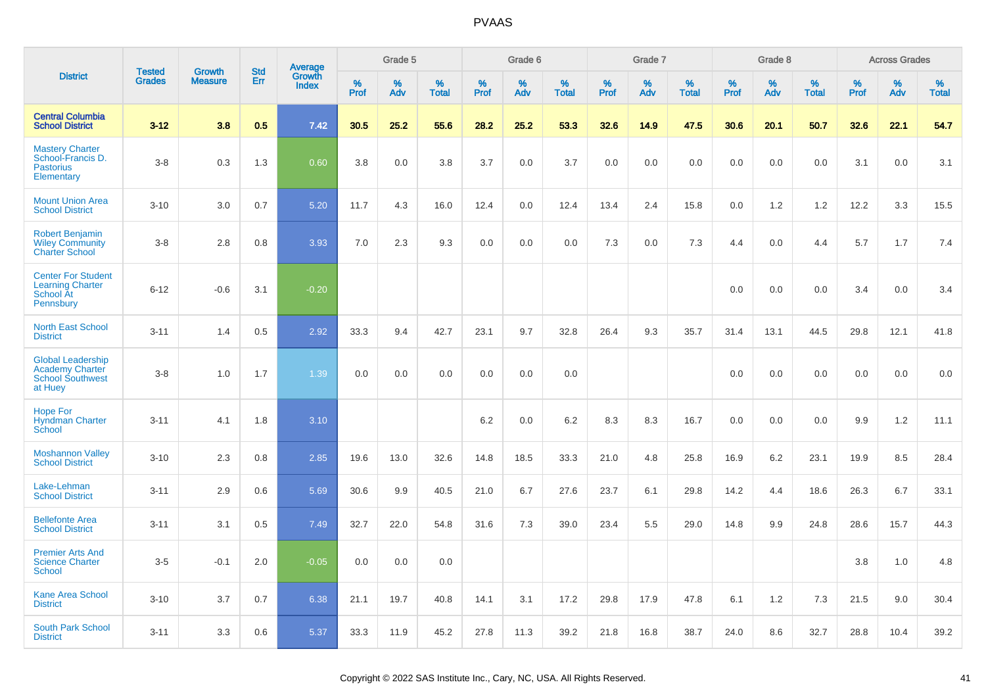|                                                                                          | <b>Tested</b> | <b>Growth</b>  | <b>Std</b> |                                   |                     | Grade 5  |                   |              | Grade 6  |                   |              | Grade 7  |                   |              | Grade 8  |                   |              | <b>Across Grades</b> |                   |
|------------------------------------------------------------------------------------------|---------------|----------------|------------|-----------------------------------|---------------------|----------|-------------------|--------------|----------|-------------------|--------------|----------|-------------------|--------------|----------|-------------------|--------------|----------------------|-------------------|
| <b>District</b>                                                                          | <b>Grades</b> | <b>Measure</b> | Err        | Average<br>Growth<br><b>Index</b> | $\%$<br><b>Prof</b> | %<br>Adv | %<br><b>Total</b> | $\%$<br>Prof | %<br>Adv | %<br><b>Total</b> | $\%$<br>Prof | %<br>Adv | %<br><b>Total</b> | $\%$<br>Prof | %<br>Adv | %<br><b>Total</b> | $\%$<br>Prof | %<br>Adv             | %<br><b>Total</b> |
| <b>Central Columbia</b><br><b>School District</b>                                        | $3 - 12$      | 3.8            | 0.5        | 7.42                              | 30.5                | 25.2     | 55.6              | 28.2         | 25.2     | 53.3              | 32.6         | 14.9     | 47.5              | 30.6         | 20.1     | 50.7              | 32.6         | 22.1                 | 54.7              |
| <b>Mastery Charter</b><br>School-Francis D.<br><b>Pastorius</b><br>Elementary            | $3-8$         | 0.3            | 1.3        | 0.60                              | 3.8                 | 0.0      | 3.8               | 3.7          | 0.0      | 3.7               | 0.0          | 0.0      | 0.0               | 0.0          | 0.0      | 0.0               | 3.1          | 0.0                  | 3.1               |
| <b>Mount Union Area</b><br><b>School District</b>                                        | $3 - 10$      | 3.0            | 0.7        | 5.20                              | 11.7                | 4.3      | 16.0              | 12.4         | 0.0      | 12.4              | 13.4         | 2.4      | 15.8              | 0.0          | 1.2      | 1.2               | 12.2         | 3.3                  | 15.5              |
| <b>Robert Benjamin</b><br><b>Wiley Community</b><br><b>Charter School</b>                | $3-8$         | 2.8            | 0.8        | 3.93                              | 7.0                 | 2.3      | 9.3               | 0.0          | 0.0      | 0.0               | 7.3          | 0.0      | 7.3               | 4.4          | 0.0      | 4.4               | 5.7          | 1.7                  | 7.4               |
| <b>Center For Student</b><br><b>Learning Charter</b><br><b>School At</b><br>Pennsbury    | $6 - 12$      | $-0.6$         | 3.1        | $-0.20$                           |                     |          |                   |              |          |                   |              |          |                   | 0.0          | 0.0      | 0.0               | 3.4          | 0.0                  | 3.4               |
| <b>North East School</b><br><b>District</b>                                              | $3 - 11$      | 1.4            | 0.5        | 2.92                              | 33.3                | 9.4      | 42.7              | 23.1         | 9.7      | 32.8              | 26.4         | 9.3      | 35.7              | 31.4         | 13.1     | 44.5              | 29.8         | 12.1                 | 41.8              |
| <b>Global Leadership</b><br><b>Academy Charter</b><br><b>School Southwest</b><br>at Huey | $3-8$         | 1.0            | 1.7        | 1.39                              | 0.0                 | 0.0      | 0.0               | 0.0          | 0.0      | 0.0               |              |          |                   | 0.0          | 0.0      | 0.0               | 0.0          | 0.0                  | 0.0               |
| <b>Hope For</b><br><b>Hyndman Charter</b><br>School                                      | $3 - 11$      | 4.1            | 1.8        | 3.10                              |                     |          |                   | $6.2\,$      | 0.0      | 6.2               | 8.3          | 8.3      | 16.7              | 0.0          | 0.0      | 0.0               | 9.9          | $1.2$                | 11.1              |
| <b>Moshannon Valley</b><br><b>School District</b>                                        | $3 - 10$      | 2.3            | 0.8        | 2.85                              | 19.6                | 13.0     | 32.6              | 14.8         | 18.5     | 33.3              | 21.0         | 4.8      | 25.8              | 16.9         | 6.2      | 23.1              | 19.9         | 8.5                  | 28.4              |
| Lake-Lehman<br><b>School District</b>                                                    | $3 - 11$      | 2.9            | 0.6        | 5.69                              | 30.6                | 9.9      | 40.5              | 21.0         | 6.7      | 27.6              | 23.7         | 6.1      | 29.8              | 14.2         | 4.4      | 18.6              | 26.3         | 6.7                  | 33.1              |
| <b>Bellefonte Area</b><br><b>School District</b>                                         | $3 - 11$      | 3.1            | 0.5        | 7.49                              | 32.7                | 22.0     | 54.8              | 31.6         | 7.3      | 39.0              | 23.4         | 5.5      | 29.0              | 14.8         | 9.9      | 24.8              | 28.6         | 15.7                 | 44.3              |
| <b>Premier Arts And</b><br><b>Science Charter</b><br><b>School</b>                       | $3-5$         | $-0.1$         | 2.0        | $-0.05$                           | 0.0                 | 0.0      | 0.0               |              |          |                   |              |          |                   |              |          |                   | 3.8          | 1.0                  | 4.8               |
| <b>Kane Area School</b><br><b>District</b>                                               | $3 - 10$      | 3.7            | 0.7        | 6.38                              | 21.1                | 19.7     | 40.8              | 14.1         | 3.1      | 17.2              | 29.8         | 17.9     | 47.8              | 6.1          | 1.2      | 7.3               | 21.5         | 9.0                  | 30.4              |
| <b>South Park School</b><br><b>District</b>                                              | $3 - 11$      | 3.3            | 0.6        | 5.37                              | 33.3                | 11.9     | 45.2              | 27.8         | 11.3     | 39.2              | 21.8         | 16.8     | 38.7              | 24.0         | 8.6      | 32.7              | 28.8         | 10.4                 | 39.2              |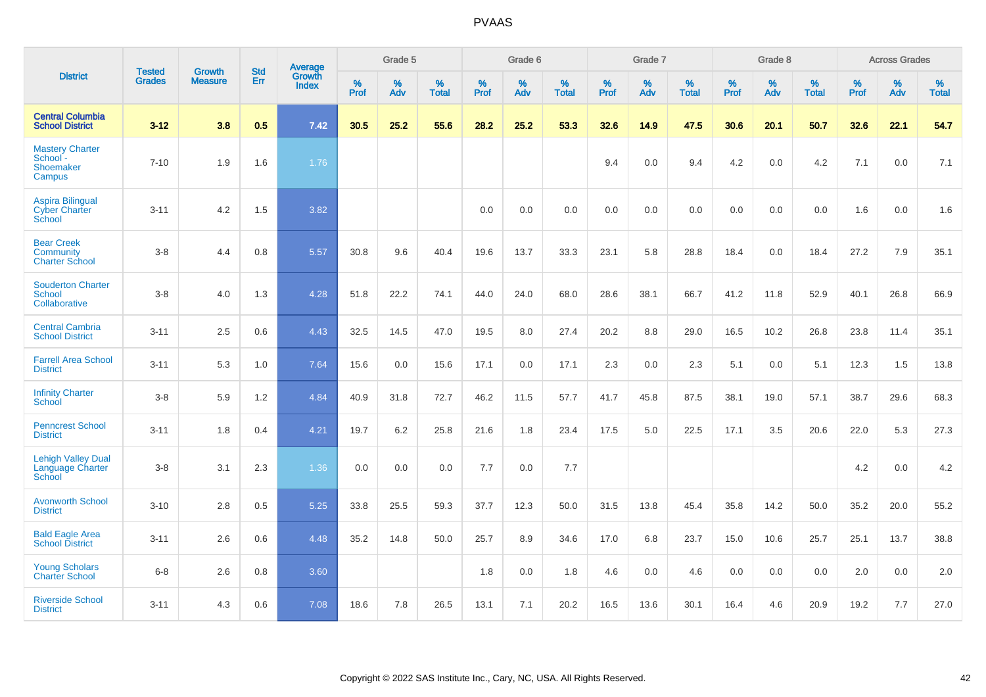|                                                                | <b>Tested</b> | <b>Growth</b>  | <b>Std</b> | <b>Average</b>         |           | Grade 5  |                   |           | Grade 6  |                   |           | Grade 7  |                   |           | Grade 8  |                   |           | <b>Across Grades</b> |                   |
|----------------------------------------------------------------|---------------|----------------|------------|------------------------|-----------|----------|-------------------|-----------|----------|-------------------|-----------|----------|-------------------|-----------|----------|-------------------|-----------|----------------------|-------------------|
| <b>District</b>                                                | <b>Grades</b> | <b>Measure</b> | Err        | Growth<br><b>Index</b> | %<br>Prof | %<br>Adv | %<br><b>Total</b> | %<br>Prof | %<br>Adv | %<br><b>Total</b> | %<br>Prof | %<br>Adv | %<br><b>Total</b> | %<br>Prof | %<br>Adv | %<br><b>Total</b> | %<br>Prof | %<br>Adv             | %<br><b>Total</b> |
| <b>Central Columbia</b><br><b>School District</b>              | $3 - 12$      | 3.8            | 0.5        | 7.42                   | 30.5      | 25.2     | 55.6              | 28.2      | 25.2     | 53.3              | 32.6      | 14.9     | 47.5              | 30.6      | 20.1     | 50.7              | 32.6      | 22.1                 | 54.7              |
| <b>Mastery Charter</b><br>School -<br>Shoemaker<br>Campus      | $7 - 10$      | 1.9            | 1.6        | 1.76                   |           |          |                   |           |          |                   | 9.4       | 0.0      | 9.4               | 4.2       | 0.0      | 4.2               | 7.1       | 0.0                  | 7.1               |
| <b>Aspira Bilingual</b><br><b>Cyber Charter</b><br>School      | $3 - 11$      | 4.2            | 1.5        | 3.82                   |           |          |                   | 0.0       | 0.0      | 0.0               | 0.0       | 0.0      | 0.0               | 0.0       | 0.0      | 0.0               | 1.6       | 0.0                  | 1.6               |
| <b>Bear Creek</b><br><b>Community</b><br><b>Charter School</b> | $3 - 8$       | 4.4            | 0.8        | 5.57                   | 30.8      | 9.6      | 40.4              | 19.6      | 13.7     | 33.3              | 23.1      | 5.8      | 28.8              | 18.4      | 0.0      | 18.4              | 27.2      | 7.9                  | 35.1              |
| <b>Souderton Charter</b><br>School<br>Collaborative            | $3 - 8$       | 4.0            | 1.3        | 4.28                   | 51.8      | 22.2     | 74.1              | 44.0      | 24.0     | 68.0              | 28.6      | 38.1     | 66.7              | 41.2      | 11.8     | 52.9              | 40.1      | 26.8                 | 66.9              |
| <b>Central Cambria</b><br><b>School District</b>               | $3 - 11$      | 2.5            | 0.6        | 4.43                   | 32.5      | 14.5     | 47.0              | 19.5      | 8.0      | 27.4              | 20.2      | 8.8      | 29.0              | 16.5      | 10.2     | 26.8              | 23.8      | 11.4                 | 35.1              |
| <b>Farrell Area School</b><br><b>District</b>                  | $3 - 11$      | 5.3            | 1.0        | 7.64                   | 15.6      | 0.0      | 15.6              | 17.1      | 0.0      | 17.1              | 2.3       | 0.0      | 2.3               | 5.1       | 0.0      | 5.1               | 12.3      | 1.5                  | 13.8              |
| <b>Infinity Charter</b><br>School                              | $3-8$         | 5.9            | 1.2        | 4.84                   | 40.9      | 31.8     | 72.7              | 46.2      | 11.5     | 57.7              | 41.7      | 45.8     | 87.5              | 38.1      | 19.0     | 57.1              | 38.7      | 29.6                 | 68.3              |
| <b>Penncrest School</b><br><b>District</b>                     | $3 - 11$      | 1.8            | 0.4        | 4.21                   | 19.7      | 6.2      | 25.8              | 21.6      | 1.8      | 23.4              | 17.5      | 5.0      | 22.5              | 17.1      | 3.5      | 20.6              | 22.0      | 5.3                  | 27.3              |
| <b>Lehigh Valley Dual</b><br>Language Charter<br>School        | $3 - 8$       | 3.1            | 2.3        | 1.36                   | 0.0       | 0.0      | 0.0               | 7.7       | 0.0      | 7.7               |           |          |                   |           |          |                   | 4.2       | 0.0                  | 4.2               |
| <b>Avonworth School</b><br><b>District</b>                     | $3 - 10$      | 2.8            | 0.5        | 5.25                   | 33.8      | 25.5     | 59.3              | 37.7      | 12.3     | 50.0              | 31.5      | 13.8     | 45.4              | 35.8      | 14.2     | 50.0              | 35.2      | 20.0                 | 55.2              |
| <b>Bald Eagle Area</b><br><b>School District</b>               | $3 - 11$      | 2.6            | 0.6        | 4.48                   | 35.2      | 14.8     | 50.0              | 25.7      | 8.9      | 34.6              | 17.0      | 6.8      | 23.7              | 15.0      | 10.6     | 25.7              | 25.1      | 13.7                 | 38.8              |
| <b>Young Scholars</b><br><b>Charter School</b>                 | $6 - 8$       | 2.6            | 0.8        | 3.60                   |           |          |                   | 1.8       | 0.0      | 1.8               | 4.6       | 0.0      | 4.6               | 0.0       | 0.0      | 0.0               | 2.0       | 0.0                  | 2.0               |
| <b>Riverside School</b><br><b>District</b>                     | $3 - 11$      | 4.3            | 0.6        | 7.08                   | 18.6      | 7.8      | 26.5              | 13.1      | 7.1      | 20.2              | 16.5      | 13.6     | 30.1              | 16.4      | 4.6      | 20.9              | 19.2      | 7.7                  | 27.0              |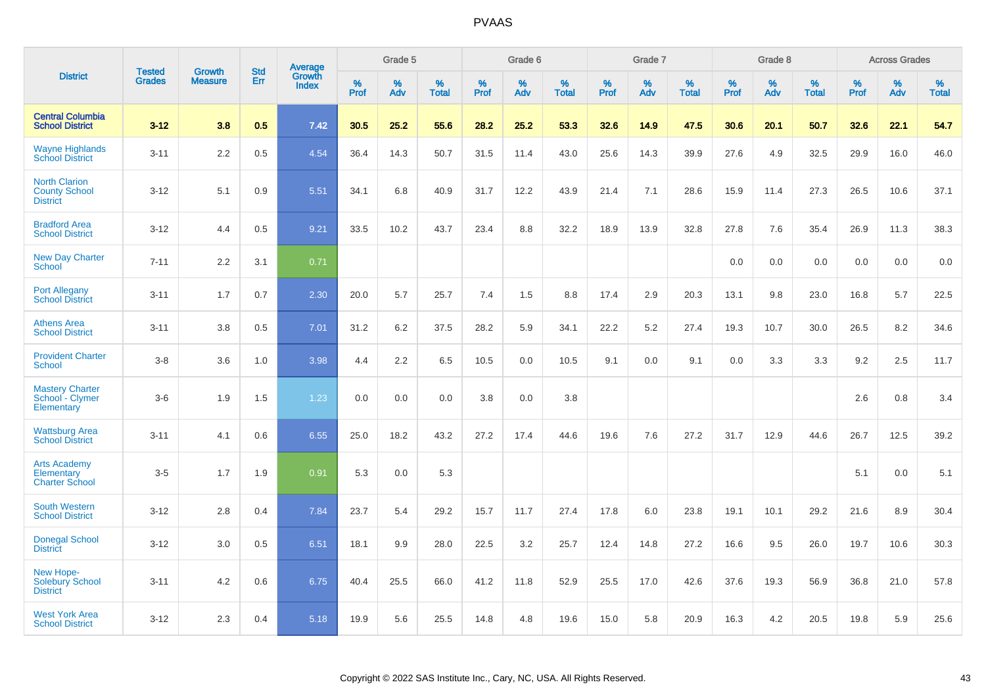|                                                                 |                                |                                 | <b>Std</b> | Average                |              | Grade 5  |                   |           | Grade 6  |                   |           | Grade 7  |                   |           | Grade 8  |                   |           | <b>Across Grades</b> |                   |
|-----------------------------------------------------------------|--------------------------------|---------------------------------|------------|------------------------|--------------|----------|-------------------|-----------|----------|-------------------|-----------|----------|-------------------|-----------|----------|-------------------|-----------|----------------------|-------------------|
| <b>District</b>                                                 | <b>Tested</b><br><b>Grades</b> | <b>Growth</b><br><b>Measure</b> | <b>Err</b> | Growth<br><b>Index</b> | $\%$<br>Prof | %<br>Adv | %<br><b>Total</b> | %<br>Prof | %<br>Adv | %<br><b>Total</b> | %<br>Prof | %<br>Adv | %<br><b>Total</b> | %<br>Prof | %<br>Adv | %<br><b>Total</b> | %<br>Prof | %<br>Adv             | %<br><b>Total</b> |
| <b>Central Columbia</b><br><b>School District</b>               | $3 - 12$                       | 3.8                             | 0.5        | 7.42                   | 30.5         | 25.2     | 55.6              | 28.2      | 25.2     | 53.3              | 32.6      | 14.9     | 47.5              | 30.6      | 20.1     | 50.7              | 32.6      | 22.1                 | 54.7              |
| <b>Wayne Highlands</b><br><b>School District</b>                | $3 - 11$                       | 2.2                             | 0.5        | 4.54                   | 36.4         | 14.3     | 50.7              | 31.5      | 11.4     | 43.0              | 25.6      | 14.3     | 39.9              | 27.6      | 4.9      | 32.5              | 29.9      | 16.0                 | 46.0              |
| <b>North Clarion</b><br><b>County School</b><br><b>District</b> | $3 - 12$                       | 5.1                             | 0.9        | 5.51                   | 34.1         | 6.8      | 40.9              | 31.7      | 12.2     | 43.9              | 21.4      | 7.1      | 28.6              | 15.9      | 11.4     | 27.3              | 26.5      | 10.6                 | 37.1              |
| <b>Bradford Area</b><br><b>School District</b>                  | $3 - 12$                       | 4.4                             | 0.5        | 9.21                   | 33.5         | 10.2     | 43.7              | 23.4      | 8.8      | 32.2              | 18.9      | 13.9     | 32.8              | 27.8      | 7.6      | 35.4              | 26.9      | 11.3                 | 38.3              |
| <b>New Day Charter</b><br><b>School</b>                         | $7 - 11$                       | 2.2                             | 3.1        | 0.71                   |              |          |                   |           |          |                   |           |          |                   | 0.0       | 0.0      | 0.0               | 0.0       | 0.0                  | 0.0               |
| <b>Port Allegany</b><br><b>School District</b>                  | $3 - 11$                       | 1.7                             | 0.7        | 2.30                   | 20.0         | 5.7      | 25.7              | 7.4       | 1.5      | 8.8               | 17.4      | 2.9      | 20.3              | 13.1      | 9.8      | 23.0              | 16.8      | 5.7                  | 22.5              |
| <b>Athens Area</b><br><b>School District</b>                    | $3 - 11$                       | 3.8                             | 0.5        | 7.01                   | 31.2         | 6.2      | 37.5              | 28.2      | 5.9      | 34.1              | 22.2      | 5.2      | 27.4              | 19.3      | 10.7     | 30.0              | 26.5      | 8.2                  | 34.6              |
| <b>Provident Charter</b><br><b>School</b>                       | $3 - 8$                        | 3.6                             | 1.0        | 3.98                   | 4.4          | 2.2      | 6.5               | 10.5      | 0.0      | 10.5              | 9.1       | 0.0      | 9.1               | 0.0       | 3.3      | 3.3               | 9.2       | 2.5                  | 11.7              |
| <b>Mastery Charter</b><br>School - Clymer<br>Elementary         | $3-6$                          | 1.9                             | 1.5        | 1.23                   | 0.0          | 0.0      | 0.0               | 3.8       | 0.0      | 3.8               |           |          |                   |           |          |                   | 2.6       | 0.8                  | 3.4               |
| <b>Wattsburg Area</b><br><b>School District</b>                 | $3 - 11$                       | 4.1                             | 0.6        | 6.55                   | 25.0         | 18.2     | 43.2              | 27.2      | 17.4     | 44.6              | 19.6      | 7.6      | 27.2              | 31.7      | 12.9     | 44.6              | 26.7      | 12.5                 | 39.2              |
| <b>Arts Academy</b><br>Elementary<br><b>Charter School</b>      | $3-5$                          | 1.7                             | 1.9        | 0.91                   | 5.3          | 0.0      | 5.3               |           |          |                   |           |          |                   |           |          |                   | 5.1       | 0.0                  | 5.1               |
| <b>South Western</b><br><b>School District</b>                  | $3 - 12$                       | 2.8                             | 0.4        | 7.84                   | 23.7         | 5.4      | 29.2              | 15.7      | 11.7     | 27.4              | 17.8      | 6.0      | 23.8              | 19.1      | 10.1     | 29.2              | 21.6      | 8.9                  | 30.4              |
| <b>Donegal School</b><br><b>District</b>                        | $3 - 12$                       | 3.0                             | 0.5        | 6.51                   | 18.1         | 9.9      | 28.0              | 22.5      | 3.2      | 25.7              | 12.4      | 14.8     | 27.2              | 16.6      | 9.5      | 26.0              | 19.7      | 10.6                 | 30.3              |
| New Hope-<br><b>Solebury School</b><br><b>District</b>          | $3 - 11$                       | 4.2                             | 0.6        | 6.75                   | 40.4         | 25.5     | 66.0              | 41.2      | 11.8     | 52.9              | 25.5      | 17.0     | 42.6              | 37.6      | 19.3     | 56.9              | 36.8      | 21.0                 | 57.8              |
| <b>West York Area</b><br><b>School District</b>                 | $3 - 12$                       | 2.3                             | 0.4        | 5.18                   | 19.9         | 5.6      | 25.5              | 14.8      | 4.8      | 19.6              | 15.0      | 5.8      | 20.9              | 16.3      | 4.2      | 20.5              | 19.8      | 5.9                  | 25.6              |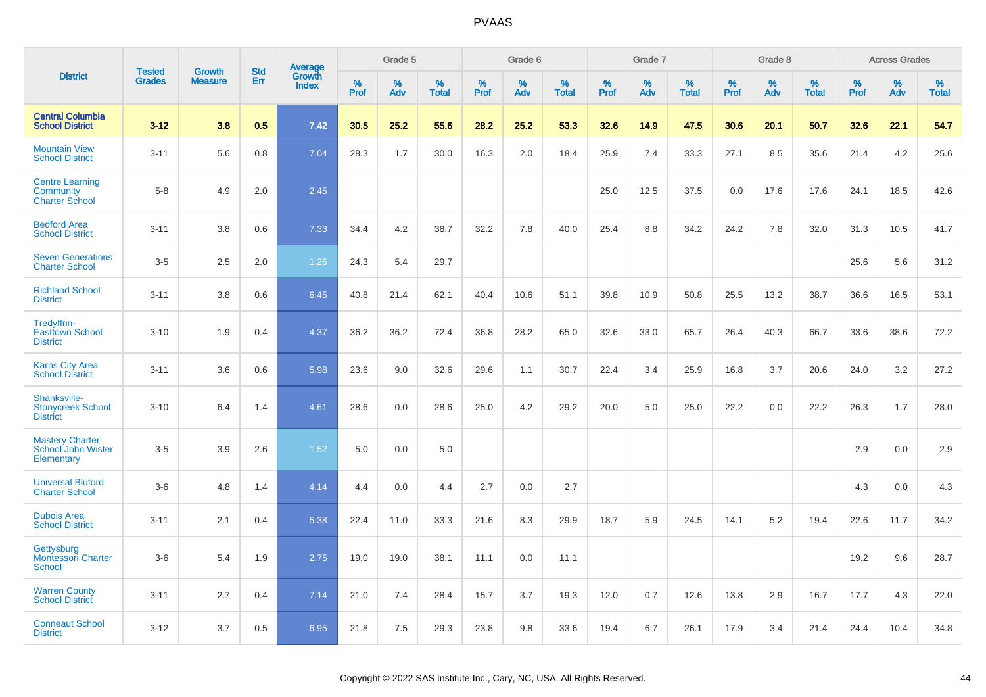|                                                              |                                |                                 |                   | Average                |              | Grade 5  |                   |              | Grade 6  |                   |              | Grade 7  |                   |              | Grade 8  |                   |              | <b>Across Grades</b> |                   |
|--------------------------------------------------------------|--------------------------------|---------------------------------|-------------------|------------------------|--------------|----------|-------------------|--------------|----------|-------------------|--------------|----------|-------------------|--------------|----------|-------------------|--------------|----------------------|-------------------|
| <b>District</b>                                              | <b>Tested</b><br><b>Grades</b> | <b>Growth</b><br><b>Measure</b> | <b>Std</b><br>Err | Growth<br><b>Index</b> | $\%$<br>Prof | %<br>Adv | %<br><b>Total</b> | $\%$<br>Prof | %<br>Adv | %<br><b>Total</b> | $\%$<br>Prof | %<br>Adv | %<br><b>Total</b> | $\%$<br>Prof | %<br>Adv | %<br><b>Total</b> | $\%$<br>Prof | %<br>Adv             | %<br><b>Total</b> |
| <b>Central Columbia</b><br><b>School District</b>            | $3 - 12$                       | 3.8                             | 0.5               | 7.42                   | 30.5         | 25.2     | 55.6              | 28.2         | 25.2     | 53.3              | 32.6         | 14.9     | 47.5              | 30.6         | 20.1     | 50.7              | 32.6         | 22.1                 | 54.7              |
| <b>Mountain View</b><br><b>School District</b>               | $3 - 11$                       | 5.6                             | 0.8               | 7.04                   | 28.3         | 1.7      | 30.0              | 16.3         | 2.0      | 18.4              | 25.9         | 7.4      | 33.3              | 27.1         | 8.5      | 35.6              | 21.4         | 4.2                  | 25.6              |
| <b>Centre Learning</b><br>Community<br><b>Charter School</b> | $5 - 8$                        | 4.9                             | 2.0               | 2.45                   |              |          |                   |              |          |                   | 25.0         | 12.5     | 37.5              | 0.0          | 17.6     | 17.6              | 24.1         | 18.5                 | 42.6              |
| <b>Bedford Area</b><br><b>School District</b>                | $3 - 11$                       | 3.8                             | 0.6               | 7.33                   | 34.4         | 4.2      | 38.7              | 32.2         | 7.8      | 40.0              | 25.4         | 8.8      | 34.2              | 24.2         | 7.8      | 32.0              | 31.3         | 10.5                 | 41.7              |
| <b>Seven Generations</b><br><b>Charter School</b>            | $3-5$                          | 2.5                             | 2.0               | 1.26                   | 24.3         | 5.4      | 29.7              |              |          |                   |              |          |                   |              |          |                   | 25.6         | 5.6                  | 31.2              |
| <b>Richland School</b><br><b>District</b>                    | $3 - 11$                       | 3.8                             | 0.6               | 6.45                   | 40.8         | 21.4     | 62.1              | 40.4         | 10.6     | 51.1              | 39.8         | 10.9     | 50.8              | 25.5         | 13.2     | 38.7              | 36.6         | 16.5                 | 53.1              |
| Tredyffrin-<br><b>Easttown School</b><br><b>District</b>     | $3 - 10$                       | 1.9                             | 0.4               | 4.37                   | 36.2         | 36.2     | 72.4              | 36.8         | 28.2     | 65.0              | 32.6         | 33.0     | 65.7              | 26.4         | 40.3     | 66.7              | 33.6         | 38.6                 | 72.2              |
| <b>Karns City Area</b><br><b>School District</b>             | $3 - 11$                       | 3.6                             | 0.6               | 5.98                   | 23.6         | 9.0      | 32.6              | 29.6         | 1.1      | 30.7              | 22.4         | 3.4      | 25.9              | 16.8         | 3.7      | 20.6              | 24.0         | 3.2                  | 27.2              |
| Shanksville-<br><b>Stonycreek School</b><br><b>District</b>  | $3 - 10$                       | 6.4                             | 1.4               | 4.61                   | 28.6         | 0.0      | 28.6              | 25.0         | 4.2      | 29.2              | 20.0         | 5.0      | 25.0              | 22.2         | 0.0      | 22.2              | 26.3         | 1.7                  | 28.0              |
| <b>Mastery Charter</b><br>School John Wister<br>Elementary   | $3-5$                          | 3.9                             | 2.6               | 1.52                   | 5.0          | 0.0      | 5.0               |              |          |                   |              |          |                   |              |          |                   | 2.9          | 0.0                  | 2.9               |
| <b>Universal Bluford</b><br><b>Charter School</b>            | $3-6$                          | 4.8                             | 1.4               | 4.14                   | 4.4          | 0.0      | 4.4               | 2.7          | 0.0      | 2.7               |              |          |                   |              |          |                   | 4.3          | 0.0                  | 4.3               |
| <b>Dubois Area</b><br><b>School District</b>                 | $3 - 11$                       | 2.1                             | 0.4               | 5.38                   | 22.4         | 11.0     | 33.3              | 21.6         | 8.3      | 29.9              | 18.7         | 5.9      | 24.5              | 14.1         | 5.2      | 19.4              | 22.6         | 11.7                 | 34.2              |
| Gettysburg<br><b>Montessori Charter</b><br>School            | $3-6$                          | 5.4                             | 1.9               | 2.75                   | 19.0         | 19.0     | 38.1              | 11.1         | 0.0      | 11.1              |              |          |                   |              |          |                   | 19.2         | 9.6                  | 28.7              |
| <b>Warren County</b><br><b>School District</b>               | $3 - 11$                       | 2.7                             | 0.4               | 7.14                   | 21.0         | 7.4      | 28.4              | 15.7         | 3.7      | 19.3              | 12.0         | 0.7      | 12.6              | 13.8         | 2.9      | 16.7              | 17.7         | 4.3                  | 22.0              |
| <b>Conneaut School</b><br><b>District</b>                    | $3 - 12$                       | 3.7                             | 0.5               | 6.95                   | 21.8         | 7.5      | 29.3              | 23.8         | 9.8      | 33.6              | 19.4         | 6.7      | 26.1              | 17.9         | 3.4      | 21.4              | 24.4         | 10.4                 | 34.8              |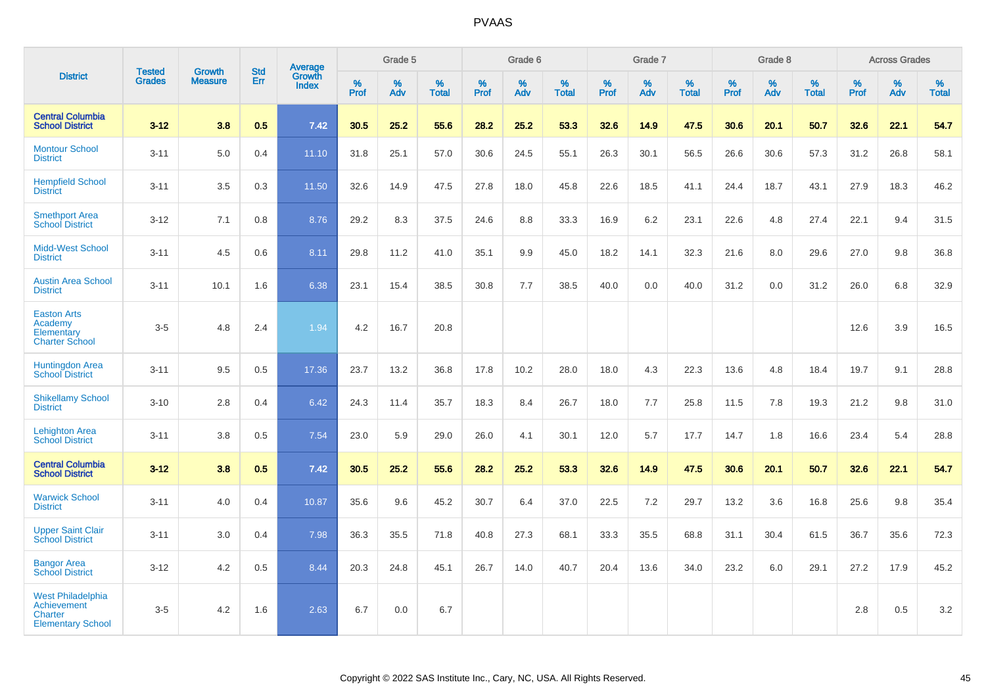|                                                                                       |                                |                                 |                   | <b>Average</b>         |           | Grade 5  |                   |           | Grade 6  |                   |           | Grade 7  |                   |           | Grade 8  |                   |           | <b>Across Grades</b> |                   |
|---------------------------------------------------------------------------------------|--------------------------------|---------------------------------|-------------------|------------------------|-----------|----------|-------------------|-----------|----------|-------------------|-----------|----------|-------------------|-----------|----------|-------------------|-----------|----------------------|-------------------|
| <b>District</b>                                                                       | <b>Tested</b><br><b>Grades</b> | <b>Growth</b><br><b>Measure</b> | <b>Std</b><br>Err | Growth<br><b>Index</b> | %<br>Prof | %<br>Adv | %<br><b>Total</b> | %<br>Prof | %<br>Adv | %<br><b>Total</b> | %<br>Prof | %<br>Adv | %<br><b>Total</b> | %<br>Prof | %<br>Adv | %<br><b>Total</b> | %<br>Prof | %<br>Adv             | %<br><b>Total</b> |
| <b>Central Columbia</b><br><b>School District</b>                                     | $3 - 12$                       | 3.8                             | 0.5               | 7.42                   | 30.5      | 25.2     | 55.6              | 28.2      | 25.2     | 53.3              | 32.6      | 14.9     | 47.5              | 30.6      | 20.1     | 50.7              | 32.6      | 22.1                 | 54.7              |
| <b>Montour School</b><br><b>District</b>                                              | $3 - 11$                       | 5.0                             | 0.4               | 11.10                  | 31.8      | 25.1     | 57.0              | 30.6      | 24.5     | 55.1              | 26.3      | 30.1     | 56.5              | 26.6      | 30.6     | 57.3              | 31.2      | 26.8                 | 58.1              |
| <b>Hempfield School</b><br><b>District</b>                                            | $3 - 11$                       | 3.5                             | 0.3               | 11.50                  | 32.6      | 14.9     | 47.5              | 27.8      | 18.0     | 45.8              | 22.6      | 18.5     | 41.1              | 24.4      | 18.7     | 43.1              | 27.9      | 18.3                 | 46.2              |
| <b>Smethport Area</b><br><b>School District</b>                                       | $3 - 12$                       | 7.1                             | 0.8               | 8.76                   | 29.2      | 8.3      | 37.5              | 24.6      | 8.8      | 33.3              | 16.9      | $6.2\,$  | 23.1              | 22.6      | 4.8      | 27.4              | 22.1      | 9.4                  | 31.5              |
| Midd-West School<br><b>District</b>                                                   | $3 - 11$                       | 4.5                             | 0.6               | 8.11                   | 29.8      | 11.2     | 41.0              | 35.1      | 9.9      | 45.0              | 18.2      | 14.1     | 32.3              | 21.6      | 8.0      | 29.6              | 27.0      | 9.8                  | 36.8              |
| <b>Austin Area School</b><br><b>District</b>                                          | $3 - 11$                       | 10.1                            | 1.6               | 6.38                   | 23.1      | 15.4     | 38.5              | 30.8      | 7.7      | 38.5              | 40.0      | 0.0      | 40.0              | 31.2      | 0.0      | 31.2              | 26.0      | 6.8                  | 32.9              |
| <b>Easton Arts</b><br>Academy<br>Elementary<br><b>Charter School</b>                  | $3-5$                          | 4.8                             | 2.4               | 1.94                   | 4.2       | 16.7     | 20.8              |           |          |                   |           |          |                   |           |          |                   | 12.6      | 3.9                  | 16.5              |
| <b>Huntingdon Area</b><br><b>School District</b>                                      | $3 - 11$                       | 9.5                             | 0.5               | 17.36                  | 23.7      | 13.2     | 36.8              | 17.8      | 10.2     | 28.0              | 18.0      | 4.3      | 22.3              | 13.6      | 4.8      | 18.4              | 19.7      | 9.1                  | 28.8              |
| <b>Shikellamy School</b><br><b>District</b>                                           | $3 - 10$                       | 2.8                             | 0.4               | 6.42                   | 24.3      | 11.4     | 35.7              | 18.3      | 8.4      | 26.7              | 18.0      | 7.7      | 25.8              | 11.5      | 7.8      | 19.3              | 21.2      | 9.8                  | 31.0              |
| <b>Lehighton Area</b><br><b>School District</b>                                       | $3 - 11$                       | 3.8                             | 0.5               | 7.54                   | 23.0      | 5.9      | 29.0              | 26.0      | 4.1      | 30.1              | 12.0      | 5.7      | 17.7              | 14.7      | 1.8      | 16.6              | 23.4      | 5.4                  | 28.8              |
| <b>Central Columbia</b><br><b>School District</b>                                     | $3 - 12$                       | 3.8                             | 0.5               | 7.42                   | 30.5      | 25.2     | 55.6              | 28.2      | 25.2     | 53.3              | 32.6      | 14.9     | 47.5              | 30.6      | 20.1     | 50.7              | 32.6      | 22.1                 | 54.7              |
| <b>Warwick School</b><br><b>District</b>                                              | $3 - 11$                       | 4.0                             | 0.4               | 10.87                  | 35.6      | 9.6      | 45.2              | 30.7      | 6.4      | 37.0              | 22.5      | 7.2      | 29.7              | 13.2      | 3.6      | 16.8              | 25.6      | 9.8                  | 35.4              |
| <b>Upper Saint Clair</b><br><b>School District</b>                                    | $3 - 11$                       | 3.0                             | 0.4               | 7.98                   | 36.3      | 35.5     | 71.8              | 40.8      | 27.3     | 68.1              | 33.3      | 35.5     | 68.8              | 31.1      | 30.4     | 61.5              | 36.7      | 35.6                 | 72.3              |
| <b>Bangor Area</b><br><b>School District</b>                                          | $3 - 12$                       | 4.2                             | 0.5               | 8.44                   | 20.3      | 24.8     | 45.1              | 26.7      | 14.0     | 40.7              | 20.4      | 13.6     | 34.0              | 23.2      | 6.0      | 29.1              | 27.2      | 17.9                 | 45.2              |
| <b>West Philadelphia</b><br>Achievement<br><b>Charter</b><br><b>Elementary School</b> | $3-5$                          | 4.2                             | 1.6               | 2.63                   | 6.7       | 0.0      | 6.7               |           |          |                   |           |          |                   |           |          |                   | 2.8       | 0.5                  | 3.2               |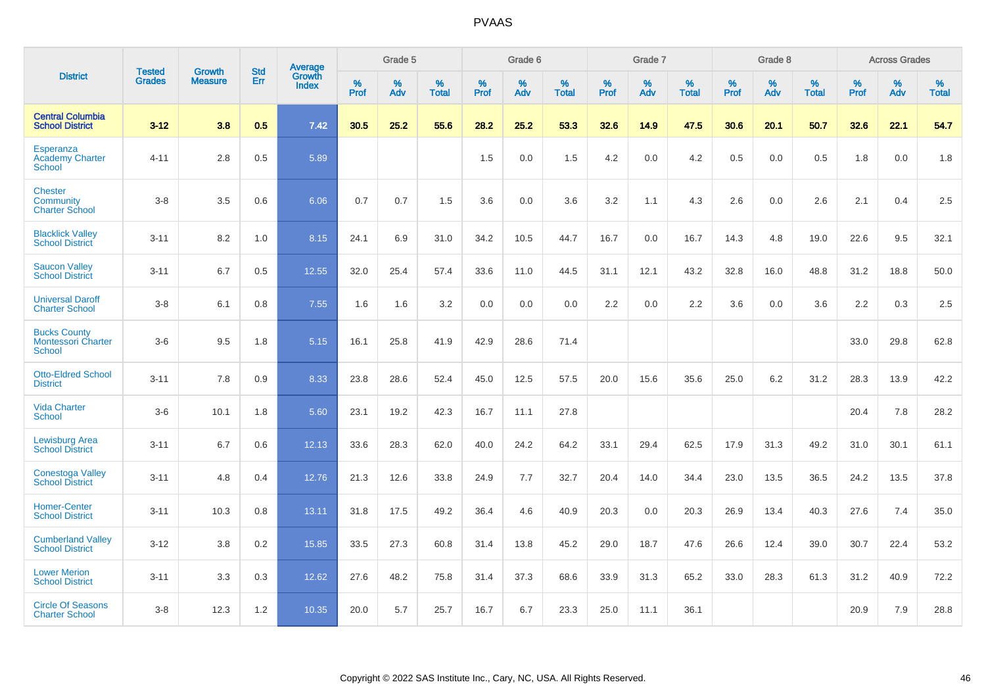|                                                            | <b>Tested</b> | <b>Growth</b>  | <b>Std</b> | Average                       |           | Grade 5  |                   |           | Grade 6  |                   |           | Grade 7  |                   |           | Grade 8  |                   |           | <b>Across Grades</b> |                   |
|------------------------------------------------------------|---------------|----------------|------------|-------------------------------|-----------|----------|-------------------|-----------|----------|-------------------|-----------|----------|-------------------|-----------|----------|-------------------|-----------|----------------------|-------------------|
| <b>District</b>                                            | <b>Grades</b> | <b>Measure</b> | Err        | <b>Growth</b><br><b>Index</b> | %<br>Prof | %<br>Adv | %<br><b>Total</b> | %<br>Prof | %<br>Adv | %<br><b>Total</b> | %<br>Prof | %<br>Adv | %<br><b>Total</b> | %<br>Prof | %<br>Adv | %<br><b>Total</b> | %<br>Prof | %<br>Adv             | %<br><b>Total</b> |
| <b>Central Columbia</b><br><b>School District</b>          | $3 - 12$      | 3.8            | 0.5        | 7.42                          | 30.5      | 25.2     | 55.6              | 28.2      | 25.2     | 53.3              | 32.6      | 14.9     | 47.5              | 30.6      | 20.1     | 50.7              | 32.6      | 22.1                 | 54.7              |
| Esperanza<br><b>Academy Charter</b><br><b>School</b>       | $4 - 11$      | 2.8            | 0.5        | 5.89                          |           |          |                   | 1.5       | 0.0      | 1.5               | 4.2       | 0.0      | 4.2               | 0.5       | 0.0      | 0.5               | 1.8       | 0.0                  | 1.8               |
| <b>Chester</b><br>Community<br><b>Charter School</b>       | $3 - 8$       | 3.5            | 0.6        | 6.06                          | 0.7       | 0.7      | 1.5               | 3.6       | 0.0      | 3.6               | 3.2       | 1.1      | 4.3               | 2.6       | 0.0      | 2.6               | 2.1       | 0.4                  | 2.5               |
| <b>Blacklick Valley</b><br><b>School District</b>          | $3 - 11$      | 8.2            | 1.0        | 8.15                          | 24.1      | 6.9      | 31.0              | 34.2      | 10.5     | 44.7              | 16.7      | 0.0      | 16.7              | 14.3      | 4.8      | 19.0              | 22.6      | 9.5                  | 32.1              |
| <b>Saucon Valley</b><br><b>School District</b>             | $3 - 11$      | 6.7            | 0.5        | 12.55                         | 32.0      | 25.4     | 57.4              | 33.6      | 11.0     | 44.5              | 31.1      | 12.1     | 43.2              | 32.8      | 16.0     | 48.8              | 31.2      | 18.8                 | 50.0              |
| <b>Universal Daroff</b><br><b>Charter School</b>           | $3 - 8$       | 6.1            | 0.8        | 7.55                          | 1.6       | 1.6      | 3.2               | 0.0       | 0.0      | 0.0               | 2.2       | 0.0      | 2.2               | 3.6       | 0.0      | 3.6               | 2.2       | 0.3                  | 2.5               |
| <b>Bucks County</b><br><b>Montessori Charter</b><br>School | $3-6$         | 9.5            | 1.8        | 5.15                          | 16.1      | 25.8     | 41.9              | 42.9      | 28.6     | 71.4              |           |          |                   |           |          |                   | 33.0      | 29.8                 | 62.8              |
| <b>Otto-Eldred School</b><br><b>District</b>               | $3 - 11$      | 7.8            | 0.9        | 8.33                          | 23.8      | 28.6     | 52.4              | 45.0      | 12.5     | 57.5              | 20.0      | 15.6     | 35.6              | 25.0      | 6.2      | 31.2              | 28.3      | 13.9                 | 42.2              |
| <b>Vida Charter</b><br><b>School</b>                       | $3-6$         | 10.1           | 1.8        | 5.60                          | 23.1      | 19.2     | 42.3              | 16.7      | 11.1     | 27.8              |           |          |                   |           |          |                   | 20.4      | 7.8                  | 28.2              |
| <b>Lewisburg Area</b><br><b>School District</b>            | $3 - 11$      | 6.7            | 0.6        | 12.13                         | 33.6      | 28.3     | 62.0              | 40.0      | 24.2     | 64.2              | 33.1      | 29.4     | 62.5              | 17.9      | 31.3     | 49.2              | 31.0      | 30.1                 | 61.1              |
| <b>Conestoga Valley</b><br><b>School District</b>          | $3 - 11$      | 4.8            | 0.4        | 12.76                         | 21.3      | 12.6     | 33.8              | 24.9      | 7.7      | 32.7              | 20.4      | 14.0     | 34.4              | 23.0      | 13.5     | 36.5              | 24.2      | 13.5                 | 37.8              |
| <b>Homer-Center</b><br><b>School District</b>              | $3 - 11$      | 10.3           | 0.8        | 13.11                         | 31.8      | 17.5     | 49.2              | 36.4      | 4.6      | 40.9              | 20.3      | 0.0      | 20.3              | 26.9      | 13.4     | 40.3              | 27.6      | 7.4                  | 35.0              |
| <b>Cumberland Valley</b><br><b>School District</b>         | $3 - 12$      | 3.8            | 0.2        | 15.85                         | 33.5      | 27.3     | 60.8              | 31.4      | 13.8     | 45.2              | 29.0      | 18.7     | 47.6              | 26.6      | 12.4     | 39.0              | 30.7      | 22.4                 | 53.2              |
| <b>Lower Merion</b><br><b>School District</b>              | $3 - 11$      | 3.3            | 0.3        | 12.62                         | 27.6      | 48.2     | 75.8              | 31.4      | 37.3     | 68.6              | 33.9      | 31.3     | 65.2              | 33.0      | 28.3     | 61.3              | 31.2      | 40.9                 | 72.2              |
| <b>Circle Of Seasons</b><br><b>Charter School</b>          | $3 - 8$       | 12.3           | 1.2        | 10.35                         | 20.0      | 5.7      | 25.7              | 16.7      | 6.7      | 23.3              | 25.0      | 11.1     | 36.1              |           |          |                   | 20.9      | 7.9                  | 28.8              |